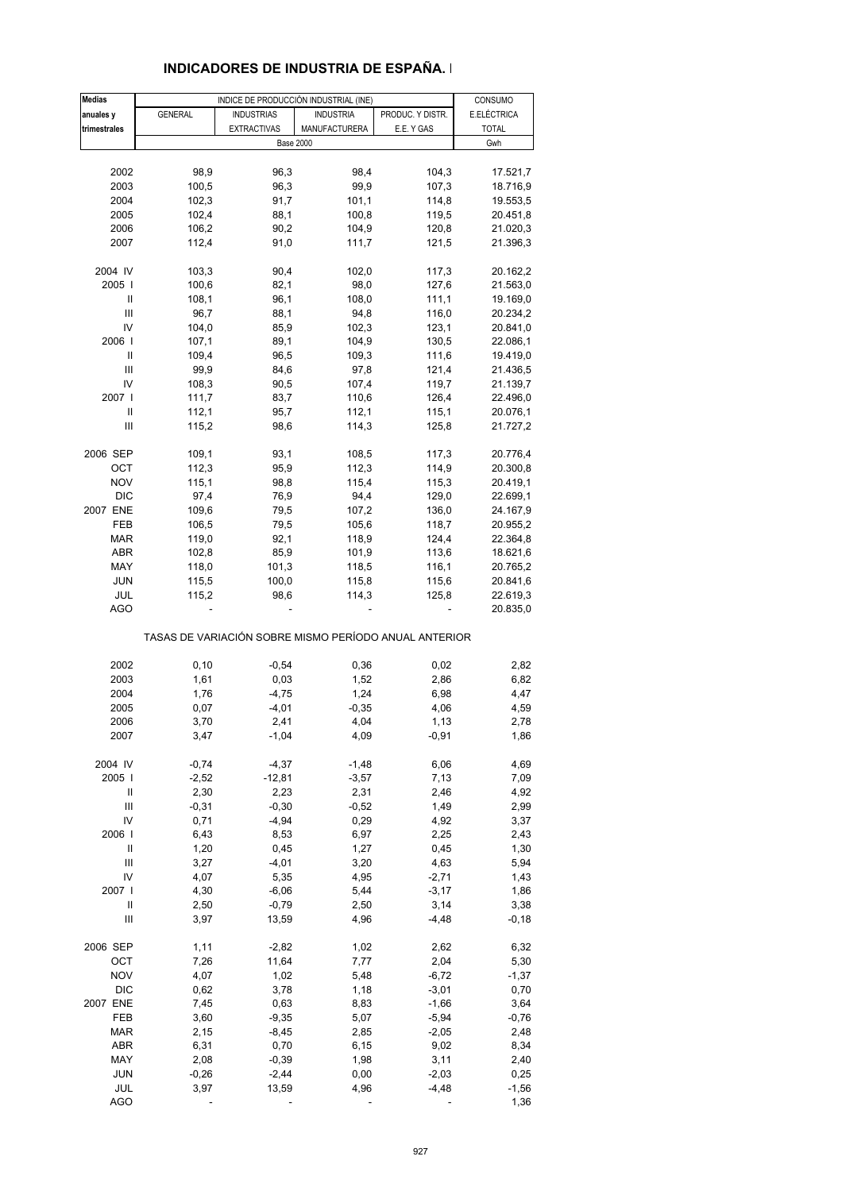| <b>Medias</b>                      |                |                    | INDICE DE PRODUCCIÓN INDUSTRIAL (INE)                 |                  | CONSUMO      |
|------------------------------------|----------------|--------------------|-------------------------------------------------------|------------------|--------------|
| anuales y                          | <b>GENERAL</b> | <b>INDUSTRIAS</b>  | <b>INDUSTRIA</b>                                      | PRODUC. Y DISTR. | E.ELÉCTRICA  |
|                                    |                |                    |                                                       |                  |              |
| trimestrales                       |                | <b>EXTRACTIVAS</b> | MANUFACTURERA                                         | E.E. Y GAS       | <b>TOTAL</b> |
|                                    |                | <b>Base 2000</b>   |                                                       |                  | Gwh          |
|                                    |                |                    |                                                       |                  |              |
| 2002                               | 98,9           | 96,3               | 98,4                                                  | 104,3            | 17.521,7     |
| 2003                               | 100,5          | 96,3               | 99,9                                                  | 107,3            | 18.716,9     |
| 2004                               | 102,3          | 91,7               | 101,1                                                 | 114,8            | 19.553,5     |
| 2005                               | 102,4          | 88,1               | 100,8                                                 | 119,5            | 20.451,8     |
| 2006                               | 106,2          | 90,2               | 104,9                                                 | 120,8            | 21.020,3     |
| 2007                               | 112,4          | 91,0               | 111,7                                                 | 121,5            |              |
|                                    |                |                    |                                                       |                  | 21.396,3     |
|                                    |                |                    |                                                       |                  |              |
| 2004 IV                            | 103,3          | 90,4               | 102,0                                                 | 117,3            | 20.162,2     |
| 2005                               | 100,6          | 82,1               | 98,0                                                  | 127,6            | 21.563,0     |
| Ш                                  | 108,1          | 96,1               | 108,0                                                 | 111,1            | 19.169,0     |
| Ш                                  | 96,7           | 88,1               | 94,8                                                  | 116,0            | 20.234,2     |
| IV                                 | 104,0          | 85,9               | 102,3                                                 | 123,1            | 20.841,0     |
| 2006                               | 107,1          | 89,1               | 104,9                                                 | 130,5            | 22.086,1     |
| $\mathbf{I}$                       | 109,4          | 96,5               | 109,3                                                 | 111,6            | 19.419,0     |
| $\ensuremath{\mathsf{III}}\xspace$ | 99,9           | 84,6               | 97,8                                                  | 121,4            | 21.436,5     |
| IV                                 |                |                    |                                                       |                  |              |
|                                    | 108,3          | 90,5               | 107,4                                                 | 119,7            | 21.139,7     |
| 2007 l                             | 111,7          | 83,7               | 110,6                                                 | 126,4            | 22.496,0     |
| Ш                                  | 112,1          | 95,7               | 112,1                                                 | 115,1            | 20.076,1     |
| Ш                                  | 115,2          | 98,6               | 114,3                                                 | 125,8            | 21.727,2     |
|                                    |                |                    |                                                       |                  |              |
| 2006 SEP                           | 109,1          | 93,1               | 108,5                                                 | 117,3            | 20.776,4     |
| OCT                                | 112,3          | 95,9               | 112,3                                                 | 114,9            | 20.300,8     |
| <b>NOV</b>                         | 115,1          | 98,8               | 115,4                                                 | 115,3            | 20.419,1     |
| DIC                                | 97,4           | 76,9               | 94,4                                                  | 129,0            | 22.699,1     |
| 2007 ENE                           | 109,6          | 79,5               | 107,2                                                 | 136,0            | 24.167,9     |
| FEB                                | 106,5          | 79,5               | 105,6                                                 | 118,7            | 20.955,2     |
|                                    |                |                    |                                                       |                  |              |
| <b>MAR</b>                         | 119,0          | 92,1               | 118,9                                                 | 124,4            | 22.364,8     |
| <b>ABR</b>                         | 102,8          | 85,9               | 101,9                                                 | 113,6            | 18.621,6     |
| MAY                                | 118,0          | 101,3              | 118,5                                                 | 116,1            | 20.765,2     |
| JUN                                | 115,5          | 100,0              | 115,8                                                 | 115,6            | 20.841,6     |
| JUL                                | 115,2          | 98,6               | 114,3                                                 | 125,8            | 22.619,3     |
| <b>AGO</b>                         |                |                    |                                                       |                  | 20.835,0     |
|                                    |                |                    | TASAS DE VARIACIÓN SOBRE MISMO PERÍODO ANUAL ANTERIOR |                  |              |
|                                    |                |                    |                                                       |                  |              |
| 2002                               | 0, 10          | $-0,54$            | 0,36                                                  | 0,02             | 2,82         |
| 2003                               | 1,61           | 0,03               | 1,52                                                  | 2,86             | 6,82         |
| 2004                               | 1,76           | $-4,75$            | 1,24                                                  | 6,98             | 4,47         |
|                                    |                |                    |                                                       |                  |              |
| 2005                               | 0,07           | $-4,01$            | $-0,35$                                               | 4,06             | 4,59         |
| 2006                               | 3,70           | 2,41               | 4,04                                                  | 1,13             | 2,78         |
| 2007                               | 3,47           | $-1,04$            | 4,09                                                  | $-0,91$          | 1,86         |
|                                    |                |                    |                                                       |                  |              |
| 2004 IV                            | $-0,74$        | $-4,37$            | $-1,48$                                               | 6,06             | 4,69         |
| 2005                               | $-2,52$        | $-12,81$           | $-3,57$                                               | 7,13             | 7,09         |
| Ш                                  | 2,30           | 2,23               | 2,31                                                  | 2,46             | 4,92         |
| Ш                                  | $-0,31$        | $-0,30$            | $-0,52$                                               | 1,49             | 2,99         |
| IV                                 | 0,71           | $-4,94$            | 0,29                                                  | 4,92             | 3,37         |
| 2006                               | 6,43           | 8,53               | 6,97                                                  | 2,25             | 2,43         |
| Ш                                  | 1,20           | 0,45               | 1,27                                                  | 0,45             | 1,30         |
|                                    |                |                    |                                                       |                  |              |
| Ш                                  | 3,27           | $-4,01$            | 3,20                                                  | 4,63             | 5,94         |
| IV                                 | 4,07           | 5,35               | 4,95                                                  | $-2,71$          | 1,43         |
| 2007                               | 4,30           | $-6,06$            | 5,44                                                  | $-3,17$          | 1,86         |
| Ш                                  | 2,50           | $-0,79$            | 2,50                                                  | 3,14             | 3,38         |
| Ш                                  | 3,97           | 13,59              | 4,96                                                  | -4,48            | $-0,18$      |
| 2006 SEP                           | 1,11           | $-2,82$            | 1,02                                                  | 2,62             | 6,32         |
|                                    |                |                    |                                                       |                  |              |
| OCT                                | 7,26           | 11,64              | 7,77                                                  | 2,04             | 5,30         |
| <b>NOV</b>                         | 4,07           | 1,02               | 5,48                                                  | $-6,72$          | $-1,37$      |
| <b>DIC</b>                         | 0,62           | 3,78               | 1,18                                                  | $-3,01$          | 0,70         |
| 2007 ENE                           | 7,45           | 0,63               | 8,83                                                  | $-1,66$          | 3,64         |
| FEB                                | 3,60           | $-9,35$            | 5,07                                                  | $-5,94$          | $-0,76$      |
| <b>MAR</b>                         | 2,15           | $-8,45$            | 2,85                                                  | $-2,05$          | 2,48         |
| ABR                                | 6,31           | 0,70               | 6, 15                                                 | 9,02             | 8,34         |
| MAY                                | 2,08           | $-0,39$            | 1,98                                                  | 3,11             | 2,40         |
| <b>JUN</b>                         | $-0,26$        | $-2,44$            | 0,00                                                  | $-2,03$          | 0,25         |
| JUL                                | 3,97           | 13,59              | 4,96                                                  | $-4,48$          | $-1,56$      |
|                                    |                |                    |                                                       |                  |              |
| AGO                                |                |                    |                                                       |                  | 1,36         |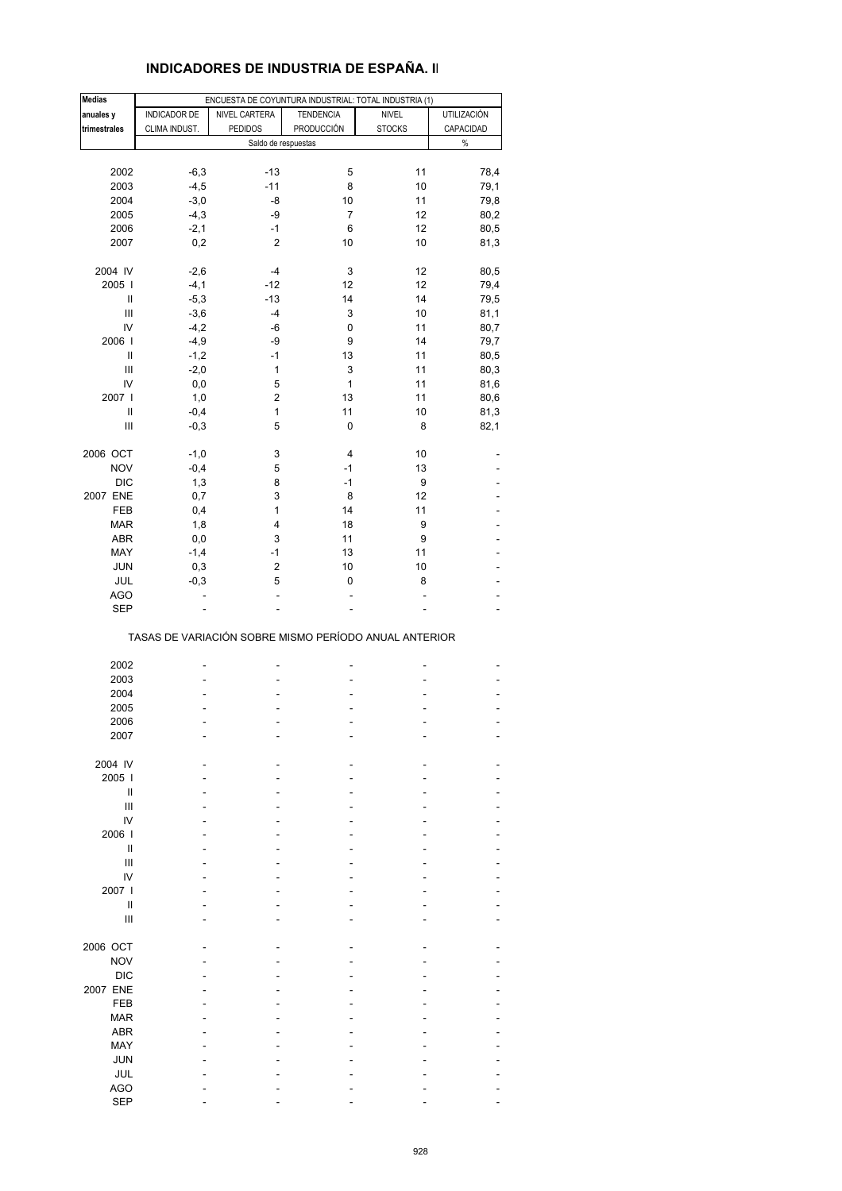| <b>Medias</b>                      |               | ENCUESTA DE COYUNTURA INDUSTRIAL: TOTAL INDUSTRIA (1) |                     |                |             |
|------------------------------------|---------------|-------------------------------------------------------|---------------------|----------------|-------------|
| anuales y                          | INDICADOR DE  | NIVEL CARTERA                                         | <b>TENDENCIA</b>    | <b>NIVEL</b>   | UTILIZACIÓN |
| trimestrales                       | CLIMA INDUST. | <b>PEDIDOS</b>                                        | PRODUCCIÓN          | <b>STOCKS</b>  | CAPACIDAD   |
|                                    |               |                                                       | Saldo de respuestas |                | $\%$        |
| 2002                               | $-6,3$        | $-13$                                                 | 5                   | 11             | 78,4        |
| 2003                               | $-4,5$        | $-11$                                                 | 8                   | 10             | 79,1        |
| 2004                               | $-3,0$        | -8                                                    | 10                  | 11             | 79,8        |
| 2005                               | $-4,3$        | -9                                                    | $\overline{7}$      | 12             | 80,2        |
| 2006                               | $-2,1$        | $-1$                                                  | 6                   | 12             | 80,5        |
| 2007                               | 0,2           | $\overline{2}$                                        | 10                  | 10             | 81,3        |
| 2004 IV                            | $-2,6$        | $-4$                                                  | 3                   | 12             | 80,5        |
| 2005                               | $-4,1$        | $-12$                                                 | 12                  | 12             | 79,4        |
| Ш                                  | $-5,3$        | $-13$                                                 | 14                  | 14             | 79,5        |
| $\ensuremath{\mathsf{III}}\xspace$ | $-3,6$        | $-4$                                                  | 3                   | 10             | 81,1        |
| IV                                 | $-4,2$        | -6                                                    | 0                   | 11             | 80,7        |
| 2006                               | $-4,9$        | -9                                                    | 9                   | 14             | 79,7        |
| $\sf II$                           | $-1,2$        | $-1$                                                  | 13                  | 11             | 80,5        |
| Ш                                  | $-2,0$        | 1                                                     | 3                   | 11             | 80,3        |
| IV                                 | 0,0           | 5                                                     | 1                   | 11             | 81,6        |
| 2007 l                             | 1,0           | $\overline{2}$                                        | 13                  | 11             | 80,6        |
| $\sf II$                           | $-0,4$        | 1                                                     | 11                  | 10             | 81,3        |
| III                                | $-0,3$        | 5                                                     | 0                   | 8              | 82,1        |
| 2006 OCT                           | $-1,0$        | 3                                                     | 4                   | 10             |             |
| <b>NOV</b>                         | $-0,4$        | 5                                                     | $-1$                | 13             |             |
| <b>DIC</b>                         | 1,3           | 8                                                     | $-1$                | 9              | ä,          |
| 2007 ENE                           | 0,7           | 3                                                     | 8                   | 12             |             |
| FEB                                | 0,4           | 1                                                     | 14                  | 11             |             |
| <b>MAR</b>                         | 1,8           | 4                                                     | 18                  | 9              |             |
| ABR                                | 0,0           | 3                                                     | 11                  | 9              |             |
|                                    |               |                                                       |                     |                |             |
| MAY                                | $-1,4$        | $-1$                                                  | 13                  | 11             |             |
| <b>JUN</b>                         | 0,3           | $\overline{c}$                                        | 10                  | 10             |             |
| JUL                                | $-0,3$        | 5                                                     | 0                   | 8              |             |
| <b>AGO</b>                         |               | ÷,                                                    | ٠                   | $\overline{a}$ |             |
| SEP                                |               | ۰                                                     |                     | L,             |             |
|                                    |               | TASAS DE VARIACIÓN SOBRE MISMO PERÍODO ANUAL ANTERIOR |                     |                |             |
| 2002                               |               |                                                       |                     | -              |             |
| 2003                               |               |                                                       |                     |                |             |
| 2004                               |               |                                                       |                     |                |             |
| 2005                               |               |                                                       |                     |                |             |
| 2006                               | L,            | ä,                                                    |                     | L,             | ÷           |
| 2007                               |               |                                                       |                     |                |             |
| 2004 IV                            |               |                                                       |                     |                |             |
| 2005                               |               |                                                       |                     |                |             |
| Ш                                  |               |                                                       |                     |                |             |
| III                                |               |                                                       |                     |                |             |
| IV                                 |               |                                                       |                     |                |             |
| 2006                               |               |                                                       |                     |                |             |
| $\mathbf{H}$                       |               |                                                       |                     |                |             |
| Ш                                  |               |                                                       |                     |                |             |
| IV                                 |               |                                                       |                     |                |             |
| 2007 l                             |               |                                                       |                     |                |             |
| Ш                                  |               |                                                       |                     |                |             |
| III                                |               |                                                       |                     |                |             |
| 2006 OCT                           |               |                                                       |                     |                |             |
| <b>NOV</b>                         |               |                                                       |                     |                |             |
|                                    |               |                                                       |                     |                |             |
| <b>DIC</b>                         |               |                                                       |                     |                |             |
| 2007 ENE                           |               |                                                       |                     |                |             |
| FEB                                |               |                                                       |                     |                |             |
| <b>MAR</b>                         |               |                                                       |                     |                |             |
| <b>ABR</b>                         |               |                                                       |                     |                |             |
| MAY                                |               |                                                       |                     |                |             |
| <b>JUN</b>                         |               |                                                       |                     |                |             |
| JUL                                |               |                                                       |                     |                |             |

 AGO - - - - - SEP - - - - -

#### **INDICADORES DE INDUSTRIA DE ESPAÑA. II**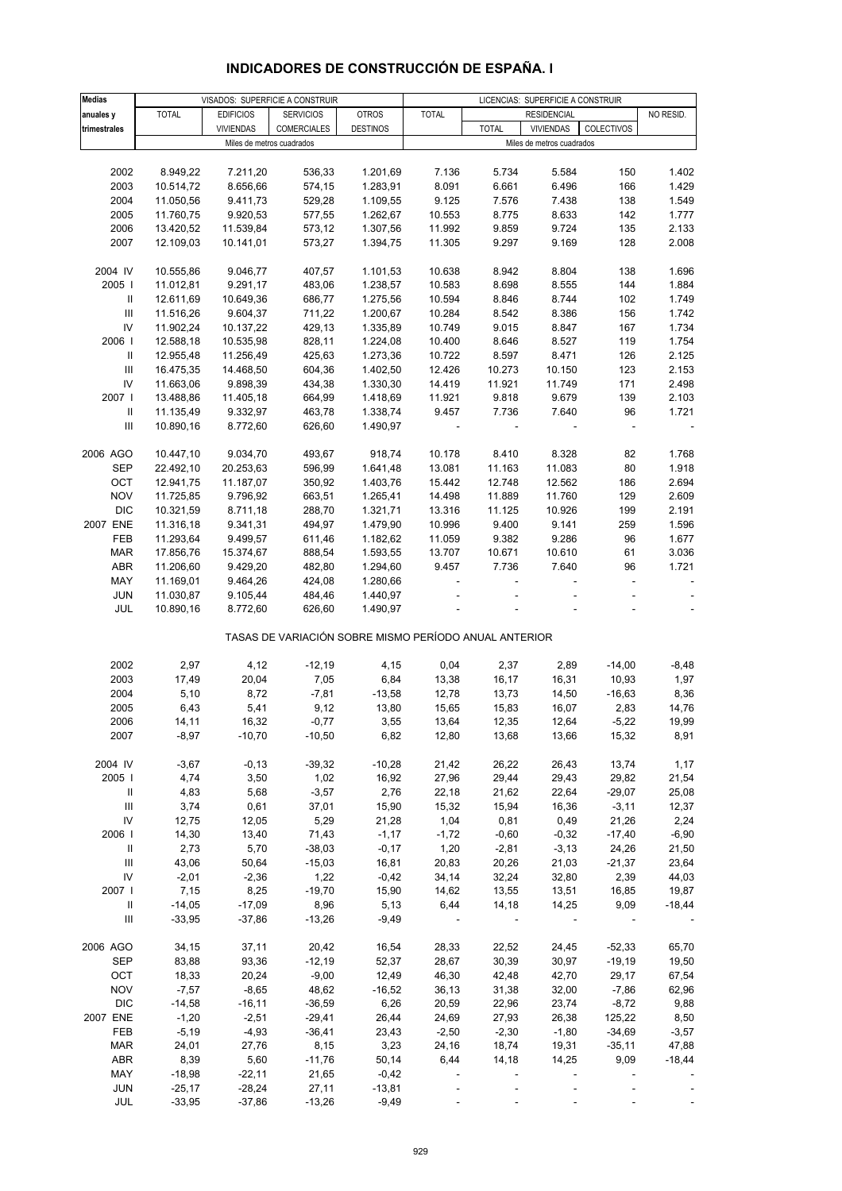| <b>Medias</b>                      | VISADOS: SUPERFICIE A CONSTRUIR |                           |                                                       |                 | LICENCIAS: SUPERFICIE A CONSTRUIR |               |                           |                          |               |
|------------------------------------|---------------------------------|---------------------------|-------------------------------------------------------|-----------------|-----------------------------------|---------------|---------------------------|--------------------------|---------------|
| anuales y                          | <b>TOTAL</b>                    | <b>EDIFICIOS</b>          | <b>SERVICIOS</b>                                      | <b>OTROS</b>    | <b>TOTAL</b>                      |               | <b>RESIDENCIAL</b>        |                          | NO RESID.     |
| trimestrales                       |                                 | <b>VIVIENDAS</b>          | COMERCIALES                                           | <b>DESTINOS</b> |                                   | <b>TOTAL</b>  | <b>VIVIENDAS</b>          | <b>COLECTIVOS</b>        |               |
|                                    |                                 | Miles de metros cuadrados |                                                       |                 |                                   |               | Miles de metros cuadrados |                          |               |
|                                    |                                 |                           |                                                       |                 |                                   |               |                           |                          |               |
| 2002                               | 8.949,22                        | 7.211,20                  | 536,33                                                | 1.201,69        | 7.136                             | 5.734         | 5.584                     | 150                      | 1.402         |
| 2003                               | 10.514,72                       | 8.656,66                  | 574,15                                                | 1.283,91        | 8.091                             | 6.661         | 6.496                     | 166                      | 1.429         |
| 2004                               | 11.050,56                       | 9.411,73                  | 529,28                                                | 1.109,55        | 9.125                             | 7.576         | 7.438                     | 138                      | 1.549         |
| 2005                               | 11.760,75                       | 9.920,53                  | 577,55                                                | 1.262,67        | 10.553                            | 8.775         | 8.633                     | 142                      | 1.777         |
| 2006                               | 13.420,52                       | 11.539,84                 | 573,12                                                | 1.307,56        | 11.992                            | 9.859         | 9.724                     | 135                      | 2.133         |
| 2007                               | 12.109,03                       | 10.141,01                 | 573,27                                                | 1.394,75        | 11.305                            | 9.297         | 9.169                     | 128                      | 2.008         |
|                                    |                                 |                           |                                                       |                 |                                   |               |                           |                          |               |
| 2004 IV                            | 10.555,86                       | 9.046,77                  | 407,57                                                | 1.101,53        | 10.638                            | 8.942         | 8.804                     | 138                      | 1.696         |
| 2005                               | 11.012,81                       | 9.291,17                  | 483,06                                                | 1.238,57        | 10.583                            | 8.698         | 8.555                     | 144                      | 1.884         |
| Ш                                  | 12.611,69                       | 10.649,36                 | 686,77                                                | 1.275,56        | 10.594                            | 8.846         | 8.744                     | 102                      | 1.749         |
| $\ensuremath{\mathsf{III}}\xspace$ | 11.516,26                       | 9.604,37                  | 711,22                                                | 1.200,67        | 10.284                            | 8.542         | 8.386                     | 156                      | 1.742         |
| IV                                 | 11.902,24                       | 10.137,22                 | 429,13                                                | 1.335,89        | 10.749                            | 9.015         | 8.847                     | 167                      | 1.734         |
| 2006                               | 12.588,18                       | 10.535,98                 | 828,11                                                | 1.224,08        | 10.400                            | 8.646         | 8.527                     | 119                      | 1.754         |
| $\, \parallel$                     | 12.955,48                       | 11.256,49                 | 425,63                                                | 1.273,36        | 10.722                            | 8.597         | 8.471                     | 126                      | 2.125         |
| Ш                                  | 16.475,35                       | 14.468,50                 | 604,36                                                | 1.402,50        | 12.426                            | 10.273        | 10.150                    | 123                      | 2.153         |
| IV                                 | 11.663,06                       | 9.898,39                  | 434,38                                                | 1.330,30        | 14.419                            | 11.921        | 11.749                    | 171                      | 2.498         |
| 2007                               | 13.488,86                       | 11.405,18                 | 664,99                                                | 1.418,69        | 11.921                            | 9.818         | 9.679                     | 139                      | 2.103         |
| Ш                                  | 11.135,49                       | 9.332,97                  | 463,78                                                | 1.338,74        | 9.457                             | 7.736         | 7.640                     | 96                       | 1.721         |
| $\ensuremath{\mathsf{III}}\xspace$ | 10.890,16                       | 8.772,60                  | 626,60                                                | 1.490,97        |                                   |               |                           |                          |               |
|                                    |                                 |                           |                                                       |                 |                                   |               |                           |                          |               |
| 2006 AGO                           | 10.447,10                       | 9.034,70                  | 493,67                                                | 918,74          | 10.178                            | 8.410         | 8.328                     | 82                       | 1.768         |
| SEP                                | 22.492,10                       | 20.253,63                 | 596,99                                                | 1.641,48        | 13.081                            | 11.163        | 11.083                    | 80                       | 1.918         |
| OCT                                | 12.941,75                       | 11.187,07                 | 350,92                                                | 1.403,76        | 15.442                            | 12.748        | 12.562                    | 186                      | 2.694         |
| <b>NOV</b>                         | 11.725,85                       | 9.796,92                  | 663,51                                                | 1.265,41        | 14.498                            | 11.889        | 11.760                    | 129                      | 2.609         |
| <b>DIC</b>                         | 10.321,59                       | 8.711,18                  | 288,70                                                | 1.321,71        | 13.316                            | 11.125        | 10.926                    | 199                      | 2.191         |
| 2007 ENE                           | 11.316,18                       | 9.341,31                  | 494,97                                                | 1.479,90        | 10.996                            | 9.400         | 9.141                     | 259                      | 1.596         |
| FEB                                | 11.293,64                       | 9.499,57                  | 611,46                                                | 1.182,62        | 11.059                            | 9.382         | 9.286                     | 96                       | 1.677         |
| <b>MAR</b>                         | 17.856,76                       | 15.374,67                 | 888,54                                                | 1.593,55        | 13.707                            | 10.671        | 10.610                    | 61                       | 3.036         |
| <b>ABR</b>                         | 11.206,60                       | 9.429,20                  | 482,80                                                | 1.294,60        | 9.457                             | 7.736         | 7.640                     | 96                       | 1.721         |
| MAY                                | 11.169,01                       | 9.464,26                  | 424,08                                                | 1.280,66        |                                   |               |                           | $\overline{\phantom{a}}$ |               |
| <b>JUN</b>                         | 11.030,87                       | 9.105,44                  | 484,46                                                | 1.440,97        |                                   |               |                           | ÷,                       |               |
| JUL                                | 10.890,16                       | 8.772,60                  | 626,60                                                | 1.490,97        |                                   |               |                           |                          |               |
|                                    |                                 |                           | TASAS DE VARIACIÓN SOBRE MISMO PERÍODO ANUAL ANTERIOR |                 |                                   |               |                           |                          |               |
|                                    |                                 |                           |                                                       |                 |                                   |               |                           |                          |               |
| 2002<br>2003                       | 2,97<br>17,49                   | 4,12<br>20,04             | $-12,19$<br>7,05                                      | 4,15<br>6,84    | 0,04<br>13,38                     | 2,37<br>16,17 | 2,89<br>16,31             | $-14,00$<br>10,93        | -8,48<br>1,97 |
| 2004                               | 5,10                            | 8,72                      | $-7,81$                                               | $-13,58$        | 12,78                             | 13,73         | 14,50                     | $-16,63$                 | 8,36          |
| 2005                               | 6,43                            | 5,41                      | 9,12                                                  | 13,80           | 15,65                             | 15,83         | 16,07                     | 2,83                     | 14,76         |
| 2006                               | 14, 11                          | 16,32                     | $-0,77$                                               | 3,55            | 13,64                             | 12,35         | 12,64                     | $-5,22$                  | 19,99         |
| 2007                               | $-8,97$                         | $-10,70$                  | $-10,50$                                              | 6,82            | 12,80                             | 13,68         | 13,66                     |                          | 8,91          |
|                                    |                                 |                           |                                                       |                 |                                   |               |                           | 15,32                    |               |
| 2004 IV                            | $-3,67$                         | $-0,13$                   | $-39,32$                                              | $-10,28$        | 21,42                             | 26,22         | 26,43                     | 13,74                    | 1,17          |
| 2005                               | 4,74                            | 3,50                      | 1,02                                                  | 16,92           | 27,96                             | 29,44         | 29,43                     | 29,82                    | 21,54         |
| Ш                                  | 4,83                            | 5,68                      | $-3,57$                                               | 2,76            | 22,18                             | 21,62         | 22,64                     | $-29,07$                 | 25,08         |
| Ш                                  | 3,74                            | 0,61                      | 37,01                                                 | 15,90           | 15,32                             | 15,94         | 16,36                     | $-3,11$                  | 12,37         |
| IV                                 | 12,75                           | 12,05                     | 5,29                                                  | 21,28           | 1,04                              | 0,81          | 0,49                      | 21,26                    | 2,24          |
| 2006                               | 14,30                           | 13,40                     | 71,43                                                 | $-1,17$         | $-1,72$                           | $-0,60$       | $-0,32$                   | $-17,40$                 | $-6,90$       |
| Ш                                  | 2,73                            | 5,70                      | $-38,03$                                              | $-0,17$         | 1,20                              | $-2,81$       | $-3,13$                   | 24,26                    | 21,50         |
| $\ensuremath{\mathsf{III}}\xspace$ | 43,06                           | 50,64                     | $-15,03$                                              | 16,81           | 20,83                             | 20,26         | 21,03                     | $-21,37$                 | 23,64         |
| IV                                 | $-2,01$                         | $-2,36$                   | 1,22                                                  | $-0,42$         | 34,14                             | 32,24         | 32,80                     | 2,39                     | 44,03         |
| 2007                               | 7,15                            | 8,25                      | $-19,70$                                              | 15,90           | 14,62                             | 13,55         | 13,51                     | 16,85                    | 19,87         |
| Ш                                  | $-14,05$                        | $-17,09$                  | 8,96                                                  | 5,13            | 6,44                              | 14,18         | 14,25                     | 9,09                     | $-18,44$      |
| Ш                                  | $-33,95$                        | $-37,86$                  | $-13,26$                                              | $-9,49$         |                                   |               |                           |                          |               |
|                                    |                                 |                           |                                                       |                 |                                   |               |                           |                          |               |
| 2006 AGO                           | 34,15                           | 37,11                     | 20,42                                                 | 16,54           | 28,33                             | 22,52         | 24,45                     | $-52,33$                 | 65,70         |
| <b>SEP</b>                         | 83,88                           | 93,36                     | $-12,19$                                              | 52,37           | 28,67                             | 30,39         | 30,97                     | $-19,19$                 | 19,50         |
| OCT                                | 18,33                           | 20,24                     | $-9,00$                                               | 12,49           | 46,30                             | 42,48         | 42,70                     | 29,17                    | 67,54         |
| <b>NOV</b>                         | $-7,57$                         | $-8,65$                   | 48,62                                                 | $-16,52$        | 36, 13                            | 31,38         | 32,00                     | $-7,86$                  | 62,96         |
| <b>DIC</b>                         | $-14,58$                        | $-16,11$                  | $-36,59$                                              | 6,26            | 20,59                             | 22,96         | 23,74                     | $-8,72$                  | 9,88          |
| 2007 ENE                           | $-1,20$                         | $-2,51$                   | $-29,41$                                              | 26,44           | 24,69                             | 27,93         | 26,38                     | 125,22                   | 8,50          |
| FEB                                | $-5,19$                         | $-4,93$                   | $-36,41$                                              | 23,43           | $-2,50$                           | $-2,30$       | $-1,80$                   | $-34,69$                 | $-3,57$       |
| <b>MAR</b>                         | 24,01                           | 27,76                     | 8,15                                                  | 3,23            | 24,16                             | 18,74         | 19,31                     | $-35,11$                 | 47,88         |
| <b>ABR</b>                         | 8,39                            | 5,60                      | $-11,76$                                              | 50,14           | 6,44                              | 14,18         | 14,25                     | 9,09                     | $-18,44$      |
| MAY                                | $-18,98$                        | $-22,11$                  | 21,65                                                 | $-0,42$         |                                   |               |                           |                          |               |
| <b>JUN</b>                         | $-25,17$                        | $-28,24$                  | 27,11                                                 | $-13,81$        |                                   |               |                           |                          |               |
| JUL                                | $-33,95$                        | $-37,86$                  | $-13,26$                                              | $-9,49$         |                                   |               |                           |                          |               |

# **INDICADORES DE CONSTRUCCIÓN DE ESPAÑA. I**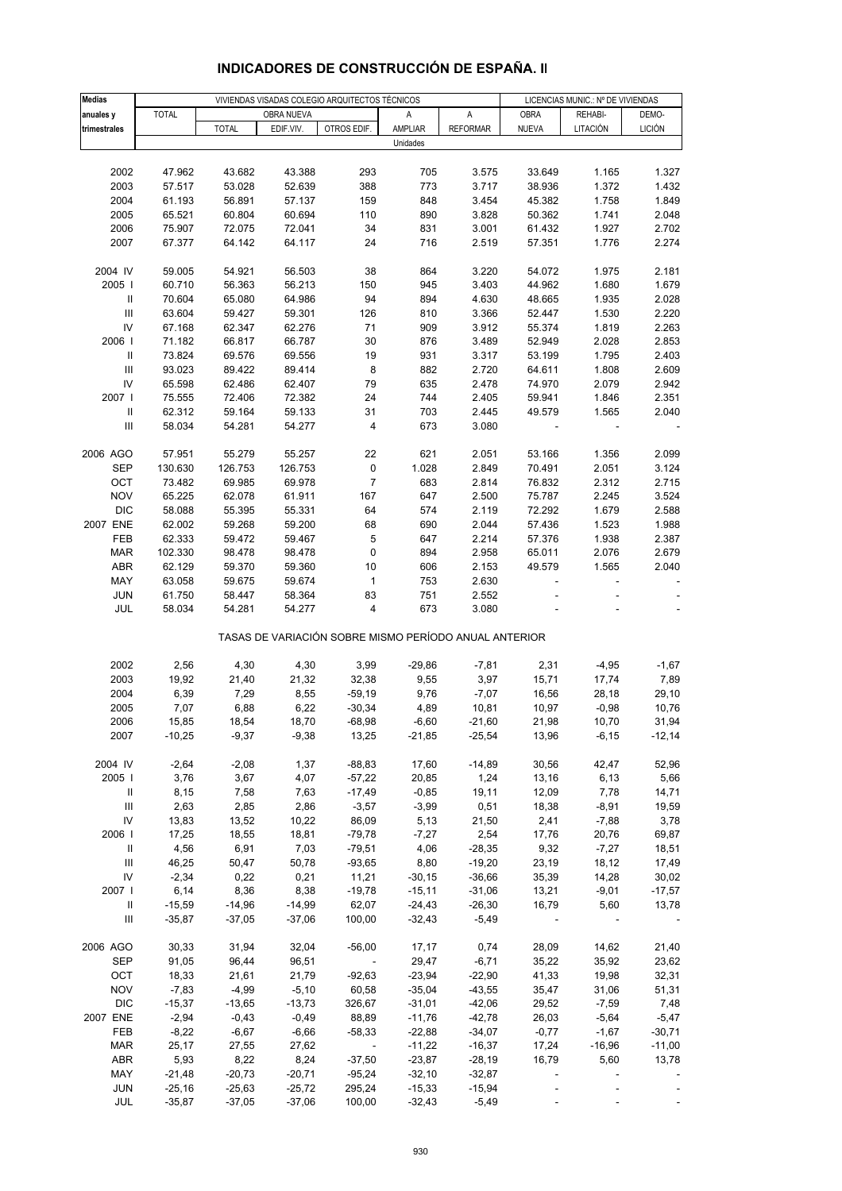| <b>Medias</b>                      | VIVIENDAS VISADAS COLEGIO ARQUITECTOS TÉCNICOS |              |            |                                                       |          |                 | LICENCIAS MUNIC.: Nº DE VIVIENDAS |          |               |
|------------------------------------|------------------------------------------------|--------------|------------|-------------------------------------------------------|----------|-----------------|-----------------------------------|----------|---------------|
|                                    |                                                |              |            |                                                       |          |                 |                                   |          |               |
| anuales y                          | <b>TOTAL</b>                                   |              | OBRA NUEVA |                                                       | Α        | A               | OBRA                              | REHABI-  | DEMO-         |
| trimestrales                       |                                                | <b>TOTAL</b> | EDIF.VIV.  | OTROS EDIF.                                           | AMPLIAR  | <b>REFORMAR</b> | <b>NUEVA</b>                      | LITACIÓN | <b>LICIÓN</b> |
|                                    |                                                |              |            |                                                       | Unidades |                 |                                   |          |               |
|                                    |                                                |              |            |                                                       |          |                 |                                   |          |               |
| 2002                               | 47.962                                         | 43.682       | 43.388     | 293                                                   | 705      | 3.575           | 33.649                            | 1.165    | 1.327         |
| 2003                               | 57.517                                         | 53.028       | 52.639     | 388                                                   | 773      | 3.717           | 38.936                            | 1.372    | 1.432         |
| 2004                               | 61.193                                         | 56.891       | 57.137     | 159                                                   | 848      | 3.454           | 45.382                            | 1.758    | 1.849         |
| 2005                               | 65.521                                         | 60.804       | 60.694     | 110                                                   | 890      | 3.828           | 50.362                            | 1.741    | 2.048         |
|                                    |                                                |              |            |                                                       |          |                 |                                   |          |               |
| 2006                               | 75.907                                         | 72.075       | 72.041     | 34                                                    | 831      | 3.001           | 61.432                            | 1.927    | 2.702         |
| 2007                               | 67.377                                         | 64.142       | 64.117     | 24                                                    | 716      | 2.519           | 57.351                            | 1.776    | 2.274         |
|                                    |                                                |              |            |                                                       |          |                 |                                   |          |               |
| 2004 IV                            | 59.005                                         | 54.921       | 56.503     | 38                                                    | 864      | 3.220           | 54.072                            | 1.975    | 2.181         |
| 2005                               | 60.710                                         | 56.363       | 56.213     | 150                                                   | 945      | 3.403           | 44.962                            | 1.680    | 1.679         |
| Ш                                  | 70.604                                         | 65.080       | 64.986     | 94                                                    | 894      | 4.630           | 48.665                            | 1.935    | 2.028         |
| $\ensuremath{\mathsf{III}}\xspace$ | 63.604                                         | 59.427       | 59.301     | 126                                                   | 810      | 3.366           | 52.447                            | 1.530    | 2.220         |
| IV                                 | 67.168                                         | 62.347       | 62.276     | 71                                                    | 909      | 3.912           | 55.374                            | 1.819    | 2.263         |
|                                    |                                                |              |            | 30                                                    |          |                 |                                   |          |               |
| 2006                               | 71.182                                         | 66.817       | 66.787     |                                                       | 876      | 3.489           | 52.949                            | 2.028    | 2.853         |
|                                    | 73.824                                         | 69.576       | 69.556     | 19                                                    | 931      | 3.317           | 53.199                            | 1.795    | 2.403         |
| $\ensuremath{\mathsf{III}}\xspace$ | 93.023                                         | 89.422       | 89.414     | 8                                                     | 882      | 2.720           | 64.611                            | 1.808    | 2.609         |
| IV                                 | 65.598                                         | 62.486       | 62.407     | 79                                                    | 635      | 2.478           | 74.970                            | 2.079    | 2.942         |
| 2007 l                             | 75.555                                         | 72.406       | 72.382     | 24                                                    | 744      | 2.405           | 59.941                            | 1.846    | 2.351         |
| Ш                                  | 62.312                                         | 59.164       | 59.133     | 31                                                    | 703      | 2.445           | 49.579                            | 1.565    | 2.040         |
| $\ensuremath{\mathsf{III}}\xspace$ | 58.034                                         | 54.281       | 54.277     | 4                                                     | 673      | 3.080           |                                   |          |               |
|                                    |                                                |              |            |                                                       |          |                 |                                   |          |               |
| 2006 AGO                           | 57.951                                         | 55.279       | 55.257     | 22                                                    | 621      | 2.051           | 53.166                            | 1.356    | 2.099         |
|                                    |                                                |              |            |                                                       |          |                 |                                   |          |               |
| SEP                                | 130.630                                        | 126.753      | 126.753    | 0                                                     | 1.028    | 2.849           | 70.491                            | 2.051    | 3.124         |
| OCT                                | 73.482                                         | 69.985       | 69.978     | $\overline{7}$                                        | 683      | 2.814           | 76.832                            | 2.312    | 2.715         |
| <b>NOV</b>                         | 65.225                                         | 62.078       | 61.911     | 167                                                   | 647      | 2.500           | 75.787                            | 2.245    | 3.524         |
| <b>DIC</b>                         | 58.088                                         | 55.395       | 55.331     | 64                                                    | 574      | 2.119           | 72.292                            | 1.679    | 2.588         |
| 2007 ENE                           | 62.002                                         | 59.268       | 59.200     | 68                                                    | 690      | 2.044           | 57.436                            | 1.523    | 1.988         |
| FEB                                | 62.333                                         | 59.472       | 59.467     | 5                                                     | 647      | 2.214           | 57.376                            | 1.938    | 2.387         |
| <b>MAR</b>                         | 102.330                                        | 98.478       | 98.478     | 0                                                     | 894      | 2.958           | 65.011                            | 2.076    | 2.679         |
| ABR                                | 62.129                                         | 59.370       | 59.360     | 10                                                    | 606      | 2.153           | 49.579                            | 1.565    | 2.040         |
|                                    |                                                |              |            |                                                       |          |                 |                                   |          |               |
| MAY                                | 63.058                                         | 59.675       | 59.674     | 1                                                     | 753      | 2.630           |                                   |          |               |
| <b>JUN</b>                         | 61.750                                         | 58.447       | 58.364     | 83                                                    | 751      | 2.552           |                                   |          |               |
| JUL                                | 58.034                                         | 54.281       | 54.277     | 4                                                     | 673      | 3.080           |                                   |          |               |
|                                    |                                                |              |            | TASAS DE VARIACIÓN SOBRE MISMO PERÍODO ANUAL ANTERIOR |          |                 |                                   |          |               |
|                                    |                                                |              |            |                                                       |          |                 |                                   |          |               |
| 2002                               | 2,56                                           | 4,30         | 4,30       | 3,99                                                  | $-29,86$ | $-7,81$         | 2,31                              | $-4,95$  | $-1,67$       |
| 2003                               | 19,92                                          | 21,40        | 21,32      | 32,38                                                 | 9,55     | 3,97            | 15,71                             | 17,74    | 7,89          |
| 2004                               | 6,39                                           | 7,29         | 8,55       | $-59,19$                                              | 9,76     | $-7,07$         | 16,56                             | 28,18    | 29,10         |
| 2005                               | 7,07                                           | 6,88         | 6,22       | $-30,34$                                              | 4,89     | 10,81           | 10,97                             | $-0,98$  | 10,76         |
| 2006                               | 15,85                                          | 18,54        | 18,70      | $-68,98$                                              | -6,60    | -21,60          | 21,98                             | 10,70    | 31,94         |
|                                    |                                                |              |            |                                                       |          |                 |                                   |          |               |
| 2007                               | $-10,25$                                       | $-9,37$      | $-9,38$    | 13,25                                                 | $-21,85$ | $-25,54$        | 13,96                             | $-6, 15$ | $-12,14$      |
|                                    |                                                |              |            |                                                       |          |                 |                                   |          |               |
| 2004 IV                            | $-2,64$                                        | $-2,08$      | 1,37       | $-88,83$                                              | 17,60    | $-14,89$        | 30,56                             | 42,47    | 52,96         |
| 2005                               | 3,76                                           | 3,67         | 4,07       | $-57,22$                                              | 20,85    | 1,24            | 13,16                             | 6,13     | 5,66          |
| Ш                                  | 8,15                                           | 7,58         | 7,63       | $-17,49$                                              | $-0,85$  | 19,11           | 12,09                             | 7,78     | 14,71         |
| $\ensuremath{\mathsf{III}}\xspace$ | 2,63                                           | 2,85         | 2,86       | $-3,57$                                               | $-3,99$  | 0,51            | 18,38                             | $-8,91$  | 19,59         |
| IV                                 | 13,83                                          | 13,52        | 10,22      | 86,09                                                 | 5,13     | 21,50           | 2,41                              | $-7,88$  | 3,78          |
| 2006                               | 17,25                                          | 18,55        | 18,81      | $-79,78$                                              | $-7,27$  | 2,54            | 17,76                             | 20,76    | 69,87         |
| Ш                                  | 4,56                                           | 6,91         | 7,03       | $-79,51$                                              | 4,06     | $-28,35$        | 9,32                              | $-7,27$  | 18,51         |
| Ш                                  | 46,25                                          | 50,47        | 50,78      | $-93,65$                                              | 8,80     | $-19,20$        | 23,19                             | 18,12    | 17,49         |
| IV                                 | $-2,34$                                        | 0,22         | 0,21       | 11,21                                                 | $-30,15$ | $-36,66$        | 35,39                             | 14,28    | 30,02         |
| 2007                               | 6,14                                           |              |            | $-19,78$                                              |          |                 |                                   |          |               |
|                                    |                                                | 8,36         | 8,38       |                                                       | $-15,11$ | $-31,06$        | 13,21                             | $-9,01$  | $-17,57$      |
| Ш                                  | $-15,59$                                       | $-14,96$     | $-14,99$   | 62,07                                                 | $-24,43$ | $-26,30$        | 16,79                             | 5,60     | 13,78         |
| $\ensuremath{\mathsf{III}}\xspace$ | $-35,87$                                       | $-37,05$     | $-37,06$   | 100,00                                                | $-32,43$ | $-5,49$         |                                   |          |               |
| 2006 AGO                           | 30,33                                          | 31,94        | 32,04      | $-56,00$                                              | 17,17    | 0,74            | 28,09                             | 14,62    | 21,40         |
| <b>SEP</b>                         | 91,05                                          | 96,44        | 96,51      | $\sim 100$ km s $^{-1}$                               | 29,47    | $-6,71$         | 35,22                             | 35,92    | 23,62         |
|                                    |                                                |              |            |                                                       |          |                 |                                   |          |               |
| OCT                                | 18,33                                          | 21,61        | 21,79      | $-92,63$                                              | $-23,94$ | $-22,90$        | 41,33                             | 19,98    | 32,31         |
| <b>NOV</b>                         | $-7,83$                                        | $-4,99$      | $-5,10$    | 60,58                                                 | $-35,04$ | $-43,55$        | 35,47                             | 31,06    | 51,31         |
| <b>DIC</b>                         | $-15,37$                                       | $-13,65$     | $-13,73$   | 326,67                                                | $-31,01$ | $-42,06$        | 29,52                             | $-7,59$  | 7,48          |
| 2007 ENE                           | $-2,94$                                        | $-0,43$      | $-0,49$    | 88,89                                                 | $-11,76$ | $-42,78$        | 26,03                             | $-5,64$  | $-5,47$       |
| FEB                                | $-8,22$                                        | $-6,67$      | $-6,66$    | $-58,33$                                              | $-22,88$ | $-34,07$        | $-0,77$                           | $-1,67$  | $-30,71$      |
| <b>MAR</b>                         | 25,17                                          | 27,55        | 27,62      | $\sim 100$ m $^{-1}$                                  | $-11,22$ | $-16,37$        | 17,24                             | $-16,96$ | $-11,00$      |
| <b>ABR</b>                         | 5,93                                           | 8,22         | 8,24       | $-37,50$                                              | $-23,87$ | $-28,19$        | 16,79                             | 5,60     | 13,78         |
|                                    |                                                |              |            |                                                       |          |                 |                                   |          |               |
| MAY                                | $-21,48$                                       | $-20,73$     | $-20,71$   | $-95,24$                                              | $-32,10$ | $-32,87$        | $\overline{\phantom{a}}$          |          |               |
| <b>JUN</b>                         | $-25,16$                                       | $-25,63$     | $-25,72$   | 295,24                                                | $-15,33$ | $-15,94$        |                                   |          |               |
| JUL                                | $-35,87$                                       | $-37,05$     | $-37,06$   | 100,00                                                | $-32,43$ | $-5,49$         |                                   |          |               |

## **INDICADORES DE CONSTRUCCIÓN DE ESPAÑA. II**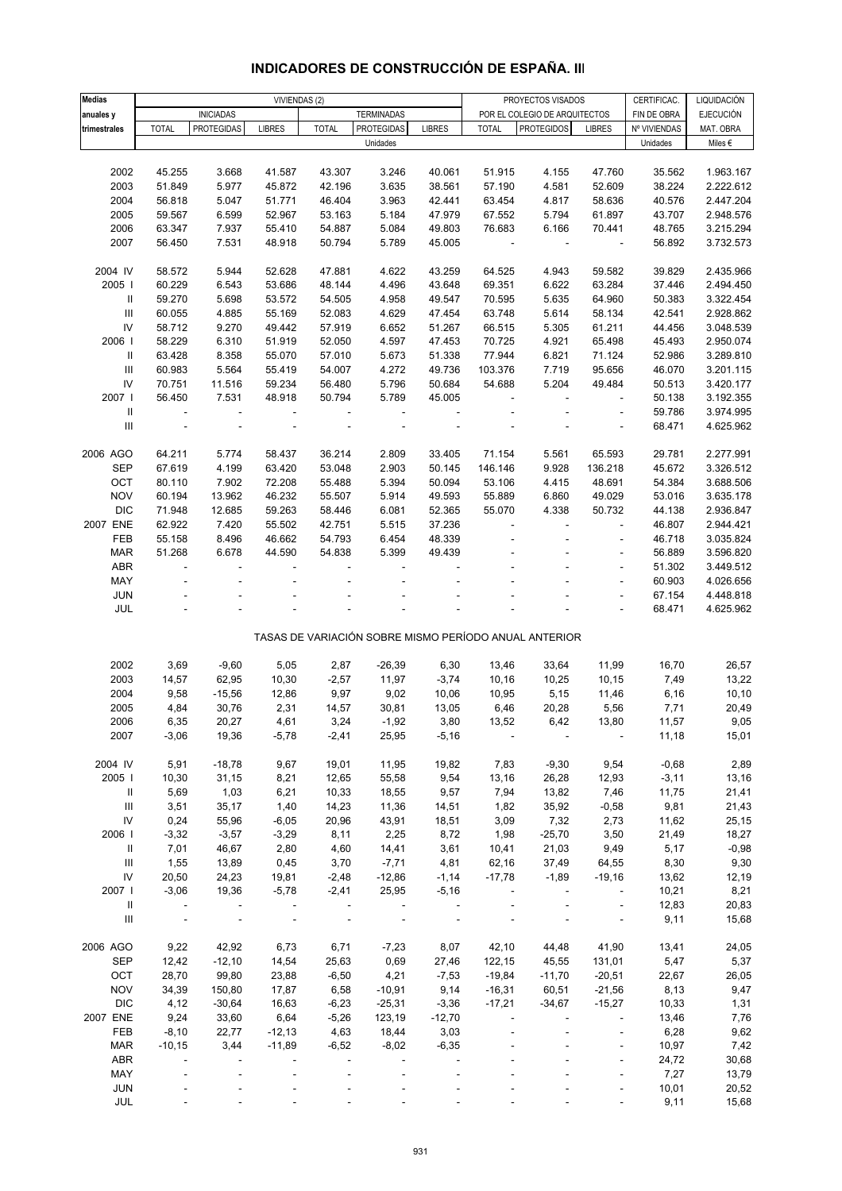| <b>Medias</b>                      |               |                   | VIVIENDAS (2)            |                          |                          |                |                          | PROYECTOS VISADOS                                     |                          | CERTIFICAC.  | LIQUIDACIÓN      |
|------------------------------------|---------------|-------------------|--------------------------|--------------------------|--------------------------|----------------|--------------------------|-------------------------------------------------------|--------------------------|--------------|------------------|
| anuales y                          |               | <b>INICIADAS</b>  |                          |                          | <b>TERMINADAS</b>        |                |                          | POR EL COLEGIO DE ARQUITECTOS                         |                          | FIN DE OBRA  | <b>EJECUCIÓN</b> |
| trimestrales                       | <b>TOTAL</b>  | <b>PROTEGIDAS</b> | <b>LIBRES</b>            | <b>TOTAL</b>             | <b>PROTEGIDAS</b>        | <b>LIBRES</b>  | <b>TOTAL</b>             | <b>PROTEGIDOS</b>                                     | <b>LIBRES</b>            | Nº VIVIENDAS | MAT. OBRA        |
|                                    |               |                   |                          |                          | Unidades                 |                |                          |                                                       |                          | Unidades     | Miles $\epsilon$ |
|                                    |               |                   |                          |                          |                          |                |                          |                                                       |                          |              |                  |
| 2002                               | 45.255        | 3.668             | 41.587                   | 43.307                   | 3.246                    | 40.061         | 51.915                   | 4.155                                                 | 47.760                   | 35.562       | 1.963.167        |
| 2003                               | 51.849        | 5.977             | 45.872                   | 42.196                   | 3.635                    | 38.561         | 57.190                   | 4.581                                                 | 52.609                   | 38.224       | 2.222.612        |
| 2004                               | 56.818        | 5.047             | 51.771                   | 46.404                   | 3.963                    | 42.441         | 63.454                   | 4.817                                                 | 58.636                   | 40.576       | 2.447.204        |
| 2005                               | 59.567        | 6.599             | 52.967                   | 53.163                   | 5.184                    | 47.979         | 67.552                   | 5.794                                                 | 61.897                   | 43.707       | 2.948.576        |
| 2006                               | 63.347        | 7.937             | 55.410                   | 54.887                   | 5.084                    | 49.803         | 76.683                   | 6.166                                                 | 70.441                   | 48.765       | 3.215.294        |
| 2007                               | 56.450        | 7.531             | 48.918                   | 50.794                   | 5.789                    | 45.005         |                          | $\overline{\phantom{a}}$                              |                          | 56.892       | 3.732.573        |
|                                    |               |                   |                          |                          |                          |                | $\overline{\phantom{a}}$ |                                                       | $\overline{\phantom{a}}$ |              |                  |
| 2004 IV                            | 58.572        | 5.944             | 52.628                   | 47.881                   | 4.622                    | 43.259         | 64.525                   | 4.943                                                 | 59.582                   | 39.829       | 2.435.966        |
| 2005                               | 60.229        | 6.543             | 53.686                   | 48.144                   | 4.496                    | 43.648         | 69.351                   | 6.622                                                 | 63.284                   | 37.446       | 2.494.450        |
| Ш                                  | 59.270        | 5.698             | 53.572                   | 54.505                   | 4.958                    | 49.547         | 70.595                   | 5.635                                                 | 64.960                   | 50.383       | 3.322.454        |
| $\mathbf{III}$                     | 60.055        | 4.885             | 55.169                   | 52.083                   | 4.629                    | 47.454         | 63.748                   | 5.614                                                 | 58.134                   | 42.541       | 2.928.862        |
| IV                                 | 58.712        | 9.270             | 49.442                   | 57.919                   | 6.652                    | 51.267         | 66.515                   | 5.305                                                 | 61.211                   | 44.456       | 3.048.539        |
| 2006                               | 58.229        | 6.310             | 51.919                   | 52.050                   | 4.597                    | 47.453         | 70.725                   | 4.921                                                 | 65.498                   | 45.493       | 2.950.074        |
|                                    |               |                   |                          |                          |                          |                |                          |                                                       |                          |              |                  |
| $\mathbf{II}$                      | 63.428        | 8.358             | 55.070                   | 57.010                   | 5.673                    | 51.338         | 77.944                   | 6.821                                                 | 71.124                   | 52.986       | 3.289.810        |
| $\ensuremath{\mathsf{III}}\xspace$ | 60.983        | 5.564             | 55.419                   | 54.007                   | 4.272                    | 49.736         | 103.376                  | 7.719                                                 | 95.656                   | 46.070       | 3.201.115        |
| IV                                 | 70.751        | 11.516            | 59.234                   | 56.480                   | 5.796                    | 50.684         | 54.688                   | 5.204                                                 | 49.484                   | 50.513       | 3.420.177        |
| 2007                               | 56.450        | 7.531             | 48.918                   | 50.794                   | 5.789                    | 45.005         |                          |                                                       | ÷,                       | 50.138       | 3.192.355        |
| $\, \parallel$                     | $\frac{1}{2}$ | $\blacksquare$    | $\overline{\phantom{a}}$ |                          | $\overline{\phantom{a}}$ | $\overline{a}$ |                          |                                                       | $\overline{a}$           | 59.786       | 3.974.995        |
| III                                |               |                   |                          |                          |                          |                |                          |                                                       |                          | 68.471       | 4.625.962        |
|                                    |               |                   |                          |                          |                          |                |                          |                                                       |                          |              |                  |
| 2006 AGO                           | 64.211        | 5.774             | 58.437                   | 36.214                   | 2.809                    | 33.405         | 71.154                   | 5.561                                                 | 65.593                   | 29.781       | 2.277.991        |
| <b>SEP</b>                         | 67.619        | 4.199             | 63.420                   | 53.048                   | 2.903                    | 50.145         | 146.146                  | 9.928                                                 | 136.218                  | 45.672       | 3.326.512        |
| OCT                                | 80.110        | 7.902             | 72.208                   | 55.488                   | 5.394                    | 50.094         | 53.106                   | 4.415                                                 | 48.691                   | 54.384       | 3.688.506        |
| <b>NOV</b>                         | 60.194        | 13.962            | 46.232                   | 55.507                   | 5.914                    | 49.593         | 55.889                   | 6.860                                                 | 49.029                   | 53.016       | 3.635.178        |
| <b>DIC</b>                         | 71.948        | 12.685            | 59.263                   | 58.446                   | 6.081                    | 52.365         | 55.070                   | 4.338                                                 | 50.732                   | 44.138       | 2.936.847        |
| 2007 ENE                           | 62.922        | 7.420             | 55.502                   | 42.751                   | 5.515                    | 37.236         |                          |                                                       | ÷,                       | 46.807       | 2.944.421        |
| FEB                                | 55.158        | 8.496             | 46.662                   | 54.793                   | 6.454                    | 48.339         |                          |                                                       | $\overline{\phantom{a}}$ | 46.718       | 3.035.824        |
| <b>MAR</b>                         | 51.268        | 6.678             | 44.590                   | 54.838                   | 5.399                    | 49.439         |                          |                                                       |                          | 56.889       | 3.596.820        |
| <b>ABR</b>                         |               |                   |                          |                          |                          |                |                          |                                                       | ä,                       | 51.302       | 3.449.512        |
| MAY                                |               |                   |                          |                          |                          |                |                          |                                                       | $\overline{\phantom{a}}$ | 60.903       | 4.026.656        |
| <b>JUN</b>                         |               |                   |                          |                          |                          |                |                          |                                                       |                          | 67.154       | 4.448.818        |
| JUL                                |               |                   |                          |                          |                          |                |                          |                                                       | ä,                       | 68.471       | 4.625.962        |
|                                    |               |                   |                          |                          |                          |                |                          |                                                       |                          |              |                  |
|                                    |               |                   |                          |                          |                          |                |                          | TASAS DE VARIACIÓN SOBRE MISMO PERÍODO ANUAL ANTERIOR |                          |              |                  |
|                                    |               |                   |                          |                          |                          |                |                          |                                                       |                          |              |                  |
| 2002                               | 3,69          | $-9,60$           | 5,05                     | 2,87                     | $-26,39$                 | 6,30           | 13,46                    | 33,64                                                 | 11,99                    | 16,70        | 26,57            |
| 2003                               | 14,57         | 62,95             | 10,30                    | $-2,57$                  | 11,97                    | $-3,74$        | 10,16                    | 10,25                                                 | 10,15                    | 7,49         | 13,22            |
| 2004                               | 9,58          | $-15,56$          | 12,86                    | 9,97                     | 9,02                     | 10,06          | 10,95                    | 5,15                                                  | 11,46                    | 6,16         | 10, 10           |
| 2005                               | 4,84          | 30,76             | 2,31                     | 14,57                    | 30,81                    | 13,05          | 6,46                     | 20,28                                                 | 5,56                     | 7,71         | 20,49            |
| 2006                               | 6,35          | 20,27             | 4,61                     | 3,24                     | $-1,92$                  | 3,80           | 13,52                    | 6,42                                                  | 13,80                    | 11,57        | 9,05             |
| 2007                               | $-3,06$       | 19,36             | $-5,78$                  | $-2,41$                  | 25,95                    | $-5,16$        |                          |                                                       |                          | 11,18        | 15,01            |
|                                    |               |                   |                          |                          |                          |                |                          |                                                       |                          |              |                  |
| 2004 IV                            | 5,91          | $-18,78$          | 9,67                     | 19,01                    | 11,95                    | 19,82          | 7,83                     | $-9,30$                                               | 9,54                     | $-0,68$      | 2,89             |
| 2005                               | 10,30         | 31,15             | 8,21                     | 12,65                    | 55,58                    | 9,54           | 13,16                    | 26,28                                                 | 12,93                    | $-3,11$      | 13,16            |
| Ш                                  | 5,69          | 1,03              | 6,21                     | 10,33                    | 18,55                    | 9,57           | 7,94                     | 13,82                                                 | 7,46                     | 11,75        | 21,41            |
| $\ensuremath{\mathsf{III}}\xspace$ | 3,51          | 35,17             | 1,40                     | 14,23                    | 11,36                    | 14,51          | 1,82                     | 35,92                                                 | $-0,58$                  | 9,81         | 21,43            |
| ${\sf IV}$                         | 0,24          | 55,96             | $-6,05$                  | 20,96                    | 43,91                    | 18,51          | 3,09                     | 7,32                                                  | 2,73                     | 11,62        | 25,15            |
| 2006                               | $-3,32$       | $-3,57$           | $-3,29$                  | 8,11                     | 2,25                     | 8,72           | 1,98                     | $-25,70$                                              | 3,50                     | 21,49        | 18,27            |
| Ш                                  | 7,01          | 46,67             | 2,80                     | 4,60                     | 14,41                    | 3,61           | 10,41                    | 21,03                                                 | 9,49                     | 5,17         | $-0,98$          |
| $\ensuremath{\mathsf{III}}\xspace$ | 1,55          | 13,89             | 0,45                     | 3,70                     | $-7,71$                  | 4,81           | 62,16                    | 37,49                                                 | 64,55                    | 8,30         | 9,30             |
| IV                                 | 20,50         | 24,23             | 19,81                    | $-2,48$                  | $-12,86$                 | $-1,14$        | $-17,78$                 | $-1,89$                                               | $-19,16$                 | 13,62        | 12,19            |
| 2007 l                             | $-3,06$       | 19,36             | $-5,78$                  | $-2,41$                  | 25,95                    | $-5,16$        |                          |                                                       |                          | 10,21        | 8,21             |
| $\, \parallel$                     | ÷,            |                   |                          | $\overline{\phantom{a}}$ |                          |                |                          |                                                       |                          | 12,83        | 20,83            |
| $\mathbf{III}$                     |               |                   |                          |                          |                          |                |                          |                                                       |                          | 9,11         | 15,68            |
|                                    |               |                   |                          |                          |                          |                |                          |                                                       |                          |              |                  |
| 2006 AGO                           | 9,22          | 42,92             | 6,73                     | 6,71                     | $-7,23$                  | 8,07           | 42,10                    | 44,48                                                 | 41,90                    | 13,41        | 24,05            |
| SEP                                | 12,42         | $-12,10$          | 14,54                    | 25,63                    | 0,69                     | 27,46          | 122,15                   | 45,55                                                 | 131,01                   | 5,47         | 5,37             |
| OCT                                | 28,70         | 99,80             | 23,88                    | $-6,50$                  | 4,21                     | $-7,53$        | $-19,84$                 | $-11,70$                                              | $-20,51$                 | 22,67        | 26,05            |
| <b>NOV</b>                         | 34,39         | 150,80            | 17,87                    | 6,58                     | $-10,91$                 | 9,14           | $-16,31$                 | 60,51                                                 | $-21,56$                 | 8,13         | 9,47             |
| <b>DIC</b>                         | 4,12          | $-30,64$          | 16,63                    | $-6,23$                  | $-25,31$                 | $-3,36$        | $-17,21$                 | $-34,67$                                              | $-15,27$                 | 10,33        | 1,31             |
| 2007 ENE                           | 9,24          | 33,60             | 6,64                     | $-5,26$                  | 123,19                   | $-12,70$       |                          |                                                       |                          | 13,46        | 7,76             |
| FEB                                | $-8,10$       | 22,77             | $-12,13$                 | 4,63                     | 18,44                    | 3,03           |                          |                                                       |                          | 6,28         | 9,62             |
| <b>MAR</b>                         | $-10,15$      | 3,44              | $-11,89$                 | $-6,52$                  | $-8,02$                  | $-6,35$        |                          |                                                       |                          | 10,97        | 7,42             |
| ABR                                |               |                   |                          |                          |                          |                |                          |                                                       |                          |              |                  |
|                                    |               |                   |                          |                          |                          |                |                          |                                                       |                          | 24,72        | 30,68            |
| MAY                                |               |                   |                          |                          |                          |                |                          |                                                       |                          | 7,27         | 13,79            |
| <b>JUN</b>                         |               |                   |                          |                          |                          |                |                          |                                                       |                          | 10,01        | 20,52            |
| JUL                                |               |                   |                          |                          |                          |                |                          |                                                       |                          | 9,11         | 15,68            |

## **INDICADORES DE CONSTRUCCIÓN DE ESPAÑA. III**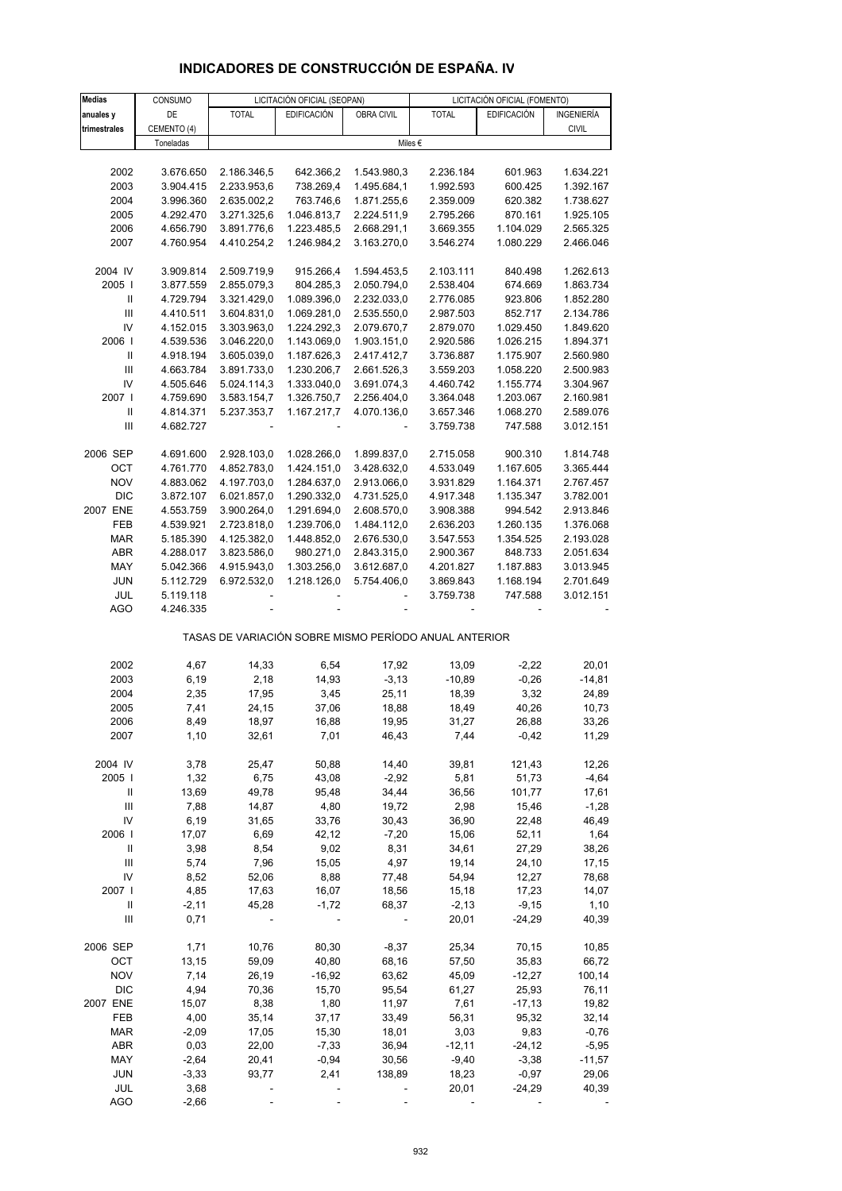# **INDICADORES DE CONSTRUCCIÓN DE ESPAÑA. IV**

| <b>Medias</b>                      | CONSUMO     |                                                       | LICITACIÓN OFICIAL (SEOPAN) |             |                | LICITACIÓN OFICIAL (FOMENTO) |              |
|------------------------------------|-------------|-------------------------------------------------------|-----------------------------|-------------|----------------|------------------------------|--------------|
| anuales y                          | DE          | <b>TOTAL</b>                                          | <b>EDIFICACIÓN</b>          | OBRA CIVIL  | <b>TOTAL</b>   | <b>EDIFICACIÓN</b>           | INGENIERÍA   |
| trimestrales                       | CEMENTO (4) |                                                       |                             |             |                |                              | <b>CIVIL</b> |
|                                    | Toneladas   |                                                       |                             |             | Miles €        |                              |              |
|                                    |             |                                                       |                             |             |                |                              |              |
| 2002                               | 3.676.650   | 2.186.346,5                                           | 642.366,2                   | 1.543.980,3 | 2.236.184      | 601.963                      | 1.634.221    |
| 2003                               | 3.904.415   | 2.233.953,6                                           | 738.269,4                   | 1.495.684,1 | 1.992.593      | 600.425                      | 1.392.167    |
| 2004                               | 3.996.360   | 2.635.002,2                                           | 763.746,6                   | 1.871.255,6 | 2.359.009      | 620.382                      | 1.738.627    |
| 2005                               | 4.292.470   | 3.271.325,6                                           | 1.046.813,7                 | 2.224.511,9 | 2.795.266      | 870.161                      | 1.925.105    |
| 2006                               | 4.656.790   | 3.891.776,6                                           | 1.223.485,5                 | 2.668.291,1 | 3.669.355      | 1.104.029                    | 2.565.325    |
| 2007                               | 4.760.954   | 4.410.254,2                                           | 1.246.984,2                 | 3.163.270,0 | 3.546.274      | 1.080.229                    | 2.466.046    |
|                                    |             |                                                       |                             |             |                |                              |              |
| 2004 IV                            | 3.909.814   | 2.509.719,9                                           | 915.266,4                   | 1.594.453,5 | 2.103.111      | 840.498                      | 1.262.613    |
| 2005                               | 3.877.559   | 2.855.079,3                                           | 804.285,3                   | 2.050.794,0 | 2.538.404      | 674.669                      | 1.863.734    |
| Ш                                  | 4.729.794   | 3.321.429,0                                           | 1.089.396,0                 | 2.232.033,0 | 2.776.085      | 923.806                      | 1.852.280    |
| $\ensuremath{\mathsf{III}}\xspace$ | 4.410.511   | 3.604.831,0                                           | 1.069.281,0                 | 2.535.550,0 | 2.987.503      | 852.717                      | 2.134.786    |
| IV                                 | 4.152.015   | 3.303.963,0                                           | 1.224.292,3                 | 2.079.670,7 | 2.879.070      | 1.029.450                    | 1.849.620    |
| 2006                               | 4.539.536   | 3.046.220,0                                           | 1.143.069,0                 | 1.903.151,0 | 2.920.586      | 1.026.215                    | 1.894.371    |
| Ш                                  | 4.918.194   | 3.605.039,0                                           | 1.187.626,3                 | 2.417.412,7 | 3.736.887      | 1.175.907                    | 2.560.980    |
| $\ensuremath{\mathsf{III}}\xspace$ | 4.663.784   | 3.891.733,0                                           | 1.230.206,7                 | 2.661.526,3 | 3.559.203      | 1.058.220                    | 2.500.983    |
| IV                                 | 4.505.646   | 5.024.114,3                                           | 1.333.040,0                 | 3.691.074,3 | 4.460.742      | 1.155.774                    | 3.304.967    |
| 2007 l                             | 4.759.690   | 3.583.154,7                                           | 1.326.750,7                 | 2.256.404,0 | 3.364.048      | 1.203.067                    | 2.160.981    |
| Ш                                  | 4.814.371   | 5.237.353,7                                           | 1.167.217,7                 | 4.070.136,0 | 3.657.346      | 1.068.270                    | 2.589.076    |
| III                                | 4.682.727   |                                                       |                             |             | 3.759.738      | 747.588                      | 3.012.151    |
|                                    |             |                                                       |                             |             |                |                              |              |
| 2006 SEP                           | 4.691.600   | 2.928.103,0                                           | 1.028.266,0                 | 1.899.837,0 | 2.715.058      | 900.310                      | 1.814.748    |
| OCT                                | 4.761.770   | 4.852.783,0                                           | 1.424.151,0                 | 3.428.632,0 | 4.533.049      | 1.167.605                    | 3.365.444    |
| <b>NOV</b>                         | 4.883.062   | 4.197.703,0                                           | 1.284.637,0                 | 2.913.066,0 | 3.931.829      | 1.164.371                    | 2.767.457    |
| <b>DIC</b>                         | 3.872.107   | 6.021.857,0                                           | 1.290.332,0                 | 4.731.525,0 | 4.917.348      | 1.135.347                    | 3.782.001    |
| 2007 ENE                           | 4.553.759   | 3.900.264,0                                           | 1.291.694,0                 | 2.608.570,0 | 3.908.388      | 994.542                      | 2.913.846    |
| FEB                                | 4.539.921   | 2.723.818,0                                           | 1.239.706,0                 | 1.484.112,0 | 2.636.203      | 1.260.135                    | 1.376.068    |
| <b>MAR</b>                         | 5.185.390   | 4.125.382,0                                           | 1.448.852,0                 | 2.676.530,0 | 3.547.553      | 1.354.525                    | 2.193.028    |
| <b>ABR</b>                         | 4.288.017   | 3.823.586,0                                           | 980.271,0                   | 2.843.315,0 | 2.900.367      | 848.733                      | 2.051.634    |
| MAY                                | 5.042.366   | 4.915.943,0                                           | 1.303.256,0                 | 3.612.687,0 | 4.201.827      | 1.187.883                    | 3.013.945    |
| <b>JUN</b>                         | 5.112.729   | 6.972.532,0                                           | 1.218.126,0                 | 5.754.406,0 | 3.869.843      | 1.168.194                    | 2.701.649    |
| JUL                                | 5.119.118   |                                                       |                             |             | 3.759.738      | 747.588                      | 3.012.151    |
| <b>AGO</b>                         | 4.246.335   |                                                       |                             |             |                |                              |              |
|                                    |             | TASAS DE VARIACIÓN SOBRE MISMO PERÍODO ANUAL ANTERIOR |                             |             |                |                              |              |
|                                    |             |                                                       |                             |             |                |                              |              |
| 2002                               | 4,67        | 14,33                                                 | 6,54                        | 17,92       | 13,09          | $-2,22$                      | 20,01        |
| 2003                               | 6,19        | 2,18                                                  | 14,93                       | $-3,13$     | $-10,89$       | $-0,26$                      | $-14,81$     |
| 2004                               | 2,35        | 17,95                                                 | 3,45                        | 25,11       | 18,39          | 3,32                         | 24,89        |
| 2005                               | 7,41        | 24,15                                                 | 37,06                       | 18,88       | 18,49          | 40,26                        | 10,73        |
| 2006                               | 8,49        | 18,97                                                 | 16,88                       | 19,95       | 31,27          | 26,88                        | 33,26        |
| 2007                               | 1,10        | 32,61                                                 | 7,01                        | 46,43       | 7,44           | $-0,42$                      | 11,29        |
|                                    |             |                                                       |                             |             |                |                              |              |
| 2004 IV                            | 3,78        | 25,47                                                 | 50,88                       | 14,40       | 39,81          | 121,43                       | 12,26        |
| 2005                               | 1,32        | 6,75                                                  | 43,08                       | $-2,92$     | 5,81           | 51,73                        | $-4,64$      |
| Ш                                  | 13,69       | 49,78                                                 | 95,48                       | 34,44       | 36,56          | 101,77                       | 17,61        |
| Ш                                  | 7,88        | 14,87                                                 | 4,80                        | 19,72       | 2,98           | 15,46                        | $-1,28$      |
| IV                                 | 6,19        | 31,65                                                 | 33,76                       | 30,43       | 36,90          | 22,48                        | 46,49        |
| 2006                               | 17,07       | 6,69                                                  | 42,12                       | $-7,20$     | 15,06          | 52,11                        | 1,64         |
| Ш                                  | 3,98        | 8,54                                                  | 9,02                        | 8,31        | 34,61          | 27,29                        | 38,26        |
| Ш                                  | 5,74        | 7,96                                                  | 15,05                       | 4,97        | 19,14          | 24,10                        | 17,15        |
| IV                                 | 8,52        | 52,06                                                 | 8,88                        | 77,48       | 54,94          | 12,27                        | 78,68        |
| 2007 I                             | 4,85        | 17,63                                                 | 16,07                       | 18,56       | 15,18          | 17,23                        | 14,07        |
| Ш                                  | $-2,11$     | 45,28                                                 | $-1,72$                     | 68,37       | $-2,13$        | $-9,15$                      | 1,10         |
| III                                | 0,71        | $\overline{\phantom{a}}$                              | ÷,                          |             | 20,01          | $-24,29$                     | 40,39        |
|                                    |             |                                                       |                             |             |                |                              |              |
| 2006 SEP                           | 1,71        | 10,76                                                 | 80,30                       | $-8,37$     | 25,34          | 70,15                        | 10,85        |
| OCT                                | 13,15       | 59,09                                                 | 40,80                       | 68,16       | 57,50          | 35,83                        | 66,72        |
| <b>NOV</b>                         | 7,14        | 26,19                                                 | $-16,92$                    | 63,62       | 45,09          | $-12,27$                     | 100,14       |
| <b>DIC</b>                         | 4,94        | 70,36                                                 | 15,70                       | 95,54       | 61,27          | 25,93                        | 76,11        |
| 2007 ENE                           | 15,07       | 8,38                                                  | 1,80                        | 11,97       | 7,61           | $-17,13$                     | 19,82        |
| FEB                                | 4,00        | 35,14                                                 | 37,17                       | 33,49       | 56,31          | 95,32                        | 32,14        |
| MAR                                | $-2,09$     | 17,05                                                 | 15,30                       | 18,01       | 3,03           | 9,83                         | $-0,76$      |
| ABR                                | 0,03        | 22,00                                                 | $-7,33$                     | 36,94       | $-12,11$       | $-24,12$                     | $-5,95$      |
| MAY                                | $-2,64$     | 20,41                                                 | $-0,94$                     | 30,56       | $-9,40$        | $-3,38$                      | $-11,57$     |
| <b>JUN</b>                         | $-3,33$     | 93,77                                                 | 2,41                        | 138,89      | 18,23          | $-0,97$                      | 29,06        |
| JUL                                | 3,68        | ÷                                                     |                             |             | 20,01          | $-24,29$                     | 40,39        |
| <b>AGO</b>                         | $-2,66$     | ÷                                                     |                             |             | $\blacksquare$ |                              |              |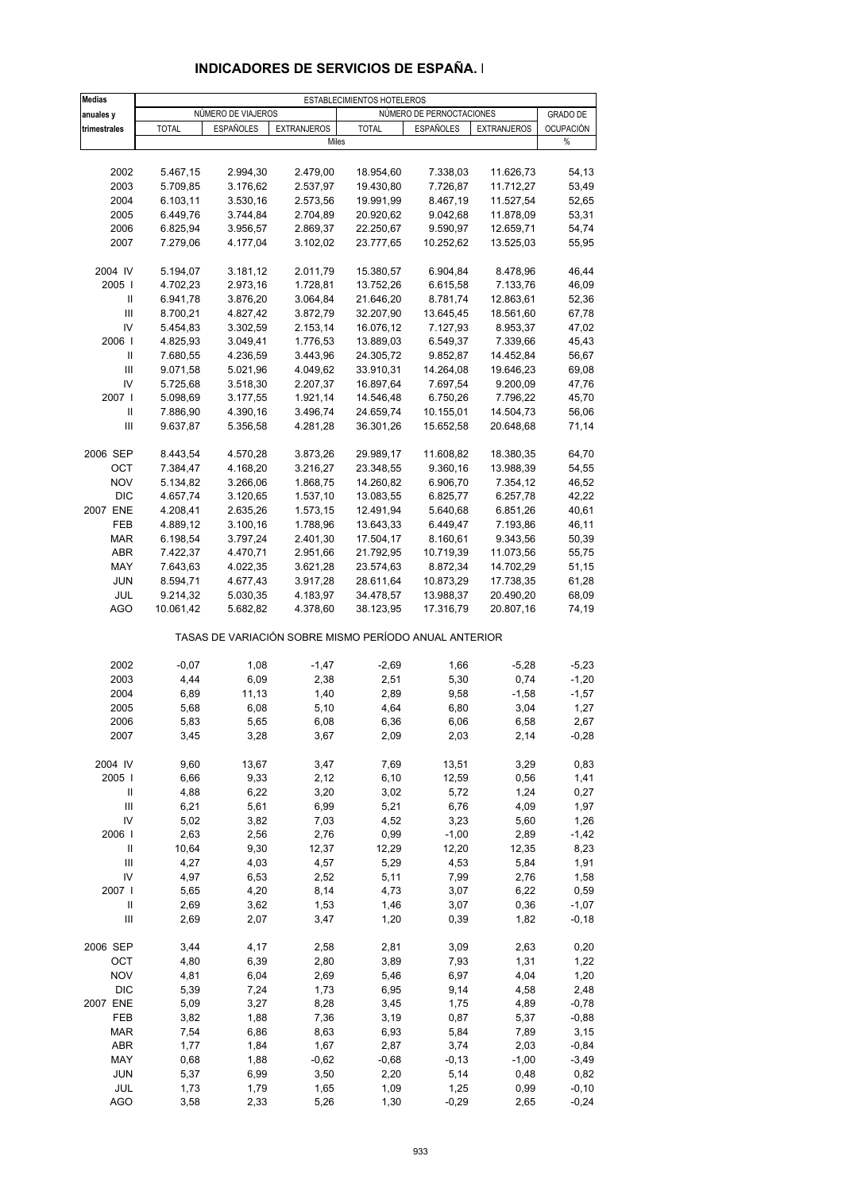| <b>Medias</b>                      | ESTABLECIMIENTOS HOTELEROS                     |                  |                                                       |              |                  |                    |                                     |  |
|------------------------------------|------------------------------------------------|------------------|-------------------------------------------------------|--------------|------------------|--------------------|-------------------------------------|--|
| anuales y                          | NÚMERO DE PERNOCTACIONES<br>NÚMERO DE VIAJEROS |                  |                                                       |              |                  |                    |                                     |  |
| trimestrales                       | <b>TOTAL</b>                                   | <b>ESPAÑOLES</b> | <b>EXTRANJEROS</b>                                    | <b>TOTAL</b> | <b>ESPAÑOLES</b> | <b>EXTRANJEROS</b> | <b>GRADO DE</b><br><b>OCUPACIÓN</b> |  |
|                                    |                                                |                  | Miles                                                 |              |                  |                    | %                                   |  |
|                                    |                                                |                  |                                                       |              |                  |                    |                                     |  |
| 2002                               | 5.467,15                                       | 2.994,30         | 2.479,00                                              | 18.954,60    | 7.338,03         | 11.626,73          | 54,13                               |  |
| 2003                               | 5.709,85                                       | 3.176,62         | 2.537,97                                              | 19.430,80    | 7.726,87         | 11.712,27          | 53,49                               |  |
| 2004                               | 6.103,11                                       | 3.530,16         | 2.573,56                                              | 19.991,99    | 8.467,19         | 11.527,54          | 52,65                               |  |
| 2005                               | 6.449,76                                       | 3.744,84         | 2.704,89                                              | 20.920,62    | 9.042,68         | 11.878,09          | 53,31                               |  |
| 2006                               | 6.825,94                                       | 3.956.57         | 2.869,37                                              | 22.250,67    | 9.590,97         | 12.659,71          | 54,74                               |  |
| 2007                               | 7.279,06                                       | 4.177,04         | 3.102,02                                              | 23.777,65    | 10.252,62        | 13.525,03          | 55,95                               |  |
|                                    |                                                |                  |                                                       |              |                  |                    |                                     |  |
| 2004 IV                            | 5.194,07                                       | 3.181,12         | 2.011,79                                              | 15.380,57    | 6.904,84         | 8.478,96           | 46,44                               |  |
| 2005                               | 4.702,23                                       | 2.973,16         | 1.728,81                                              | 13.752,26    | 6.615,58         | 7.133,76           | 46,09                               |  |
| Ш                                  | 6.941,78                                       | 3.876,20         | 3.064,84                                              | 21.646,20    | 8.781,74         | 12.863,61          | 52,36                               |  |
| III                                | 8.700,21                                       | 4.827,42         | 3.872,79                                              | 32.207,90    | 13.645,45        | 18.561,60          | 67,78                               |  |
| IV                                 | 5.454,83                                       | 3.302,59         | 2.153,14                                              | 16.076,12    | 7.127,93         | 8.953,37           | 47,02                               |  |
| 2006                               | 4.825,93                                       | 3.049,41         | 1.776,53                                              | 13.889,03    | 6.549,37         | 7.339,66           | 45,43                               |  |
| $\sf II$                           | 7.680,55                                       | 4.236,59         | 3.443,96                                              | 24.305,72    | 9.852,87         | 14.452,84          | 56,67                               |  |
| Ш                                  | 9.071,58                                       | 5.021,96         | 4.049,62                                              | 33.910,31    | 14.264,08        | 19.646,23          | 69,08                               |  |
| IV                                 | 5.725,68                                       | 3.518,30         | 2.207,37                                              | 16.897,64    | 7.697,54         | 9.200,09           | 47,76                               |  |
| 2007 l                             | 5.098,69                                       | 3.177,55         | 1.921,14                                              | 14.546,48    | 6.750,26         | 7.796,22           | 45,70                               |  |
| Ш                                  | 7.886,90                                       | 4.390,16         | 3.496,74                                              | 24.659,74    | 10.155,01        | 14.504,73          | 56,06                               |  |
| $\ensuremath{\mathsf{III}}\xspace$ | 9.637,87                                       | 5.356,58         | 4.281,28                                              | 36.301,26    | 15.652,58        | 20.648,68          | 71,14                               |  |
| 2006 SEP                           | 8.443,54                                       | 4.570,28         | 3.873,26                                              | 29.989,17    | 11.608,82        | 18.380,35          | 64,70                               |  |
| OCT                                | 7.384,47                                       | 4.168,20         | 3.216,27                                              | 23.348,55    | 9.360,16         | 13.988,39          | 54,55                               |  |
| <b>NOV</b>                         | 5.134,82                                       | 3.266,06         | 1.868,75                                              | 14.260,82    | 6.906,70         | 7.354,12           | 46,52                               |  |
| <b>DIC</b>                         | 4.657,74                                       | 3.120,65         | 1.537,10                                              | 13.083,55    | 6.825,77         | 6.257,78           | 42,22                               |  |
| 2007 ENE                           | 4.208,41                                       | 2.635,26         | 1.573,15                                              | 12.491,94    | 5.640,68         | 6.851,26           | 40,61                               |  |
| FEB                                | 4.889,12                                       | 3.100,16         | 1.788,96                                              | 13.643,33    | 6.449,47         | 7.193,86           | 46,11                               |  |
| <b>MAR</b>                         | 6.198,54                                       | 3.797,24         | 2.401,30                                              | 17.504,17    | 8.160,61         | 9.343,56           | 50,39                               |  |
| ABR                                | 7.422,37                                       | 4.470,71         | 2.951,66                                              | 21.792,95    | 10.719,39        | 11.073,56          | 55,75                               |  |
| MAY                                | 7.643,63                                       | 4.022,35         | 3.621,28                                              | 23.574,63    | 8.872,34         | 14.702,29          | 51,15                               |  |
| <b>JUN</b>                         | 8.594,71                                       | 4.677,43         | 3.917,28                                              | 28.611,64    | 10.873,29        | 17.738,35          | 61,28                               |  |
| JUL                                | 9.214,32                                       | 5.030,35         | 4.183,97                                              | 34.478,57    | 13.988,37        | 20.490,20          | 68,09                               |  |
| <b>AGO</b>                         | 10.061,42                                      | 5.682,82         | 4.378,60                                              | 38.123,95    | 17.316,79        | 20.807,16          | 74,19                               |  |
|                                    |                                                |                  | TASAS DE VARIACIÓN SOBRE MISMO PERÍODO ANUAL ANTERIOR |              |                  |                    |                                     |  |
|                                    |                                                |                  |                                                       |              |                  |                    |                                     |  |
| 2002                               | $-0,07$                                        | 1,08             | $-1,47$                                               | $-2,69$      | 1,66             | $-5,28$            | $-5,23$                             |  |
| 2003                               | 4,44                                           | 6,09             | 2,38                                                  | 2,51         | 5,30             | 0,74               | $-1,20$                             |  |
| 2004                               | 6,89                                           | 11,13            | 1,40                                                  | 2,89         | 9,58             | $-1,58$            | $-1,57$                             |  |
| 2005                               | 5,68                                           | 6,08             | 5,10                                                  | 4,64         | 6,80             | 3,04               | 1,27                                |  |
| 2006                               | 5,83                                           | 5,65             | 6,08                                                  | 6,36         | 6,06             | 6,58               | 2,67                                |  |
| 2007                               | 3,45                                           | 3,28             | 3,67                                                  | 2,09         | 2,03             | 2,14               | $-0,28$                             |  |
| 2004 IV                            | 9,60                                           | 13,67            | 3,47                                                  | 7,69         | 13,51            | 3,29               | 0,83                                |  |
| 2005                               | 6,66                                           | 9,33             | 2,12                                                  | 6, 10        | 12,59            | 0,56               | 1,41                                |  |
| Ш                                  | 4,88                                           | 6,22             | 3,20                                                  | 3,02         | 5,72             | 1,24               | 0,27                                |  |
| $\mathbf{III}$                     | 6,21                                           | 5,61             | 6,99                                                  | 5,21         | 6,76             | 4,09               | 1,97                                |  |
| IV                                 | 5,02                                           | 3,82             | 7,03                                                  | 4,52         | 3,23             | 5,60               | 1,26                                |  |
| 2006                               | 2,63                                           | 2,56             | 2,76                                                  | 0,99         | $-1,00$          | 2,89               | $-1,42$                             |  |
| Ш                                  | 10,64                                          | 9,30             | 12,37                                                 | 12,29        | 12,20            | 12,35              | 8,23                                |  |
| $\ensuremath{\mathsf{III}}\xspace$ | 4,27                                           | 4,03             | 4,57                                                  | 5,29         | 4,53             | 5,84               | 1,91                                |  |
| IV                                 | 4,97                                           | 6,53             | 2,52                                                  | 5,11         | 7,99             | 2,76               | 1,58                                |  |
| 2007 l                             | 5,65                                           | 4,20             | 8,14                                                  | 4,73         | 3,07             | 6,22               | 0,59                                |  |
| $\, \parallel$                     | 2,69                                           | 3,62             | 1,53                                                  | 1,46         | 3,07             | 0,36               | $-1,07$                             |  |
| Ш                                  | 2,69                                           | 2,07             | 3,47                                                  | 1,20         | 0,39             | 1,82               | $-0,18$                             |  |
|                                    |                                                |                  |                                                       |              |                  |                    |                                     |  |
| 2006 SEP                           | 3,44                                           | 4,17             | 2,58                                                  | 2,81         | 3,09             | 2,63               | 0,20                                |  |
| OCT                                | 4,80                                           | 6,39             | 2,80                                                  | 3,89         | 7,93             | 1,31               | 1,22                                |  |
| <b>NOV</b>                         | 4,81                                           | 6,04             | 2,69                                                  | 5,46         | 6,97             | 4,04               | 1,20                                |  |
| DIC                                | 5,39                                           | 7,24             | 1,73                                                  | 6,95         | 9,14             | 4,58               | 2,48                                |  |
| 2007 ENE                           | 5,09                                           | 3,27             | 8,28                                                  | 3,45         | 1,75             | 4,89               | $-0,78$                             |  |
| FEB                                | 3,82                                           | 1,88             | 7,36                                                  | 3,19         | 0,87             | 5,37               | $-0,88$                             |  |
| <b>MAR</b>                         | 7,54                                           | 6,86             | 8,63                                                  | 6,93         | 5,84             | 7,89               | 3,15                                |  |
| ABR                                | 1,77                                           | 1,84             | 1,67                                                  | 2,87         | 3,74             | 2,03               | $-0,84$                             |  |
| MAY                                | 0,68                                           | 1,88             | $-0,62$                                               | $-0,68$      | $-0,13$          | $-1,00$            | $-3,49$                             |  |
| <b>JUN</b>                         | 5,37                                           | 6,99             | 3,50                                                  | 2,20         | 5,14             | 0,48               | 0,82                                |  |
| JUL                                | 1,73                                           | 1,79             | 1,65                                                  | 1,09         | 1,25             | 0,99               | $-0, 10$                            |  |
| <b>AGO</b>                         | 3,58                                           | 2,33             | 5,26                                                  | 1,30         | $-0,29$          | 2,65               | $-0,24$                             |  |

### **INDICADORES DE SERVICIOS DE ESPAÑA. I**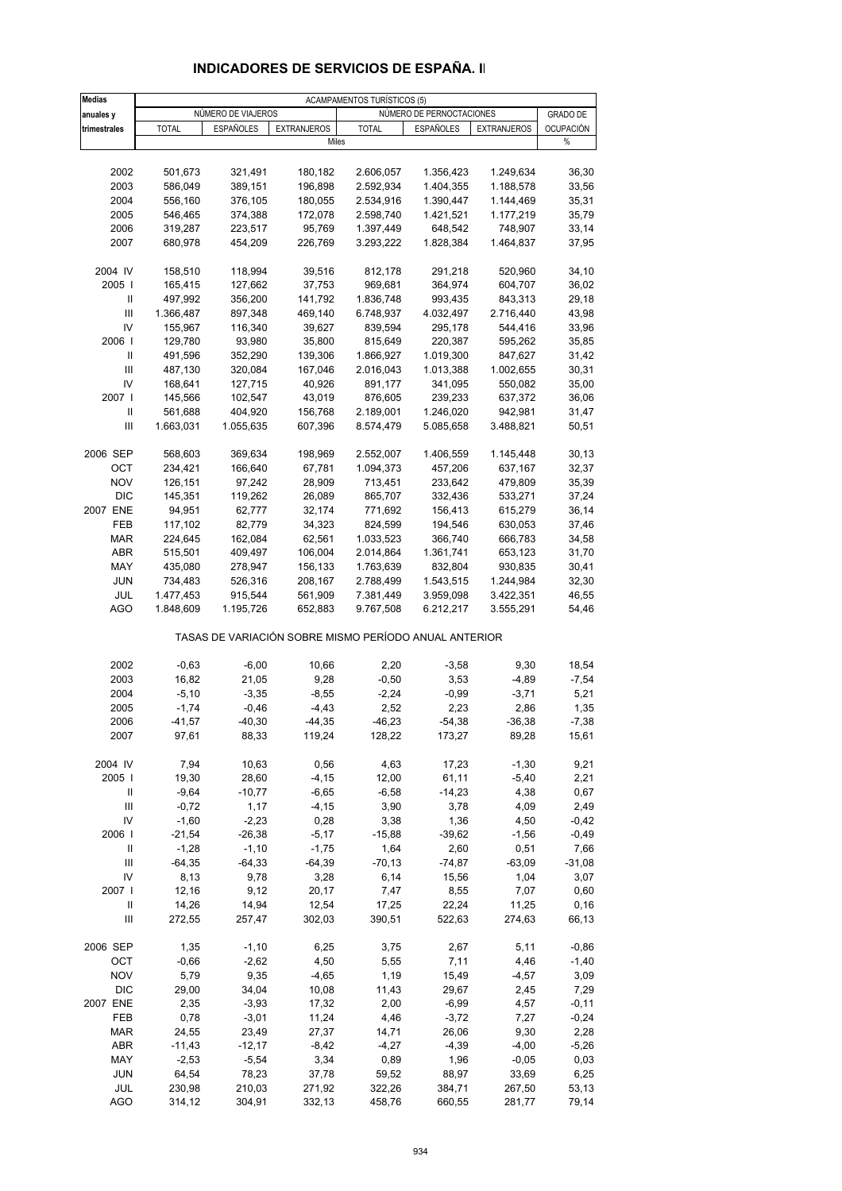| <b>Medias</b>     | ACAMPAMENTOS TURÍSTICOS (5) |                                                       |                    |                        |                          |                        |                  |
|-------------------|-----------------------------|-------------------------------------------------------|--------------------|------------------------|--------------------------|------------------------|------------------|
| anuales y         |                             | NÚMERO DE VIAJEROS                                    |                    |                        | NÚMERO DE PERNOCTACIONES |                        | <b>GRADO DE</b>  |
| trimestrales      | <b>TOTAL</b>                | <b>ESPAÑOLES</b>                                      | <b>EXTRANJEROS</b> | <b>TOTAL</b>           | <b>ESPAÑOLES</b>         | <b>EXTRANJEROS</b>     | <b>OCUPACIÓN</b> |
|                   |                             |                                                       | Miles              |                        |                          |                        | %                |
|                   |                             |                                                       |                    |                        |                          |                        |                  |
| 2002              | 501,673                     | 321,491                                               | 180,182            | 2.606,057              | 1.356,423                | 1.249,634              | 36,30            |
| 2003              | 586,049                     | 389,151                                               | 196,898            | 2.592.934              | 1.404,355                | 1.188,578              | 33,56            |
| 2004              | 556,160                     | 376,105                                               | 180,055            | 2.534,916              | 1.390,447                | 1.144,469              | 35,31            |
| 2005              | 546,465                     | 374,388                                               | 172,078            | 2.598,740              | 1.421,521                | 1.177,219              | 35,79            |
| 2006              | 319,287                     | 223,517                                               | 95,769             | 1.397,449              | 648,542                  | 748,907                | 33,14            |
| 2007              | 680,978                     | 454,209                                               | 226,769            | 3.293,222              | 1.828,384                | 1.464,837              | 37,95            |
| 2004 IV           | 158,510                     | 118,994                                               | 39,516             | 812,178                | 291,218                  | 520,960                | 34,10            |
| 2005              | 165,415                     | 127,662                                               | 37,753             | 969,681                | 364,974                  | 604,707                | 36,02            |
| Ш                 | 497,992                     | 356,200                                               | 141,792            | 1.836,748              | 993,435                  | 843,313                | 29,18            |
| III               | 1.366,487                   | 897,348                                               | 469,140            | 6.748,937              | 4.032,497                | 2.716,440              | 43,98            |
| IV                | 155,967                     | 116,340                                               | 39,627             | 839,594                | 295,178                  | 544,416                | 33,96            |
| 2006              | 129,780                     | 93,980                                                | 35,800             | 815,649                | 220,387                  | 595,262                | 35,85            |
| Ш                 | 491,596                     | 352,290                                               | 139,306            | 1.866,927              | 1.019,300                | 847,627                | 31,42            |
| Ш                 | 487,130                     | 320,084                                               | 167,046            | 2.016,043              | 1.013,388                | 1.002,655              | 30,31            |
| IV                | 168,641                     | 127,715                                               | 40,926             | 891,177                | 341,095                  | 550,082                | 35,00            |
| 2007 l            | 145,566                     | 102,547                                               | 43,019             | 876,605                | 239,233                  | 637,372                | 36,06            |
| Ш                 | 561,688                     | 404,920                                               | 156,768            | 2.189,001              | 1.246,020                | 942,981                | 31,47            |
| III               | 1.663,031                   | 1.055,635                                             | 607,396            | 8.574,479              | 5.085,658                | 3.488,821              | 50,51            |
|                   |                             |                                                       |                    | 2.552,007              | 1.406,559                |                        |                  |
| 2006 SEP          | 568,603                     | 369,634                                               | 198,969            |                        |                          | 1.145,448              | 30, 13           |
| OCT               | 234,421                     | 166,640                                               | 67,781             | 1.094,373              | 457,206                  | 637,167                | 32,37            |
| <b>NOV</b>        | 126,151                     | 97,242                                                | 28,909             | 713,451                | 233,642                  | 479,809                | 35,39            |
| <b>DIC</b>        | 145,351                     | 119,262                                               | 26,089             | 865,707                | 332,436                  | 533,271                | 37,24            |
| 2007 ENE          | 94,951                      | 62,777                                                | 32,174             | 771,692                | 156,413                  | 615,279                | 36,14            |
| FEB               | 117,102                     | 82,779                                                | 34,323             | 824,599                | 194,546                  | 630,053                | 37,46            |
| <b>MAR</b>        | 224,645                     | 162,084                                               | 62,561             | 1.033,523              | 366,740                  | 666,783                | 34,58            |
| ABR               | 515,501                     | 409,497                                               | 106,004            | 2.014,864              | 1.361,741                | 653,123                | 31,70            |
| MAY               | 435,080                     | 278,947                                               | 156,133            | 1.763,639              | 832,804                  | 930,835                | 30,41            |
| <b>JUN</b>        | 734,483                     | 526,316                                               | 208,167            | 2.788,499              | 1.543,515                | 1.244,984              | 32,30            |
| JUL<br><b>AGO</b> | 1.477,453<br>1.848,609      | 915,544<br>1.195,726                                  | 561,909<br>652,883 | 7.381,449<br>9.767,508 | 3.959,098<br>6.212,217   | 3.422,351<br>3.555,291 | 46,55<br>54,46   |
|                   |                             |                                                       |                    |                        |                          |                        |                  |
|                   |                             | TASAS DE VARIACIÓN SOBRE MISMO PERÍODO ANUAL ANTERIOR |                    |                        |                          |                        |                  |
| 2002              | $-0,63$                     | $-6,00$                                               | 10,66              | 2,20                   | $-3,58$                  | 9,30                   | 18,54            |
| 2003              | 16,82                       | 21,05                                                 | 9,28               | $-0,50$                | 3,53                     | $-4,89$                | $-7,54$          |
| 2004              | $-5,10$                     | $-3,35$                                               | $-8,55$            | $-2,24$                | $-0,99$                  | $-3,71$                | 5,21             |
| 2005              | $-1,74$                     | $-0,46$                                               | $-4,43$            | 2,52                   | 2,23                     | 2,86                   | 1,35             |
| 2006              | $-41,57$                    | $-40,30$                                              | $-44,35$           | $-46,23$               | -54,38                   | $-36,38$               | $-7,38$          |
| 2007              | 97,61                       | 88,33                                                 | 119,24             | 128,22                 | 173,27                   | 89,28                  | 15,61            |
| 2004 IV           | 7,94                        | 10,63                                                 | 0,56               | 4,63                   | 17,23                    | $-1,30$                | 9,21             |
| 2005              | 19,30                       | 28,60                                                 | $-4, 15$           | 12,00                  | 61,11                    | $-5,40$                | 2,21             |
| Ш                 | $-9,64$                     | $-10,77$                                              | $-6,65$            | $-6,58$                | $-14,23$                 | 4,38                   | 0,67             |
| Ш                 | $-0,72$                     | 1,17                                                  | $-4, 15$           | 3,90                   | 3,78                     | 4,09                   | 2,49             |
| IV                | $-1,60$                     | $-2,23$                                               | 0,28               | 3,38                   | 1,36                     | 4,50                   | $-0,42$          |
| 2006              | $-21,54$                    | $-26,38$                                              | $-5,17$            | $-15,88$               | $-39,62$                 | $-1,56$                | $-0,49$          |
| Ш                 | $-1,28$                     | $-1,10$                                               | $-1,75$            | 1,64                   | 2,60                     | 0,51                   | 7,66             |
| Ш                 | $-64,35$                    | $-64,33$                                              | $-64,39$           | $-70,13$               | -74,87                   | $-63,09$               | $-31,08$         |
| IV                | 8,13                        | 9,78                                                  | 3,28               | 6,14                   | 15,56                    | 1,04                   | 3,07             |
| 2007 l            | 12,16                       | 9,12                                                  | 20,17              | 7,47                   | 8,55                     | 7,07                   | 0,60             |
| Ш                 | 14,26                       | 14,94                                                 | 12,54              | 17,25                  | 22,24                    | 11,25                  | 0, 16            |
| Ш                 | 272,55                      | 257,47                                                | 302,03             | 390,51                 | 522,63                   | 274,63                 | 66,13            |
| 2006 SEP          | 1,35                        | $-1,10$                                               | 6,25               | 3,75                   | 2,67                     | 5,11                   | $-0,86$          |
| OCT               | $-0,66$                     | $-2,62$                                               | 4,50               | 5,55                   | 7,11                     | 4,46                   | $-1,40$          |
| <b>NOV</b>        | 5,79                        | 9,35                                                  | $-4,65$            | 1,19                   | 15,49                    | $-4,57$                | 3,09             |
| <b>DIC</b>        | 29,00                       | 34,04                                                 | 10,08              | 11,43                  | 29,67                    |                        |                  |
| 2007 ENE          | 2,35                        | $-3,93$                                               |                    | 2,00                   | $-6,99$                  | 2,45                   | 7,29             |
|                   |                             |                                                       | 17,32              |                        |                          | 4,57                   | $-0,11$          |
| FEB               | 0,78                        | $-3,01$                                               | 11,24              | 4,46                   | $-3,72$                  | 7,27                   | $-0,24$          |
| <b>MAR</b>        | 24,55                       | 23,49                                                 | 27,37              | 14,71                  | 26,06                    | 9,30                   | 2,28             |
| ABR               | $-11,43$                    | $-12,17$                                              | $-8,42$            | $-4,27$                | $-4,39$                  | $-4,00$                | $-5,26$          |
| MAY<br><b>JUN</b> | $-2,53$<br>64,54            | $-5,54$                                               | 3,34               | 0,89                   | 1,96                     | $-0,05$                | 0,03             |
| JUL               | 230,98                      | 78,23<br>210,03                                       | 37,78<br>271,92    | 59,52<br>322,26        | 88,97<br>384,71          | 33,69<br>267,50        | 6,25<br>53,13    |
| <b>AGO</b>        | 314,12                      | 304,91                                                | 332,13             | 458,76                 | 660,55                   | 281,77                 | 79,14            |
|                   |                             |                                                       |                    |                        |                          |                        |                  |

### **INDICADORES DE SERVICIOS DE ESPAÑA. II**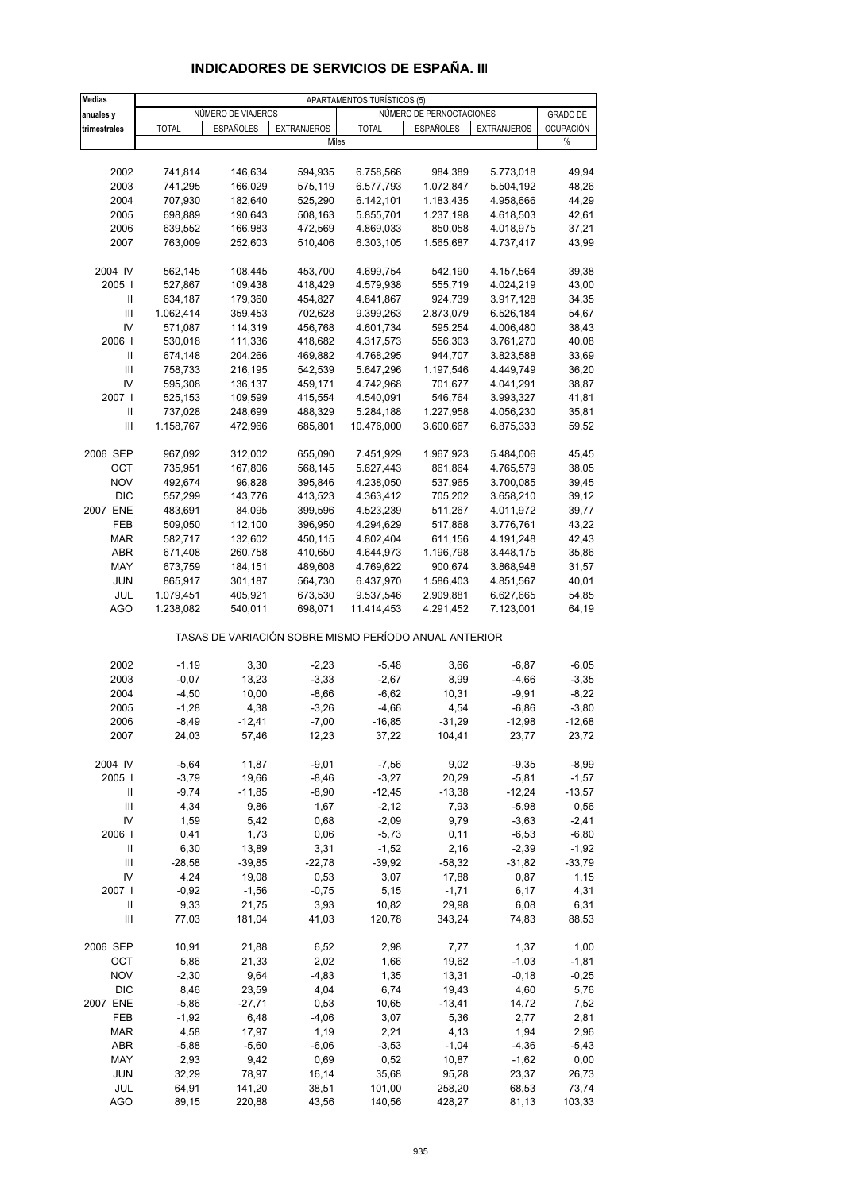| <b>Medias</b>                      | APARTAMENTOS TURÍSTICOS (5) |                    |                                                       |                    |                          |                    |                    |  |
|------------------------------------|-----------------------------|--------------------|-------------------------------------------------------|--------------------|--------------------------|--------------------|--------------------|--|
| anuales y                          |                             | NÚMERO DE VIAJEROS |                                                       |                    | NÚMERO DE PERNOCTACIONES |                    | <b>GRADO DE</b>    |  |
| trimestrales                       | <b>TOTAL</b>                | <b>ESPAÑOLES</b>   | <b>EXTRANJEROS</b>                                    | <b>TOTAL</b>       | <b>ESPAÑOLES</b>         | <b>EXTRANJEROS</b> | <b>OCUPACIÓN</b>   |  |
|                                    |                             |                    | Miles                                                 |                    |                          |                    | %                  |  |
|                                    |                             |                    |                                                       |                    |                          |                    |                    |  |
| 2002                               | 741,814                     | 146,634            | 594,935                                               | 6.758,566          | 984,389                  | 5.773,018          | 49,94              |  |
| 2003                               | 741,295                     | 166,029            | 575,119                                               | 6.577,793          | 1.072,847                | 5.504,192          | 48,26              |  |
| 2004                               | 707,930                     | 182,640            | 525,290                                               | 6.142,101          | 1.183,435                | 4.958,666          | 44,29              |  |
| 2005                               | 698,889                     | 190,643            | 508,163                                               | 5.855,701          | 1.237,198                | 4.618,503          | 42,61              |  |
| 2006                               | 639,552                     | 166,983            | 472,569                                               | 4.869,033          | 850,058                  | 4.018,975          | 37,21              |  |
| 2007                               | 763,009                     | 252,603            | 510,406                                               | 6.303,105          | 1.565,687                | 4.737,417          | 43,99              |  |
| 2004 IV                            | 562,145                     | 108,445            | 453,700                                               | 4.699,754          | 542,190                  | 4.157,564          | 39,38              |  |
| 2005                               | 527,867                     | 109,438            | 418,429                                               | 4.579,938          | 555,719                  | 4.024,219          | 43,00              |  |
| Ш                                  | 634,187                     | 179,360            | 454,827                                               | 4.841,867          | 924,739                  | 3.917,128          | 34,35              |  |
| $\ensuremath{\mathsf{III}}\xspace$ | 1.062,414                   | 359,453            | 702,628                                               | 9.399,263          | 2.873,079                | 6.526,184          | 54,67              |  |
| IV                                 | 571,087                     | 114,319            | 456,768                                               | 4.601,734          | 595,254                  | 4.006,480          | 38,43              |  |
| 2006                               | 530,018                     | 111,336            | 418,682                                               | 4.317,573          | 556,303                  | 3.761,270          | 40,08              |  |
| Ш                                  | 674,148                     | 204,266            | 469,882                                               | 4.768,295          | 944,707                  | 3.823,588          | 33,69              |  |
| Ш                                  | 758,733                     | 216,195            | 542,539                                               | 5.647,296          | 1.197,546                | 4.449,749          | 36,20              |  |
| IV                                 | 595,308                     | 136,137            | 459,171                                               | 4.742,968          | 701,677                  | 4.041,291          | 38,87              |  |
| 2007                               | 525,153                     | 109,599            | 415,554                                               | 4.540,091          | 546,764                  | 3.993,327          | 41,81              |  |
| Ш                                  | 737,028                     | 248,699            | 488,329                                               | 5.284,188          | 1.227,958                | 4.056,230          | 35,81              |  |
| Ш                                  | 1.158,767                   | 472,966            | 685,801                                               | 10.476,000         | 3.600,667                | 6.875,333          | 59,52              |  |
| 2006 SEP                           | 967,092                     | 312,002            | 655,090                                               | 7.451,929          | 1.967,923                | 5.484,006          | 45,45              |  |
| OCT                                | 735,951                     | 167,806            | 568,145                                               | 5.627,443          | 861,864                  | 4.765,579          | 38,05              |  |
| <b>NOV</b>                         | 492,674                     | 96,828             | 395,846                                               | 4.238,050          | 537,965                  | 3.700,085          | 39,45              |  |
| DIC                                | 557,299                     | 143,776            | 413,523                                               | 4.363,412          | 705,202                  | 3.658,210          | 39,12              |  |
| 2007 ENE                           | 483,691                     | 84,095             | 399,596                                               | 4.523,239          | 511,267                  | 4.011,972          | 39,77              |  |
| FEB                                | 509,050                     | 112,100            | 396,950                                               | 4.294,629          | 517,868                  | 3.776,761          | 43,22              |  |
| MAR                                | 582,717                     | 132,602            | 450,115                                               | 4.802,404          | 611,156                  | 4.191,248          | 42,43              |  |
| <b>ABR</b>                         | 671,408                     | 260,758            | 410,650                                               | 4.644,973          | 1.196,798                | 3.448,175          | 35,86              |  |
| MAY                                | 673,759                     | 184,151            | 489,608                                               | 4.769,622          | 900,674                  | 3.868,948          | 31,57              |  |
| <b>JUN</b>                         | 865,917                     | 301,187            | 564,730                                               | 6.437,970          | 1.586,403                | 4.851,567          | 40,01              |  |
| JUL                                | 1.079,451                   | 405,921            | 673,530                                               | 9.537,546          | 2.909,881                | 6.627,665          | 54,85              |  |
| AGO                                | 1.238,082                   | 540,011            | 698,071                                               | 11.414,453         | 4.291,452                | 7.123,001          | 64,19              |  |
|                                    |                             |                    | TASAS DE VARIACIÓN SOBRE MISMO PERÍODO ANUAL ANTERIOR |                    |                          |                    |                    |  |
| 2002                               | $-1,19$                     | 3,30               | $-2,23$                                               | $-5,48$            | 3,66                     | $-6,87$            | $-6,05$            |  |
| 2003                               | $-0,07$                     | 13,23              | $-3,33$                                               | $-2,67$            | 8,99                     | $-4,66$            | $-3,35$            |  |
| 2004                               | $-4,50$                     | 10,00              | $-8,66$                                               | $-6,62$            | 10,31                    | $-9,91$            | $-8,22$            |  |
| 2005                               | $-1,28$                     | 4,38               | $-3,26$                                               | $-4,66$            | 4,54                     | $-6,86$            | $-3,80$            |  |
| 2006                               | $-8,49$                     | $-12,41$           | $-7,00$                                               | $-16,85$           | $-31,29$                 | $-12,98$           | $-12,68$           |  |
| 2007                               | 24,03                       | 57,46              | 12,23                                                 | 37,22              | 104,41                   | 23,77              | 23,72              |  |
|                                    |                             |                    |                                                       |                    |                          |                    |                    |  |
| 2004 IV<br>2005                    | $-5,64$<br>$-3,79$          | 11,87<br>19,66     | $-9,01$<br>$-8,46$                                    | $-7,56$<br>$-3,27$ | 9,02<br>20,29            | $-9,35$<br>$-5,81$ | $-8,99$<br>$-1,57$ |  |
| Ш                                  | $-9,74$                     | $-11,85$           | $-8,90$                                               | $-12,45$           | $-13,38$                 | $-12,24$           | $-13,57$           |  |
| Ш                                  | 4,34                        | 9,86               | 1,67                                                  | $-2,12$            | 7,93                     | $-5,98$            | 0,56               |  |
| IV                                 | 1,59                        | 5,42               | 0,68                                                  | $-2,09$            | 9,79                     | $-3,63$            | $-2,41$            |  |
| 2006                               | 0,41                        | 1,73               | 0,06                                                  | $-5,73$            | 0,11                     | $-6,53$            | $-6,80$            |  |
| Ш                                  | 6,30                        | 13,89              | 3,31                                                  | $-1,52$            | 2,16                     | $-2,39$            | $-1,92$            |  |
| Ш                                  | $-28,58$                    | $-39,85$           | $-22,78$                                              | $-39,92$           | $-58,32$                 | $-31,82$           | $-33,79$           |  |
| IV                                 | 4,24                        | 19,08              | 0,53                                                  | 3,07               | 17,88                    | 0,87               | 1,15               |  |
| 2007                               | $-0.92$                     | $-1,56$            | $-0.75$                                               | 5,15               | $-1,71$                  | 6,17               | 4,31               |  |
| Ш                                  | 9,33                        | 21,75              | 3,93                                                  | 10,82              | 29,98                    | 6,08               | 6,31               |  |
| Ш                                  | 77,03                       | 181,04             | 41,03                                                 | 120,78             | 343,24                   | 74,83              | 88,53              |  |
|                                    |                             |                    |                                                       |                    |                          |                    |                    |  |
| 2006 SEP                           | 10,91                       | 21,88              | 6,52                                                  | 2,98               | 7,77                     | 1,37               | 1,00               |  |
| OCT                                | 5,86                        | 21,33              | 2,02                                                  | 1,66               | 19,62                    | $-1,03$            | $-1,81$            |  |
| <b>NOV</b>                         | $-2,30$                     | 9,64               | $-4,83$                                               | 1,35               | 13,31                    | $-0,18$            | $-0,25$            |  |
| <b>DIC</b>                         | 8,46                        | 23,59              | 4,04                                                  | 6,74               | 19,43                    | 4,60               | 5,76               |  |
| 2007 ENE                           | $-5,86$                     | $-27,71$           | 0,53                                                  | 10,65              | $-13,41$                 | 14,72              | 7,52               |  |
| FEB                                | $-1,92$                     | 6,48               | $-4,06$                                               | 3,07               | 5,36                     | 2,77               | 2,81               |  |
| <b>MAR</b>                         | 4,58                        | 17,97              | 1,19                                                  | 2,21               | 4,13                     | 1,94               | 2,96               |  |
| ABR                                | $-5,88$                     | $-5,60$            | $-6,06$                                               | $-3,53$            | $-1,04$                  | -4,36              | $-5,43$            |  |
| MAY                                | 2,93                        | 9,42               | 0,69                                                  | 0,52               | 10,87                    | $-1,62$            | 0,00               |  |
| <b>JUN</b>                         | 32,29                       | 78,97              | 16,14                                                 | 35,68              | 95,28                    | 23,37              | 26,73              |  |
| JUL                                | 64,91                       | 141,20             | 38,51                                                 | 101,00             | 258,20                   | 68,53              | 73,74              |  |

#### **INDICADORES DE SERVICIOS DE ESPAÑA. III**

AGO 89,15 220,88 43,56 140,56 428,27 81,13 103,33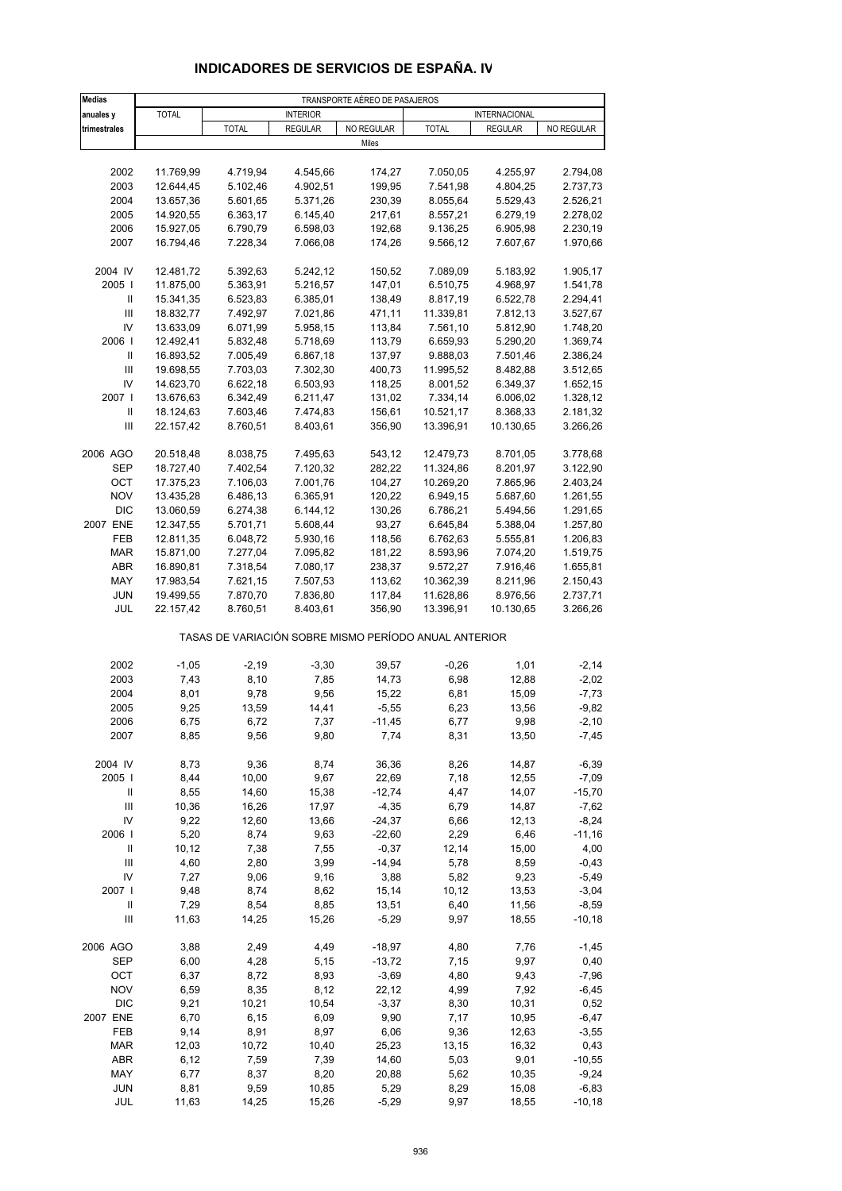| <b>Medias</b>                      | TRANSPORTE AÉREO DE PASAJEROS |                                                       |                 |            |              |                      |            |
|------------------------------------|-------------------------------|-------------------------------------------------------|-----------------|------------|--------------|----------------------|------------|
| anuales y                          | <b>TOTAL</b>                  |                                                       | <b>INTERIOR</b> |            |              | <b>INTERNACIONAL</b> |            |
| trimestrales                       |                               | <b>TOTAL</b>                                          | <b>REGULAR</b>  | NO REGULAR | <b>TOTAL</b> | <b>REGULAR</b>       | NO REGULAR |
|                                    |                               |                                                       |                 | Miles      |              |                      |            |
|                                    |                               |                                                       |                 |            |              |                      |            |
| 2002                               | 11.769,99                     | 4.719,94                                              | 4.545,66        | 174,27     | 7.050,05     | 4.255,97             | 2.794,08   |
| 2003                               | 12.644,45                     | 5.102,46                                              | 4.902,51        | 199,95     | 7.541,98     | 4.804,25             | 2.737,73   |
| 2004                               | 13.657,36                     | 5.601,65                                              | 5.371,26        | 230,39     | 8.055,64     | 5.529,43             | 2.526,21   |
| 2005                               | 14.920,55                     | 6.363,17                                              | 6.145,40        | 217,61     | 8.557,21     | 6.279,19             | 2.278,02   |
| 2006                               | 15.927,05                     | 6.790,79                                              | 6.598,03        | 192,68     | 9.136,25     | 6.905,98             | 2.230,19   |
| 2007                               | 16.794,46                     | 7.228,34                                              | 7.066,08        | 174,26     | 9.566,12     | 7.607,67             | 1.970,66   |
|                                    |                               |                                                       |                 |            |              |                      |            |
| 2004 IV                            | 12.481,72                     | 5.392,63                                              | 5.242,12        | 150,52     | 7.089,09     | 5.183,92             | 1.905,17   |
| 2005                               | 11.875,00                     | 5.363,91                                              | 5.216,57        | 147,01     | 6.510,75     | 4.968,97             | 1.541,78   |
| Ш                                  | 15.341,35                     | 6.523,83                                              | 6.385,01        | 138,49     | 8.817,19     | 6.522,78             | 2.294,41   |
| $\ensuremath{\mathsf{III}}\xspace$ | 18.832,77                     | 7.492,97                                              | 7.021,86        | 471,11     | 11.339,81    | 7.812,13             | 3.527,67   |
| IV                                 | 13.633,09                     | 6.071,99                                              | 5.958,15        | 113,84     | 7.561,10     | 5.812,90             | 1.748,20   |
| 2006                               | 12.492,41                     | 5.832,48                                              | 5.718,69        | 113,79     | 6.659,93     | 5.290,20             | 1.369,74   |
| $\ensuremath{\mathsf{II}}$         | 16.893,52                     | 7.005,49                                              | 6.867,18        | 137,97     | 9.888,03     | 7.501,46             | 2.386,24   |
| Ш                                  | 19.698,55                     | 7.703,03                                              | 7.302,30        | 400,73     | 11.995,52    | 8.482,88             | 3.512,65   |
| IV                                 | 14.623,70                     | 6.622,18                                              | 6.503,93        | 118,25     | 8.001,52     | 6.349,37             | 1.652,15   |
| 2007 l                             | 13.676,63                     | 6.342,49                                              | 6.211,47        | 131,02     | 7.334,14     | 6.006,02             | 1.328,12   |
| Ш                                  | 18.124,63                     | 7.603,46                                              | 7.474,83        | 156,61     | 10.521,17    | 8.368,33             | 2.181,32   |
| Ш                                  |                               | 8.760,51                                              | 8.403,61        | 356,90     | 13.396,91    | 10.130,65            | 3.266,26   |
|                                    | 22.157,42                     |                                                       |                 |            |              |                      |            |
| 2006 AGO                           | 20.518,48                     | 8.038,75                                              | 7.495,63        | 543,12     | 12.479,73    | 8.701,05             | 3.778,68   |
| SEP                                | 18.727,40                     | 7.402,54                                              | 7.120,32        | 282,22     | 11.324,86    | 8.201,97             | 3.122,90   |
|                                    | 17.375,23                     | 7.106,03                                              |                 |            |              |                      |            |
| OCT                                |                               | 6.486,13                                              | 7.001,76        | 104,27     | 10.269,20    | 7.865,96             | 2.403,24   |
| <b>NOV</b>                         | 13.435,28                     |                                                       | 6.365,91        | 120,22     | 6.949,15     | 5.687,60             | 1.261,55   |
| <b>DIC</b>                         | 13.060,59                     | 6.274,38                                              | 6.144,12        | 130,26     | 6.786,21     | 5.494,56             | 1.291,65   |
| 2007 ENE                           | 12.347,55                     | 5.701,71                                              | 5.608,44        | 93,27      | 6.645,84     | 5.388,04             | 1.257,80   |
| FEB                                | 12.811,35                     | 6.048,72                                              | 5.930,16        | 118,56     | 6.762,63     | 5.555,81             | 1.206,83   |
| <b>MAR</b>                         | 15.871,00                     | 7.277,04                                              | 7.095,82        | 181,22     | 8.593,96     | 7.074,20             | 1.519,75   |
| <b>ABR</b>                         | 16.890,81                     | 7.318,54                                              | 7.080,17        | 238,37     | 9.572,27     | 7.916,46             | 1.655,81   |
| MAY                                | 17.983,54                     | 7.621,15                                              | 7.507,53        | 113,62     | 10.362,39    | 8.211,96             | 2.150,43   |
| <b>JUN</b>                         | 19.499,55                     | 7.870,70                                              | 7.836,80        | 117,84     | 11.628,86    | 8.976,56             | 2.737,71   |
| JUL                                | 22.157,42                     | 8.760,51                                              | 8.403,61        | 356,90     | 13.396,91    | 10.130,65            | 3.266,26   |
|                                    |                               | TASAS DE VARIACIÓN SOBRE MISMO PERÍODO ANUAL ANTERIOR |                 |            |              |                      |            |
| 2002                               | $-1,05$                       | $-2,19$                                               | $-3,30$         | 39,57      | $-0,26$      | 1,01                 | $-2,14$    |
| 2003                               | 7,43                          | 8,10                                                  | 7,85            | 14,73      | 6,98         | 12,88                | $-2,02$    |
| 2004                               | 8,01                          | 9,78                                                  | 9,56            | 15,22      | 6,81         | 15,09                | $-7,73$    |
| 2005                               | 9,25                          | 13,59                                                 | 14,41           | $-5,55$    | 6,23         | 13,56                | $-9,82$    |
| 2006                               | 6,75                          | 6,72                                                  | 7,37            | $-11,45$   | 6,77         | 9,98                 | $-2,10$    |
| 2007                               | 8,85                          | 9,56                                                  | 9,80            | 7,74       | 8,31         | 13,50                | $-7,45$    |
|                                    |                               |                                                       |                 |            |              |                      |            |
| 2004 IV                            | 8,73                          | 9,36                                                  | 8,74            | 36,36      | 8,26         | 14,87                | $-6,39$    |
| 2005                               | 8,44                          | 10,00                                                 | 9,67            | 22,69      | 7,18         | 12,55                | $-7,09$    |
| Ш                                  | 8,55                          | 14,60                                                 | 15,38           | $-12,74$   | 4,47         | 14,07                | $-15,70$   |
| III                                | 10,36                         | 16,26                                                 | 17,97           | $-4,35$    | 6,79         | 14,87                | $-7,62$    |
| IV                                 | 9,22                          | 12,60                                                 | 13,66           | $-24,37$   | 6,66         | 12,13                | $-8,24$    |
| 2006                               | 5,20                          | 8,74                                                  | 9,63            | $-22,60$   | 2,29         | 6,46                 | $-11,16$   |
| Ш                                  | 10, 12                        | 7,38                                                  | 7,55            | $-0,37$    | 12,14        | 15,00                | 4,00       |
| $\ensuremath{\mathsf{III}}\xspace$ | 4,60                          | 2,80                                                  | 3,99            | $-14,94$   | 5,78         | 8,59                 | $-0,43$    |
| IV                                 | 7,27                          | 9,06                                                  | 9,16            | 3,88       | 5,82         | 9,23                 | $-5,49$    |
| 2007 I                             | 9,48                          | 8,74                                                  | 8,62            | 15,14      | 10, 12       | 13,53                | $-3,04$    |
| Ш                                  | 7,29                          | 8,54                                                  | 8,85            | 13,51      | 6,40         | 11,56                | $-8,59$    |
| Ш                                  | 11,63                         | 14,25                                                 | 15,26           | $-5,29$    | 9,97         | 18,55                | $-10,18$   |
|                                    |                               |                                                       |                 |            |              |                      |            |
| 2006 AGO                           | 3,88                          | 2,49                                                  | 4,49            | $-18,97$   | 4,80         | 7,76                 | $-1,45$    |
| SEP                                | 6,00                          | 4,28                                                  | 5,15            | $-13,72$   | 7,15         | 9,97                 | 0,40       |
| OCT                                | 6,37                          | 8,72                                                  | 8,93            | $-3,69$    | 4,80         | 9,43                 | $-7,96$    |
| <b>NOV</b>                         | 6,59                          | 8,35                                                  | 8,12            | 22,12      | 4,99         | 7,92                 | $-6,45$    |
| <b>DIC</b>                         | 9,21                          | 10,21                                                 | 10,54           | $-3,37$    | 8,30         | 10,31                | 0,52       |
| 2007 ENE                           | 6,70                          | 6,15                                                  | 6,09            | 9,90       | 7,17         | 10,95                | $-6,47$    |
| FEB                                | 9,14                          | 8,91                                                  | 8,97            | 6,06       | 9,36         | 12,63                | $-3,55$    |
| <b>MAR</b>                         | 12,03                         | 10,72                                                 | 10,40           | 25,23      | 13,15        | 16,32                | 0,43       |
| <b>ABR</b>                         | 6, 12                         | 7,59                                                  | 7,39            | 14,60      | 5,03         | 9,01                 | $-10,55$   |
| MAY                                | 6,77                          | 8,37                                                  | 8,20            | 20,88      | 5,62         | 10,35                | $-9,24$    |
| <b>JUN</b>                         | 8,81                          | 9,59                                                  | 10,85           | 5,29       | 8,29         | 15,08                | $-6,83$    |
| JUL                                | 11,63                         | 14,25                                                 | 15,26           | $-5,29$    | 9,97         | 18,55                | $-10,18$   |

## **INDICADORES DE SERVICIOS DE ESPAÑA. IV**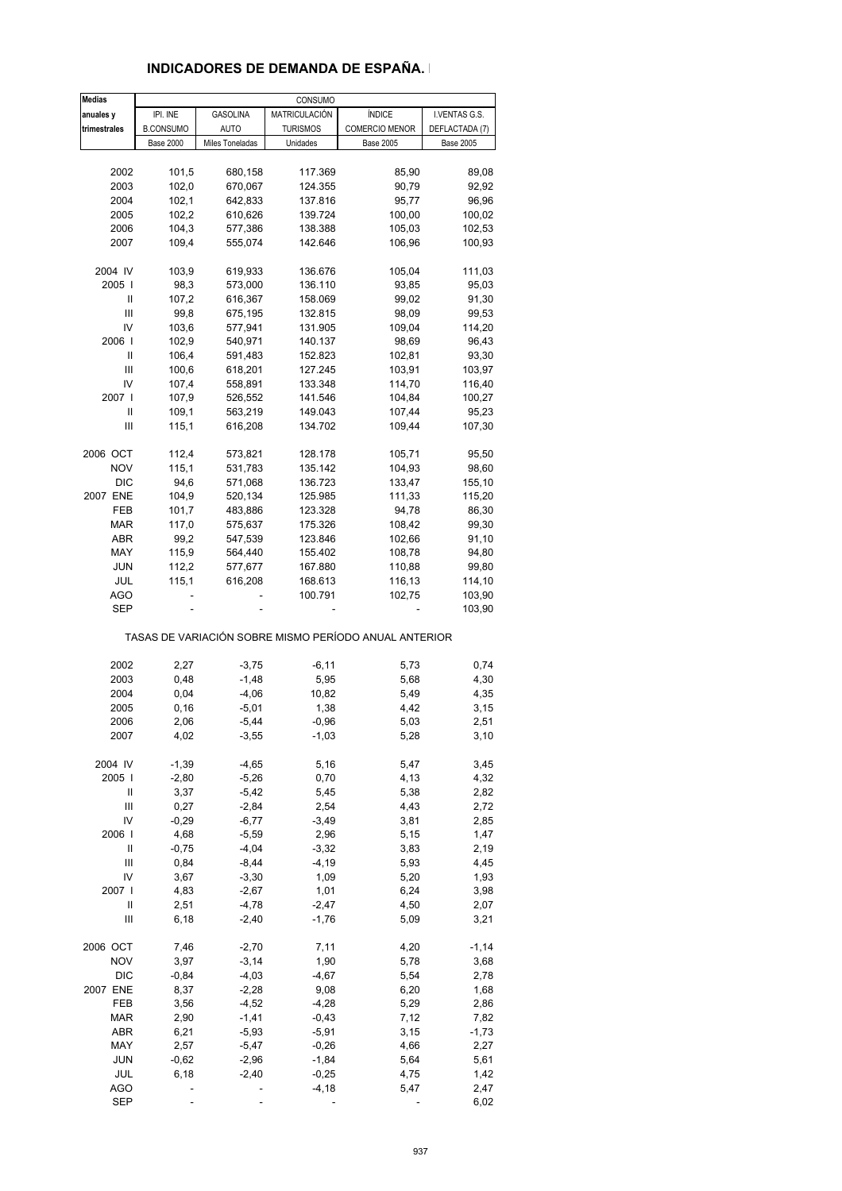## **INDICADORES DE DEMANDA DE ESPAÑA. I**

| <b>Medias</b>                      |                  |                 | CONSUMO         |                                                       |                  |
|------------------------------------|------------------|-----------------|-----------------|-------------------------------------------------------|------------------|
| anuales y                          | IPI. INE         | <b>GASOLINA</b> | MATRICULACIÓN   | <b>ÍNDICE</b>                                         | I.VENTAS G.S.    |
| trimestrales                       | <b>B.CONSUMO</b> | <b>AUTO</b>     | <b>TURISMOS</b> | COMERCIO MENOR                                        | DEFLACTADA (7)   |
|                                    | <b>Base 2000</b> | Miles Toneladas | Unidades        | <b>Base 2005</b>                                      | <b>Base 2005</b> |
|                                    |                  |                 |                 |                                                       |                  |
| 2002                               | 101,5            | 680,158         | 117.369         | 85,90                                                 | 89,08            |
| 2003                               | 102,0            | 670,067         | 124.355         | 90,79                                                 | 92,92            |
| 2004                               | 102,1            | 642,833         | 137.816         | 95,77                                                 | 96,96            |
| 2005                               | 102,2            | 610,626         | 139.724         | 100,00                                                | 100,02           |
| 2006                               | 104,3            | 577,386         | 138.388         | 105,03                                                | 102,53           |
| 2007                               | 109,4            | 555,074         | 142.646         | 106,96                                                | 100,93           |
|                                    |                  |                 |                 |                                                       |                  |
| 2004 IV                            | 103,9            | 619,933         | 136.676         | 105,04                                                | 111,03           |
| 2005                               | 98,3             | 573,000         | 136.110         | 93,85                                                 | 95,03            |
| Ш                                  | 107,2            | 616,367         | 158.069         | 99,02                                                 | 91,30            |
| Ш                                  | 99,8             | 675,195         | 132.815         | 98,09                                                 | 99,53            |
| IV                                 | 103,6            | 577,941         | 131.905         | 109,04                                                | 114,20           |
| 2006                               | 102,9            | 540,971         | 140.137         | 98,69                                                 | 96,43            |
| Ш                                  | 106,4            | 591,483         | 152.823         | 102,81                                                | 93,30            |
| $\ensuremath{\mathsf{III}}\xspace$ | 100,6            | 618,201         | 127.245         | 103,91                                                | 103,97           |
| IV                                 | 107,4            | 558,891         | 133.348         | 114,70                                                | 116,40           |
| 2007                               | 107,9            | 526,552         | 141.546         | 104,84                                                | 100,27           |
| Ш                                  |                  |                 |                 | 107,44                                                |                  |
| Ш                                  | 109,1            | 563,219         | 149.043         |                                                       | 95,23            |
|                                    | 115,1            | 616,208         | 134.702         | 109,44                                                | 107,30           |
| 2006 OCT                           | 112,4            | 573,821         | 128.178         | 105,71                                                | 95,50            |
| <b>NOV</b>                         | 115,1            | 531,783         | 135.142         | 104,93                                                | 98,60            |
| DIC                                | 94,6             | 571,068         | 136.723         | 133,47                                                | 155,10           |
| 2007 ENE                           | 104,9            | 520,134         | 125.985         | 111,33                                                | 115,20           |
| FEB                                | 101,7            | 483,886         | 123.328         | 94,78                                                 | 86,30            |
| MAR                                | 117,0            | 575,637         |                 | 108,42                                                |                  |
|                                    |                  |                 | 175.326         |                                                       | 99,30            |
| ABR                                | 99,2             | 547,539         | 123.846         | 102,66                                                | 91,10            |
| MAY                                | 115,9            | 564,440         | 155.402         | 108,78                                                | 94,80            |
| JUN                                | 112,2            | 577,677         | 167.880         | 110,88                                                | 99,80            |
| JUL                                | 115,1            | 616,208         | 168.613         | 116,13                                                | 114,10           |
| AGO                                |                  |                 | 100.791         | 102,75                                                | 103,90           |
| SEP                                |                  |                 |                 |                                                       | 103,90           |
|                                    |                  |                 |                 | TASAS DE VARIACIÓN SOBRE MISMO PERÍODO ANUAL ANTERIOR |                  |
| 2002                               | 2,27             | $-3,75$         | $-6,11$         | 5,73                                                  | 0,74             |
| 2003                               | 0,48             | $-1,48$         | 5,95            | 5,68                                                  | 4,30             |
| 2004                               | 0,04             | $-4,06$         | 10,82           | 5,49                                                  | 4,35             |
| 2005                               | 0, 16            | $-5,01$         | 1,38            | 4,42                                                  | 3,15             |
| 2006                               | 2,06             | $-5.44$         | $-0.96$         | 5.03                                                  | 2,51             |
| 2007                               | 4,02             | $-3,55$         | $-1,03$         | 5,28                                                  | 3,10             |
|                                    |                  |                 |                 |                                                       |                  |
| 2004 IV                            | $-1,39$          | $-4,65$         | 5,16            | 5,47                                                  | 3,45             |
| 2005                               | $-2,80$          | $-5,26$         | 0,70            | 4,13                                                  | 4,32             |
| Ш                                  | 3,37             | $-5,42$         | 5,45            | 5,38                                                  | 2,82             |
| Ш                                  | 0,27             | $-2,84$         | 2,54            | 4,43                                                  | 2,72             |
| IV                                 | $-0,29$          | $-6,77$         | $-3,49$         | 3,81                                                  | 2,85             |
| 2006                               | 4,68             | $-5,59$         | 2,96            | 5,15                                                  | 1,47             |
| Ш                                  | $-0,75$          | $-4,04$         | $-3,32$         | 3,83                                                  | 2,19             |
| Ш                                  | 0,84             | $-8,44$         | $-4,19$         | 5,93                                                  | 4,45             |
| IV                                 | 3,67             | $-3,30$         | 1,09            | 5,20                                                  | 1,93             |
| 2007 l                             | 4,83             | $-2,67$         | 1,01            | 6,24                                                  | 3,98             |
| Ш                                  | 2,51             | $-4,78$         | $-2,47$         | 4,50                                                  | 2,07             |
| Ш                                  | 6,18             | $-2,40$         | $-1,76$         | 5,09                                                  | 3,21             |
|                                    |                  |                 |                 |                                                       |                  |
| 2006 OCT                           | 7,46             | $-2,70$         | 7,11            | 4,20                                                  | $-1,14$          |
| <b>NOV</b>                         | 3,97             | $-3,14$         | 1,90            | 5,78                                                  | 3,68             |
| DIC                                | $-0,84$          | $-4,03$         | $-4,67$         | 5,54                                                  | 2,78             |
| 2007 ENE                           | 8,37             | $-2,28$         | 9,08            | 6,20                                                  | 1,68             |
| FEB                                | 3,56             | $-4,52$         | $-4,28$         | 5,29                                                  | 2,86             |
| <b>MAR</b>                         | 2,90             | $-1,41$         | $-0,43$         | 7,12                                                  | 7,82             |
| ABR                                | 6,21             | $-5,93$         | $-5,91$         | 3,15                                                  | $-1,73$          |
| MAY                                | 2,57             | $-5,47$         | $-0,26$         | 4,66                                                  | 2,27             |
| <b>JUN</b>                         | $-0,62$          | $-2,96$         | $-1,84$         | 5,64                                                  | 5,61             |
| JUL                                | 6,18             | $-2,40$         | $-0,25$         | 4,75                                                  | 1,42             |
| <b>AGO</b>                         |                  |                 | $-4,18$         | 5,47                                                  | 2,47             |
| <b>SEP</b>                         |                  |                 |                 |                                                       | 6,02             |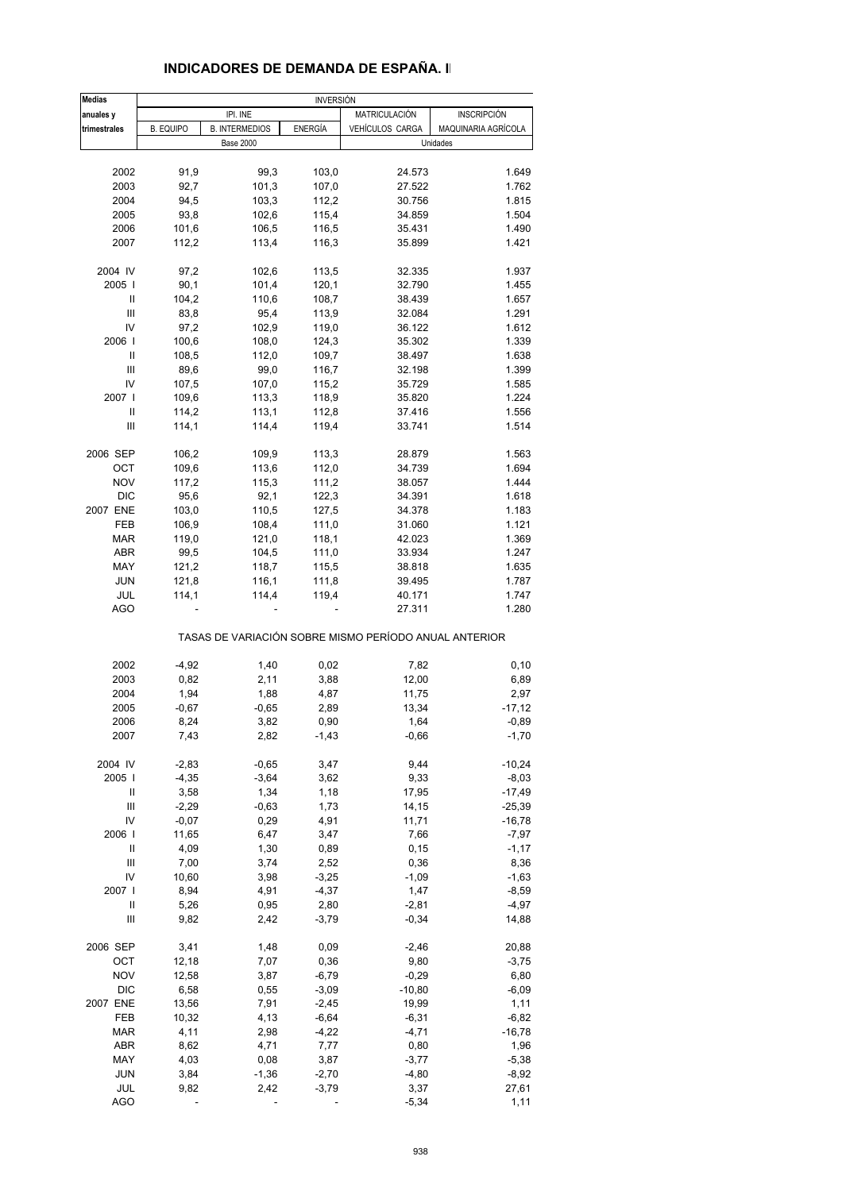| <b>Medias</b> |                  | <b>INVERSIÓN</b>      |                |                                                       |                     |  |  |  |  |
|---------------|------------------|-----------------------|----------------|-------------------------------------------------------|---------------------|--|--|--|--|
| anuales y     |                  | IPI. INE              |                | MATRICULACIÓN                                         | <b>INSCRIPCIÓN</b>  |  |  |  |  |
| trimestrales  | <b>B. EQUIPO</b> | <b>B. INTERMEDIOS</b> | <b>ENERGÍA</b> | VEHÍCULOS CARGA                                       | MAQUINARIA AGRÍCOLA |  |  |  |  |
|               |                  | <b>Base 2000</b>      |                |                                                       | Unidades            |  |  |  |  |
|               |                  |                       |                |                                                       |                     |  |  |  |  |
| 2002          | 91,9             | 99,3                  | 103,0          | 24.573                                                | 1.649               |  |  |  |  |
| 2003          | 92,7             | 101,3                 | 107,0          | 27.522                                                | 1.762               |  |  |  |  |
| 2004          | 94,5             | 103,3                 | 112,2          | 30.756                                                | 1.815               |  |  |  |  |
| 2005          | 93,8             | 102,6                 | 115,4          | 34.859                                                | 1.504               |  |  |  |  |
| 2006          | 101,6            | 106,5                 | 116,5          | 35.431                                                | 1.490               |  |  |  |  |
| 2007          | 112,2            | 113,4                 | 116,3          | 35.899                                                | 1.421               |  |  |  |  |
| 2004 IV       | 97,2             | 102,6                 | 113,5          | 32.335                                                | 1.937               |  |  |  |  |
| 2005          | 90,1             | 101,4                 | 120,1          | 32.790                                                | 1.455               |  |  |  |  |
| Ш             | 104,2            | 110,6                 | 108,7          | 38.439                                                | 1.657               |  |  |  |  |
| Ш             | 83,8             | 95,4                  | 113,9          | 32.084                                                | 1.291               |  |  |  |  |
| IV            | 97,2             | 102,9                 | 119,0          | 36.122                                                | 1.612               |  |  |  |  |
| 2006          | 100,6            | 108,0                 | 124,3          | 35.302                                                | 1.339               |  |  |  |  |
| $\mathbf{I}$  | 108,5            | 112,0                 | 109,7          | 38.497                                                | 1.638               |  |  |  |  |
|               |                  |                       |                |                                                       |                     |  |  |  |  |
| Ш             | 89,6             | 99,0                  | 116,7          | 32.198                                                | 1.399               |  |  |  |  |
| IV            | 107,5            | 107,0                 | 115,2          | 35.729                                                | 1.585               |  |  |  |  |
| 2007 l        | 109,6            | 113,3                 | 118,9          | 35.820                                                | 1.224               |  |  |  |  |
| $\mathbf{I}$  | 114,2            | 113,1                 | 112,8          | 37.416                                                | 1.556               |  |  |  |  |
| Ш             | 114,1            | 114,4                 | 119,4          | 33.741                                                | 1.514               |  |  |  |  |
| 2006 SEP      | 106,2            | 109,9                 | 113,3          | 28.879                                                | 1.563               |  |  |  |  |
| OCT           | 109,6            | 113,6                 | 112,0          | 34.739                                                | 1.694               |  |  |  |  |
| <b>NOV</b>    | 117,2            | 115,3                 | 111,2          | 38.057                                                | 1.444               |  |  |  |  |
| DIC           | 95,6             | 92,1                  | 122,3          | 34.391                                                | 1.618               |  |  |  |  |
| 2007 ENE      | 103,0            | 110,5                 | 127,5          | 34.378                                                | 1.183               |  |  |  |  |
| FEB           | 106,9            | 108,4                 | 111,0          | 31.060                                                | 1.121               |  |  |  |  |
|               |                  |                       |                |                                                       |                     |  |  |  |  |
| <b>MAR</b>    | 119,0            | 121,0                 | 118,1          | 42.023                                                | 1.369               |  |  |  |  |
| ABR           | 99,5             | 104,5                 | 111,0          | 33.934                                                | 1.247               |  |  |  |  |
| MAY           | 121,2            | 118,7                 | 115,5          | 38.818                                                | 1.635               |  |  |  |  |
| JUN           | 121,8            | 116,1                 | 111,8          | 39.495                                                | 1.787               |  |  |  |  |
| JUL           | 114,1            | 114,4                 | 119,4          | 40.171                                                | 1.747               |  |  |  |  |
| <b>AGO</b>    |                  |                       |                | 27.311                                                | 1.280               |  |  |  |  |
|               |                  |                       |                | TASAS DE VARIACIÓN SOBRE MISMO PERÍODO ANUAL ANTERIOR |                     |  |  |  |  |
| 2002          | $-4,92$          | 1,40                  | 0,02           | 7,82                                                  | 0, 10               |  |  |  |  |
| 2003          | 0,82             | 2,11                  | 3,88           | 12,00                                                 | 6,89                |  |  |  |  |
| 2004          | 1,94             | 1,88                  | 4,87           | 11,75                                                 | 2,97                |  |  |  |  |
| 2005          | $-0,67$          | $-0,65$               | 2,89           | 13,34                                                 | $-17,12$            |  |  |  |  |
| 2006          | 8,24             | 3,82                  | 0,90           | 1,64                                                  | $-0,89$             |  |  |  |  |
| 2007          | 7,43             | 2,82                  | $-1,43$        | $-0,66$                                               | $-1,70$             |  |  |  |  |
|               |                  |                       |                |                                                       |                     |  |  |  |  |
| 2004 IV       | $-2,83$          | $-0,65$               | 3,47           | 9,44                                                  | $-10,24$            |  |  |  |  |
| 2005          | $-4,35$          | $-3,64$               | 3,62           | 9,33                                                  | $-8,03$             |  |  |  |  |
| Ш             | 3,58             | 1,34                  | 1,18           | 17,95                                                 | $-17,49$            |  |  |  |  |
| Ш             | $-2,29$          | $-0,63$               | 1,73           | 14,15                                                 | $-25,39$            |  |  |  |  |
| IV            | $-0,07$          | 0,29                  | 4,91           | 11,71                                                 | $-16,78$            |  |  |  |  |
| 2006          | 11,65            | 6,47                  | 3,47           | 7,66                                                  | $-7,97$             |  |  |  |  |
| Ш             | 4,09             | 1,30                  | 0,89           | 0, 15                                                 | $-1,17$             |  |  |  |  |
| Ш             | 7,00             | 3,74                  | 2,52           | 0,36                                                  | 8,36                |  |  |  |  |
| IV            | 10,60            | 3,98                  | $-3,25$        | $-1,09$                                               | $-1,63$             |  |  |  |  |
| 2007 l        | 8,94             | 4,91                  | $-4,37$        | 1,47                                                  | $-8,59$             |  |  |  |  |
| Ш             | 5,26             | 0,95                  | 2,80           | $-2,81$                                               | $-4,97$             |  |  |  |  |
| Ш             | 9,82             | 2,42                  | $-3,79$        | $-0,34$                                               | 14,88               |  |  |  |  |
| 2006 SEP      | 3,41             | 1,48                  | 0,09           | $-2,46$                                               | 20,88               |  |  |  |  |
|               |                  |                       |                |                                                       |                     |  |  |  |  |
| OCT           | 12,18            | 7,07                  | 0,36           | 9,80                                                  | $-3,75$             |  |  |  |  |
| <b>NOV</b>    | 12,58            | 3,87                  | $-6,79$        | $-0,29$                                               | 6,80                |  |  |  |  |
| <b>DIC</b>    | 6,58             | 0,55                  | $-3,09$        | $-10,80$                                              | $-6,09$             |  |  |  |  |
| 2007 ENE      | 13,56            | 7,91                  | $-2,45$        | 19,99                                                 | 1,11                |  |  |  |  |
| FEB           | 10,32            | 4,13                  | $-6,64$        | $-6,31$                                               | $-6,82$             |  |  |  |  |
| <b>MAR</b>    | 4,11             | 2,98                  | $-4,22$        | $-4,71$                                               | $-16,78$            |  |  |  |  |
| ABR           | 8,62             | 4,71                  | 7,77           | 0,80                                                  | 1,96                |  |  |  |  |
| MAY           | 4,03             | 0,08                  | 3,87           | $-3,77$                                               | $-5,38$             |  |  |  |  |
| <b>JUN</b>    | 3,84             | $-1,36$               | $-2,70$        | $-4,80$                                               | $-8,92$             |  |  |  |  |
| JUL           | 9,82             | 2,42                  | $-3,79$        | 3,37                                                  | 27,61               |  |  |  |  |
| AGO           |                  |                       |                | $-5,34$                                               | 1,11                |  |  |  |  |

#### **INDICADORES DE DEMANDA DE ESPAÑA. II**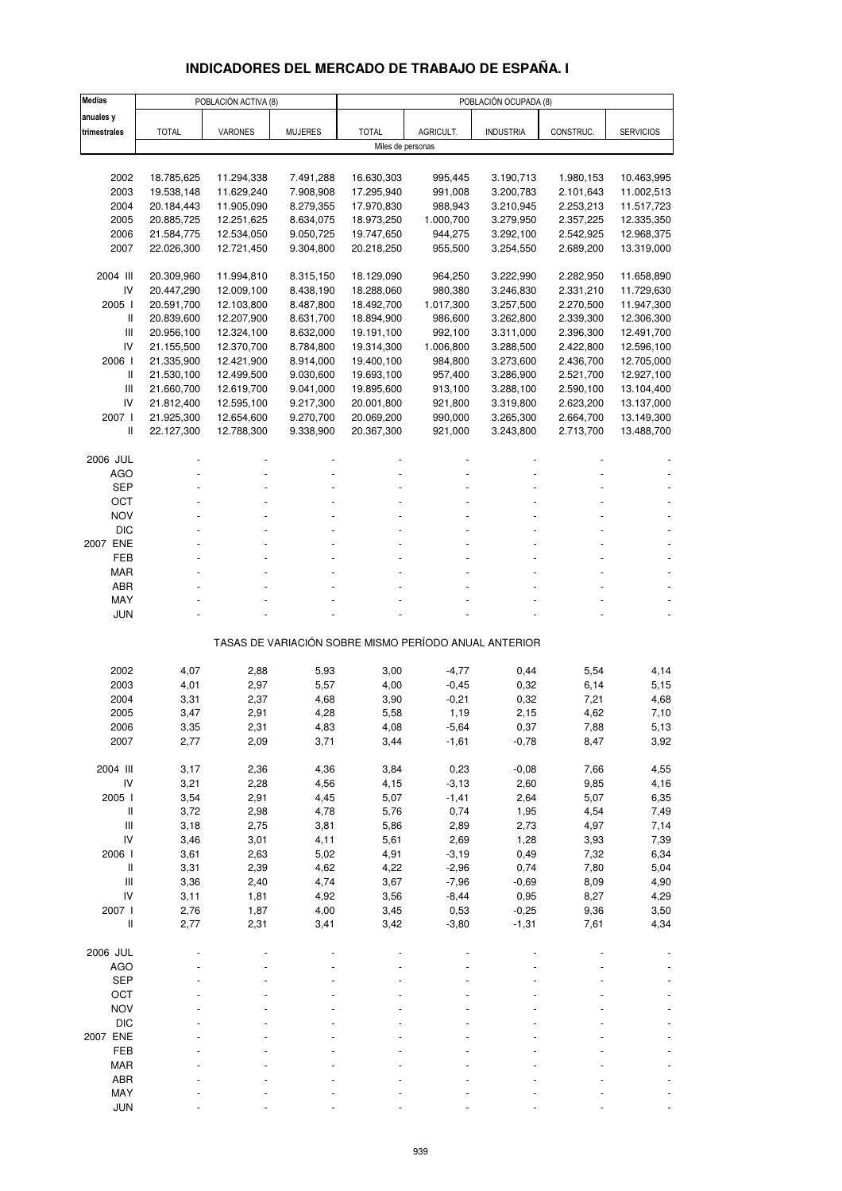## **INDICADORES DEL MERCADO DE TRABAJO DE ESPAÑA. I**

| <b>Medias</b>                      |                          | POBLACIÓN ACTIVA (8)     |                        |                          |                    | POBLACIÓN OCUPADA (8)                                 |                        |                          |
|------------------------------------|--------------------------|--------------------------|------------------------|--------------------------|--------------------|-------------------------------------------------------|------------------------|--------------------------|
| anuales y                          |                          |                          |                        |                          |                    |                                                       |                        |                          |
| trimestrales                       | <b>TOTAL</b>             | VARONES                  | <b>MUJERES</b>         | <b>TOTAL</b>             | AGRICULT.          | <b>INDUSTRIA</b>                                      | CONSTRUC.              | <b>SERVICIOS</b>         |
|                                    |                          |                          |                        | Miles de personas        |                    |                                                       |                        |                          |
|                                    |                          |                          |                        |                          |                    |                                                       |                        |                          |
| 2002                               | 18.785,625               | 11.294,338               | 7.491,288              | 16.630,303               | 995,445            | 3.190,713                                             | 1.980,153              | 10.463,995               |
| 2003<br>2004                       | 19.538,148               | 11.629,240<br>11.905,090 | 7.908,908<br>8.279,355 | 17.295,940<br>17.970,830 | 991,008<br>988,943 | 3.200,783<br>3.210,945                                | 2.101,643<br>2.253,213 | 11.002,513               |
| 2005                               | 20.184,443<br>20.885,725 | 12.251,625               | 8.634,075              | 18.973,250               | 1.000,700          | 3.279,950                                             | 2.357,225              | 11.517,723<br>12.335,350 |
| 2006                               | 21.584,775               | 12.534,050               | 9.050,725              | 19.747,650               | 944,275            | 3.292,100                                             | 2.542,925              | 12.968,375               |
| 2007                               | 22.026,300               | 12.721,450               | 9.304,800              | 20.218,250               | 955,500            | 3.254,550                                             | 2.689,200              | 13.319,000               |
|                                    |                          |                          |                        |                          |                    |                                                       |                        |                          |
| 2004 III                           | 20.309,960               | 11.994,810               | 8.315,150              | 18.129,090               | 964,250            | 3.222,990                                             | 2.282,950              | 11.658,890               |
| IV                                 | 20.447,290               | 12.009,100               | 8.438,190              | 18.288,060               | 980,380            | 3.246,830                                             | 2.331,210              | 11.729,630               |
| 2005 l                             | 20.591,700               | 12.103,800               | 8.487,800              | 18.492,700               | 1.017,300          | 3.257,500                                             | 2.270,500              | 11.947,300               |
| Ш                                  | 20.839,600               | 12.207,900               | 8.631,700              | 18.894,900               | 986,600            | 3.262,800                                             | 2.339,300              | 12.306,300               |
| $\mathsf{III}$                     | 20.956,100               | 12.324,100               | 8.632,000              | 19.191,100               | 992,100            | 3.311,000                                             | 2.396,300              | 12.491,700               |
| IV                                 | 21.155,500               | 12.370,700               | 8.784,800              | 19.314,300               | 1.006,800          | 3.288,500                                             | 2.422,800              | 12.596,100               |
| 2006                               | 21.335,900               | 12.421,900               | 8.914,000              | 19.400,100               | 984,800            | 3.273,600                                             | 2.436,700              | 12.705,000               |
| $\, \parallel$                     | 21.530,100               | 12.499,500               | 9.030,600              | 19.693,100               | 957,400            | 3.286,900                                             | 2.521,700              | 12.927,100               |
| Ш<br>IV                            | 21.660,700<br>21.812,400 | 12.619,700<br>12.595,100 | 9.041,000<br>9.217,300 | 19.895,600<br>20.001,800 | 913,100<br>921,800 | 3.288,100<br>3.319,800                                | 2.590,100<br>2.623,200 | 13.104,400<br>13.137,000 |
| 2007 l                             | 21.925,300               | 12.654,600               | 9.270,700              | 20.069,200               | 990,000            | 3.265,300                                             | 2.664,700              | 13.149,300               |
| Ш                                  | 22.127,300               | 12.788,300               | 9.338,900              | 20.367,300               | 921,000            | 3.243,800                                             | 2.713,700              | 13.488,700               |
|                                    |                          |                          |                        |                          |                    |                                                       |                        |                          |
| 2006 JUL                           |                          |                          |                        |                          |                    |                                                       |                        |                          |
| <b>AGO</b>                         |                          |                          |                        |                          |                    |                                                       |                        |                          |
| <b>SEP</b>                         |                          |                          |                        |                          |                    |                                                       |                        |                          |
| ОСТ                                |                          |                          |                        |                          |                    |                                                       |                        |                          |
| <b>NOV</b>                         |                          |                          |                        |                          |                    |                                                       |                        |                          |
| <b>DIC</b>                         |                          |                          |                        |                          |                    |                                                       |                        |                          |
| 2007 ENE                           |                          |                          |                        |                          |                    |                                                       |                        |                          |
| FEB                                |                          |                          |                        |                          |                    |                                                       |                        |                          |
| <b>MAR</b>                         |                          |                          |                        |                          |                    |                                                       |                        |                          |
| <b>ABR</b><br>MAY                  |                          |                          |                        |                          |                    |                                                       |                        |                          |
| JUN                                |                          |                          |                        |                          |                    |                                                       |                        |                          |
|                                    |                          |                          |                        |                          |                    |                                                       |                        |                          |
|                                    |                          |                          |                        |                          |                    | TASAS DE VARIACIÓN SOBRE MISMO PERÍODO ANUAL ANTERIOR |                        |                          |
|                                    |                          |                          |                        |                          |                    |                                                       |                        |                          |
| 2002                               | 4,07                     | 2,88                     | 5,93                   | 3,00                     | $-4,77$            | 0,44                                                  | 5,54                   | 4,14                     |
| 2003                               | 4,01                     | 2,97                     | 5,57                   | 4,00                     | $-0,45$            | 0,32                                                  | 6,14                   | 5,15                     |
| 2004                               | 3,31                     | 2,37                     | 4,68                   | 3,90                     | $-0,21$            | 0,32                                                  | 7,21                   | 4,68                     |
| 2005                               | 3,47                     | 2,91                     | 4,28                   | 5,58                     | 1,19               | 2,15                                                  | 4,62                   | 7,10                     |
| 2006<br>2007                       | 3,35<br>2,77             | 2,31<br>2,09             | 4,83<br>3,71           | 4,08<br>3,44             | $-5,64$<br>$-1,61$ | 0,37<br>$-0,78$                                       | 7,88<br>8,47           | 5,13<br>3,92             |
|                                    |                          |                          |                        |                          |                    |                                                       |                        |                          |
| 2004 III                           | 3,17                     | 2,36                     | 4,36                   | 3,84                     | 0,23               | $-0,08$                                               | 7,66                   | 4,55                     |
| IV                                 | 3,21                     | 2,28                     | 4,56                   | 4,15                     | $-3,13$            | 2,60                                                  | 9,85                   | 4,16                     |
| 2005 l                             | 3,54                     | 2,91                     | 4,45                   | 5,07                     | $-1,41$            | 2,64                                                  | 5,07                   | 6,35                     |
| $\, \parallel$                     | 3,72                     | 2,98                     | 4,78                   | 5,76                     | 0,74               | 1,95                                                  | 4,54                   | 7,49                     |
| $\mathsf{III}$                     | 3,18                     | 2,75                     | 3,81                   | 5,86                     | 2,89               | 2,73                                                  | 4,97                   | 7,14                     |
| IV                                 | 3,46                     | 3,01                     | 4,11                   | 5,61                     | 2,69               | 1,28                                                  | 3,93                   | 7,39                     |
| 2006 l                             | 3,61                     | 2,63                     | 5,02                   | 4,91                     | $-3,19$            | 0,49                                                  | 7,32                   | 6,34                     |
| $\, \parallel$                     | 3,31                     | 2,39                     | 4,62                   | 4,22                     | $-2,96$            | 0,74                                                  | 7,80                   | 5,04                     |
| $\ensuremath{\mathsf{III}}\xspace$ | 3,36                     | 2,40                     | 4,74                   | 3,67                     | $-7,96$            | $-0,69$                                               | 8,09                   | 4,90                     |
| IV                                 | 3,11                     | 1,81                     | 4,92                   | 3,56                     | $-8,44$            | 0,95                                                  | 8,27                   | 4,29                     |
| 2007 l<br>$\sf II$                 | 2,76<br>2,77             | 1,87<br>2,31             | 4,00<br>3,41           | 3,45<br>3,42             | 0,53<br>$-3,80$    | $-0,25$<br>$-1,31$                                    | 9,36<br>7,61           | 3,50<br>4,34             |
|                                    |                          |                          |                        |                          |                    |                                                       |                        |                          |
| 2006 JUL                           |                          |                          |                        |                          |                    |                                                       |                        |                          |
| <b>AGO</b>                         |                          |                          |                        |                          |                    |                                                       |                        |                          |
| <b>SEP</b>                         |                          |                          |                        |                          |                    |                                                       |                        |                          |
| OCT                                |                          |                          |                        |                          |                    |                                                       |                        |                          |
| <b>NOV</b>                         |                          |                          |                        |                          |                    |                                                       |                        |                          |
| <b>DIC</b>                         |                          |                          |                        |                          |                    |                                                       |                        |                          |
| 2007 ENE                           |                          |                          |                        |                          |                    |                                                       |                        |                          |
| FEB                                |                          |                          |                        |                          |                    |                                                       |                        |                          |
| <b>MAR</b>                         |                          |                          |                        |                          |                    |                                                       |                        |                          |
| ABR                                |                          |                          |                        |                          |                    |                                                       |                        |                          |
| MAY                                |                          |                          |                        |                          |                    |                                                       |                        |                          |
| <b>JUN</b>                         |                          |                          |                        |                          |                    |                                                       |                        |                          |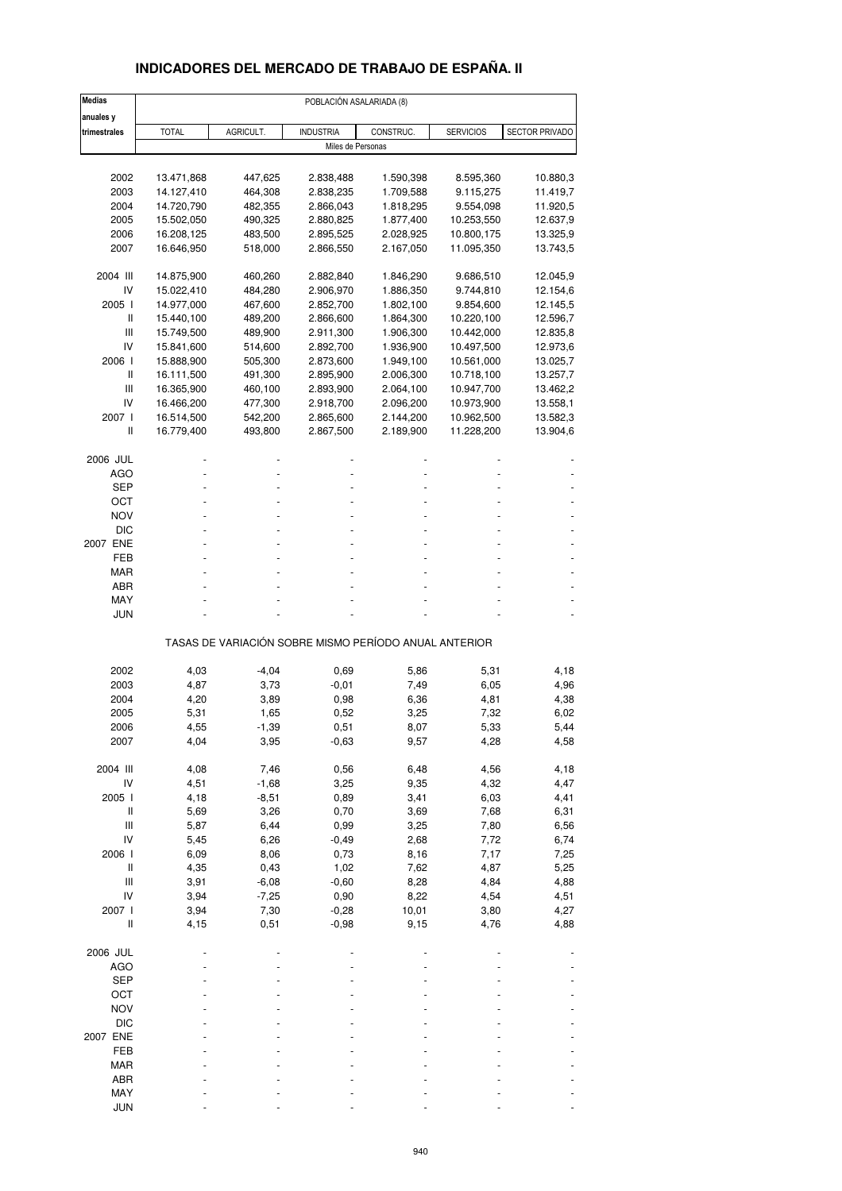## **INDICADORES DEL MERCADO DE TRABAJO DE ESPAÑA. II**

| <b>Medias</b>                      | POBLACIÓN ASALARIADA (8) |                    |                        |                                                       |                          |                      |  |
|------------------------------------|--------------------------|--------------------|------------------------|-------------------------------------------------------|--------------------------|----------------------|--|
| anuales y                          |                          |                    |                        |                                                       |                          |                      |  |
| trimestrales                       | <b>TOTAL</b>             | AGRICULT.          | <b>INDUSTRIA</b>       | CONSTRUC.                                             | <b>SERVICIOS</b>         | SECTOR PRIVADO       |  |
|                                    |                          |                    |                        | Miles de Personas                                     |                          |                      |  |
|                                    |                          |                    |                        |                                                       |                          |                      |  |
| 2002                               | 13.471,868               | 447,625            | 2.838,488              | 1.590,398                                             | 8.595,360                | 10.880,3             |  |
| 2003                               | 14.127,410               | 464,308            | 2.838,235              | 1.709,588                                             | 9.115,275                | 11.419,7             |  |
| 2004                               | 14.720,790               | 482,355            | 2.866,043              | 1.818,295                                             | 9.554,098                | 11.920,5             |  |
| 2005<br>2006                       | 15.502,050<br>16.208,125 | 490,325<br>483,500 | 2.880,825<br>2.895,525 | 1.877,400<br>2.028,925                                | 10.253,550<br>10.800,175 | 12.637,9<br>13.325,9 |  |
| 2007                               | 16.646,950               | 518,000            | 2.866,550              | 2.167,050                                             | 11.095,350               | 13.743,5             |  |
|                                    |                          |                    |                        |                                                       |                          |                      |  |
| 2004 III                           | 14.875,900               | 460,260            | 2.882,840              | 1.846,290                                             | 9.686,510                | 12.045,9             |  |
| IV                                 | 15.022,410               | 484,280            | 2.906,970              | 1.886,350                                             | 9.744,810                | 12.154,6             |  |
| 2005 l                             | 14.977,000               | 467,600            | 2.852,700              | 1.802,100                                             | 9.854,600                | 12.145,5             |  |
| Ш                                  | 15.440,100               | 489,200            | 2.866,600              | 1.864,300                                             | 10.220,100               | 12.596,7             |  |
| Ш                                  | 15.749,500               | 489,900            | 2.911,300              | 1.906,300                                             | 10.442,000               | 12.835,8             |  |
| IV                                 | 15.841,600               | 514,600            | 2.892,700              | 1.936,900                                             | 10.497,500               | 12.973,6             |  |
| 2006                               | 15.888,900               | 505,300            | 2.873,600              | 1.949,100                                             | 10.561,000               | 13.025,7             |  |
| Ш                                  | 16.111,500               | 491,300            | 2.895,900              | 2.006,300                                             | 10.718,100               | 13.257,7             |  |
| Ш                                  | 16.365,900               | 460,100            | 2.893,900              | 2.064,100                                             | 10.947,700               | 13.462,2             |  |
| IV                                 | 16.466,200               | 477,300            | 2.918,700              | 2.096,200                                             | 10.973,900               | 13.558,1             |  |
| 2007 l                             | 16.514,500               | 542,200            | 2.865,600              | 2.144,200                                             | 10.962,500               | 13.582,3             |  |
| Ш                                  | 16.779,400               | 493,800            | 2.867,500              | 2.189,900                                             | 11.228,200               | 13.904,6             |  |
|                                    |                          |                    |                        |                                                       |                          |                      |  |
| 2006 JUL                           |                          |                    |                        |                                                       |                          |                      |  |
| <b>AGO</b>                         |                          |                    |                        |                                                       |                          |                      |  |
| <b>SEP</b>                         |                          |                    |                        |                                                       |                          |                      |  |
| OCT                                |                          |                    |                        |                                                       |                          |                      |  |
| <b>NOV</b>                         |                          |                    |                        |                                                       |                          |                      |  |
| <b>DIC</b>                         |                          |                    |                        |                                                       |                          |                      |  |
| 2007 ENE                           |                          |                    |                        |                                                       |                          |                      |  |
| FEB                                |                          |                    |                        |                                                       |                          |                      |  |
| MAR                                |                          |                    |                        |                                                       |                          |                      |  |
| ABR                                |                          |                    |                        |                                                       |                          |                      |  |
| MAY                                |                          |                    |                        |                                                       |                          |                      |  |
| <b>JUN</b>                         |                          |                    |                        |                                                       |                          |                      |  |
|                                    |                          |                    |                        | TASAS DE VARIACIÓN SOBRE MISMO PERÍODO ANUAL ANTERIOR |                          |                      |  |
|                                    |                          |                    |                        |                                                       |                          |                      |  |
| 2002                               | 4,03                     | $-4,04$            | 0,69                   | 5,86                                                  | 5,31                     | 4,18                 |  |
| 2003                               | 4,87                     | 3,73               | $-0,01$                | 7,49                                                  | 6,05                     | 4,96                 |  |
| 2004                               | 4,20                     | 3,89               | 0,98                   | 6,36                                                  | 4,81                     | 4,38                 |  |
| 2005                               | 5,31                     | 1,65               | 0,52                   | 3,25                                                  | 7,32                     | 6,02                 |  |
| 2006                               | 4,55                     | -1,39              | 0,51                   | 8,07                                                  | 5,33                     | 5,44                 |  |
| 2007                               | 4,04                     | 3,95               | $-0,63$                | 9,57                                                  | 4,28                     | 4,58                 |  |
| 2004 III                           | 4,08                     | 7,46               | 0,56                   | 6,48                                                  | 4,56                     | 4,18                 |  |
| IV                                 | 4,51                     | $-1,68$            | 3,25                   | 9,35                                                  | 4,32                     | 4,47                 |  |
| 2005 l                             | 4,18                     | $-8,51$            | 0,89                   | 3,41                                                  | 6,03                     | 4,41                 |  |
| $\,$ $\,$ $\,$ $\,$                | 5,69                     | 3,26               | 0,70                   | 3,69                                                  | 7,68                     | 6,31                 |  |
| Ш                                  | 5,87                     | 6,44               | 0,99                   | 3,25                                                  | 7,80                     | 6,56                 |  |
| IV                                 | 5,45                     | 6,26               | $-0,49$                | 2,68                                                  | 7,72                     | 6,74                 |  |
| 2006 l                             | 6,09                     | 8,06               | 0,73                   | 8,16                                                  | 7,17                     | 7,25                 |  |
| $\,$ $\,$ $\,$ $\,$                | 4,35                     | 0,43               | 1,02                   | 7,62                                                  | 4,87                     | 5,25                 |  |
| $\ensuremath{\mathsf{III}}\xspace$ | 3,91                     | $-6,08$            | $-0,60$                | 8,28                                                  | 4,84                     | 4,88                 |  |
| IV                                 | 3,94                     | $-7,25$            | 0,90                   | 8,22                                                  | 4,54                     | 4,51                 |  |
| 2007 l                             | 3,94                     | 7,30               | $-0,28$                | 10,01                                                 | 3,80                     | 4,27                 |  |
| $\,$ $\,$ $\,$ $\,$                | 4,15                     | 0,51               | $-0,98$                | 9,15                                                  | 4,76                     | 4,88                 |  |
|                                    |                          |                    |                        |                                                       |                          |                      |  |
| 2006 JUL                           |                          |                    |                        |                                                       |                          |                      |  |
| AGO                                |                          |                    |                        |                                                       |                          |                      |  |
| <b>SEP</b>                         |                          |                    |                        |                                                       |                          |                      |  |
| OCT                                |                          |                    |                        |                                                       |                          |                      |  |
| <b>NOV</b>                         |                          |                    |                        |                                                       |                          |                      |  |
| $DIC$                              |                          |                    |                        |                                                       |                          |                      |  |
| 2007 ENE                           |                          |                    |                        |                                                       |                          |                      |  |
| FEB                                |                          |                    |                        |                                                       |                          |                      |  |
| <b>MAR</b>                         |                          |                    |                        |                                                       |                          |                      |  |
| ABR                                |                          |                    |                        |                                                       |                          |                      |  |
| MAY                                |                          |                    |                        |                                                       |                          |                      |  |
| <b>JUN</b>                         |                          |                    |                        |                                                       |                          |                      |  |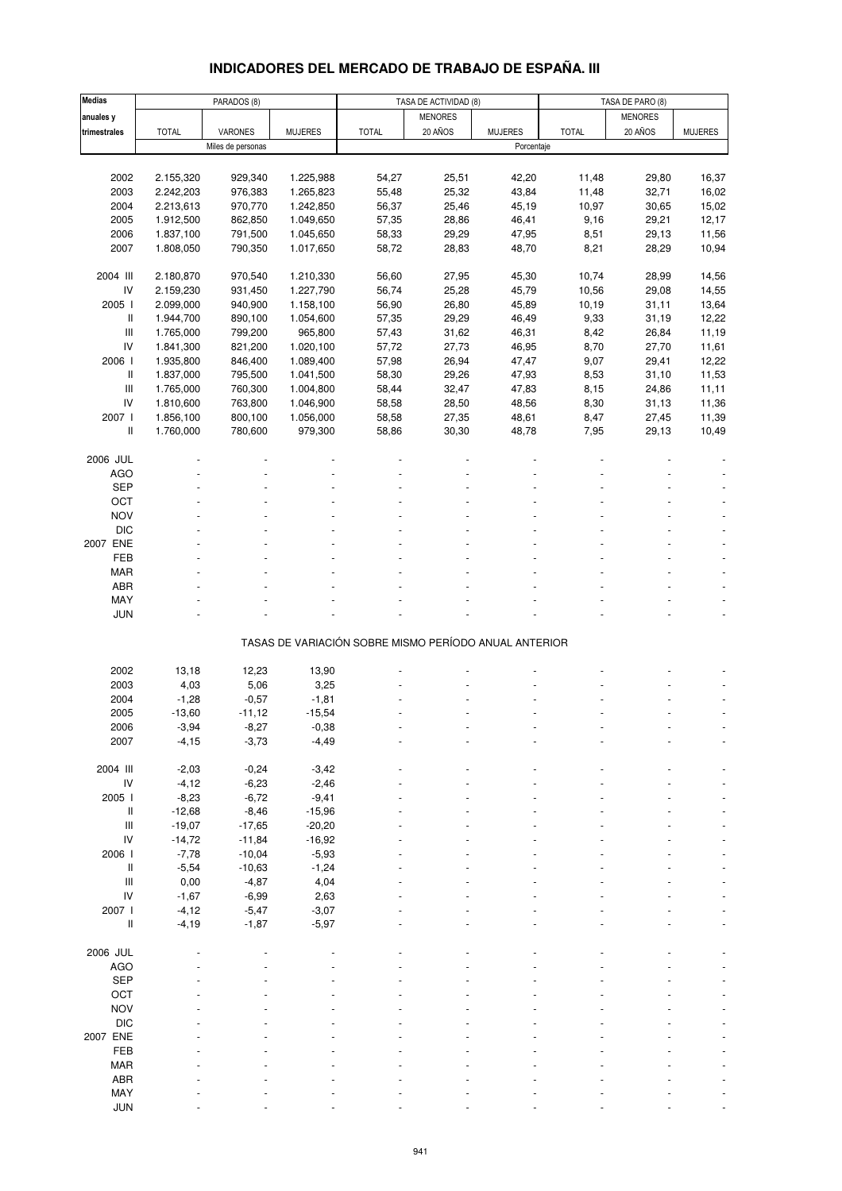## **INDICADORES DEL MERCADO DE TRABAJO DE ESPAÑA. III**

| <b>Medias</b>       |              | PARADOS (8)       |                |                                                       | TASA DE ACTIVIDAD (8) |                | TASA DE PARO (8) |                |                |
|---------------------|--------------|-------------------|----------------|-------------------------------------------------------|-----------------------|----------------|------------------|----------------|----------------|
| anuales y           |              |                   |                |                                                       | <b>MENORES</b>        |                |                  | <b>MENORES</b> |                |
| trimestrales        | <b>TOTAL</b> | VARONES           | <b>MUJERES</b> | <b>TOTAL</b>                                          | 20 AÑOS               | <b>MUJERES</b> | <b>TOTAL</b>     | 20 AÑOS        | <b>MUJERES</b> |
|                     |              | Miles de personas |                |                                                       |                       | Porcentaje     |                  |                |                |
|                     |              |                   |                |                                                       |                       |                |                  |                |                |
| 2002                | 2.155,320    | 929,340           | 1.225,988      | 54,27                                                 | 25,51                 | 42,20          | 11,48            | 29,80          | 16,37          |
| 2003                | 2.242,203    | 976,383           | 1.265,823      | 55,48                                                 | 25,32                 | 43,84          | 11,48            | 32,71          | 16,02          |
| 2004                | 2.213,613    | 970,770           | 1.242,850      | 56,37                                                 | 25,46                 | 45,19          | 10,97            | 30,65          | 15,02          |
| 2005                | 1.912,500    | 862,850           | 1.049,650      | 57,35                                                 | 28,86                 | 46,41          | 9,16             | 29,21          | 12,17          |
| 2006                | 1.837,100    | 791,500           | 1.045,650      | 58,33                                                 | 29,29                 | 47,95          | 8,51             | 29,13          | 11,56          |
| 2007                | 1.808,050    | 790,350           | 1.017,650      | 58,72                                                 | 28,83                 | 48,70          | 8,21             | 28,29          | 10,94          |
|                     |              |                   |                |                                                       |                       |                |                  |                |                |
| 2004 III            | 2.180,870    | 970,540           | 1.210,330      | 56,60                                                 | 27,95                 | 45,30          | 10,74            | 28,99          | 14,56          |
| IV                  | 2.159,230    | 931,450           | 1.227,790      | 56,74                                                 | 25,28                 | 45,79          | 10,56            | 29,08          | 14,55          |
| 2005 l              |              |                   |                |                                                       |                       |                |                  |                |                |
|                     | 2.099,000    | 940,900           | 1.158,100      | 56,90                                                 | 26,80                 | 45,89          | 10,19            | 31,11          | 13,64          |
| Ш                   | 1.944,700    | 890,100           | 1.054,600      | 57,35                                                 | 29,29                 | 46,49          | 9,33             | 31,19          | 12,22          |
| Ш                   | 1.765,000    | 799,200           | 965,800        | 57,43                                                 | 31,62                 | 46,31          | 8,42             | 26,84          | 11,19          |
| IV                  | 1.841,300    | 821,200           | 1.020,100      | 57,72                                                 | 27,73                 | 46,95          | 8,70             | 27,70          | 11,61          |
| 2006                | 1.935,800    | 846,400           | 1.089,400      | 57,98                                                 | 26,94                 | 47,47          | 9,07             | 29,41          | 12,22          |
| Ш                   | 1.837,000    | 795,500           | 1.041,500      | 58,30                                                 | 29,26                 | 47,93          | 8,53             | 31,10          | 11,53          |
| $\mathsf{III}$      | 1.765,000    | 760,300           | 1.004,800      | 58,44                                                 | 32,47                 | 47,83          | 8,15             | 24,86          | 11,11          |
| IV                  | 1.810,600    | 763,800           | 1.046,900      | 58,58                                                 | 28,50                 | 48,56          | 8,30             | 31,13          | 11,36          |
| 2007 l              | 1.856,100    | 800,100           | 1.056,000      | 58,58                                                 | 27,35                 | 48,61          | 8,47             | 27,45          | 11,39          |
| Ш                   | 1.760,000    | 780,600           | 979,300        | 58,86                                                 | 30,30                 | 48,78          | 7,95             | 29,13          | 10,49          |
|                     |              |                   |                |                                                       |                       |                |                  |                |                |
| 2006 JUL            |              |                   |                |                                                       |                       |                |                  |                |                |
| <b>AGO</b>          |              |                   |                |                                                       |                       |                |                  |                |                |
| <b>SEP</b>          |              |                   |                |                                                       |                       |                |                  |                |                |
| OCT                 |              |                   |                |                                                       |                       |                |                  |                |                |
| <b>NOV</b>          |              |                   |                |                                                       |                       |                |                  |                |                |
| <b>DIC</b>          |              |                   |                |                                                       |                       |                |                  |                |                |
| 2007 ENE            |              |                   |                |                                                       |                       |                |                  |                |                |
| FEB                 |              |                   |                |                                                       |                       |                |                  |                |                |
| <b>MAR</b>          |              |                   |                |                                                       |                       |                |                  |                |                |
| <b>ABR</b>          |              |                   |                |                                                       |                       |                |                  |                |                |
| MAY                 |              |                   |                |                                                       |                       |                |                  |                |                |
| <b>JUN</b>          |              |                   |                |                                                       |                       |                |                  |                |                |
|                     |              |                   |                |                                                       |                       |                |                  |                |                |
|                     |              |                   |                | TASAS DE VARIACIÓN SOBRE MISMO PERÍODO ANUAL ANTERIOR |                       |                |                  |                |                |
|                     |              |                   |                |                                                       |                       |                |                  |                |                |
| 2002                | 13,18        | 12,23             | 13,90          |                                                       |                       |                |                  |                |                |
| 2003                | 4,03         | 5,06              | 3,25           |                                                       |                       |                |                  |                |                |
| 2004                | $-1,28$      | $-0,57$           | $-1,81$        |                                                       |                       |                |                  |                |                |
| 2005                | $-13,60$     | $-11,12$          | $-15,54$       |                                                       |                       |                |                  |                |                |
| 2006                | $-3,94$      | -8,27             | -0,38          |                                                       |                       |                |                  |                |                |
| 2007                | $-4,15$      | $-3,73$           | $-4,49$        |                                                       |                       |                |                  |                |                |
|                     |              |                   |                |                                                       |                       |                |                  |                |                |
| 2004 III            | $-2,03$      | $-0,24$           | $-3,42$        |                                                       |                       |                |                  |                |                |
| IV                  | $-4, 12$     | $-6,23$           | $-2,46$        |                                                       |                       |                |                  |                |                |
| 2005 l              | $-8,23$      | $-6,72$           | $-9,41$        |                                                       |                       |                |                  |                |                |
| Ш                   | $-12,68$     | $-8,46$           | $-15,96$       |                                                       |                       |                |                  |                |                |
| $\mathsf{III}$      | $-19,07$     | $-17,65$          | $-20,20$       |                                                       |                       |                |                  |                |                |
| IV                  | $-14,72$     | $-11,84$          | $-16,92$       |                                                       |                       |                |                  |                |                |
| 2006 l              | $-7,78$      | $-10,04$          | $-5,93$        |                                                       |                       |                |                  |                |                |
| $\,$ $\,$ $\,$ $\,$ | $-5,54$      | $-10,63$          | $-1,24$        |                                                       |                       |                |                  |                |                |
| $\mathbf{III}$      | 0,00         | $-4,87$           | 4,04           |                                                       |                       |                |                  |                |                |
| IV                  | $-1,67$      | $-6,99$           | 2,63           |                                                       |                       |                |                  |                |                |
| 2007 l              | $-4, 12$     | $-5,47$           | $-3,07$        |                                                       |                       |                |                  |                |                |
| Ш                   | $-4,19$      | $-1,87$           | $-5,97$        |                                                       |                       |                |                  |                |                |
|                     |              |                   |                |                                                       |                       |                |                  |                |                |
| 2006 JUL            |              |                   |                |                                                       |                       |                |                  |                |                |
|                     |              |                   |                |                                                       |                       |                |                  |                |                |
| <b>AGO</b>          |              |                   |                |                                                       |                       |                |                  |                |                |
| <b>SEP</b>          |              |                   |                |                                                       |                       |                |                  |                |                |
| OCT                 |              |                   |                |                                                       |                       |                |                  |                |                |
| <b>NOV</b>          |              |                   |                |                                                       |                       |                |                  |                |                |
| <b>DIC</b>          |              |                   |                |                                                       |                       |                |                  |                |                |
| 2007 ENE            |              |                   |                |                                                       |                       |                |                  |                |                |
| FEB                 |              |                   |                |                                                       |                       |                |                  |                |                |
| <b>MAR</b>          |              |                   |                |                                                       |                       |                |                  |                |                |
| ABR                 |              |                   |                |                                                       |                       |                |                  |                |                |
| MAY                 |              |                   |                |                                                       |                       |                |                  |                |                |
| <b>JUN</b>          |              |                   |                |                                                       |                       |                |                  |                |                |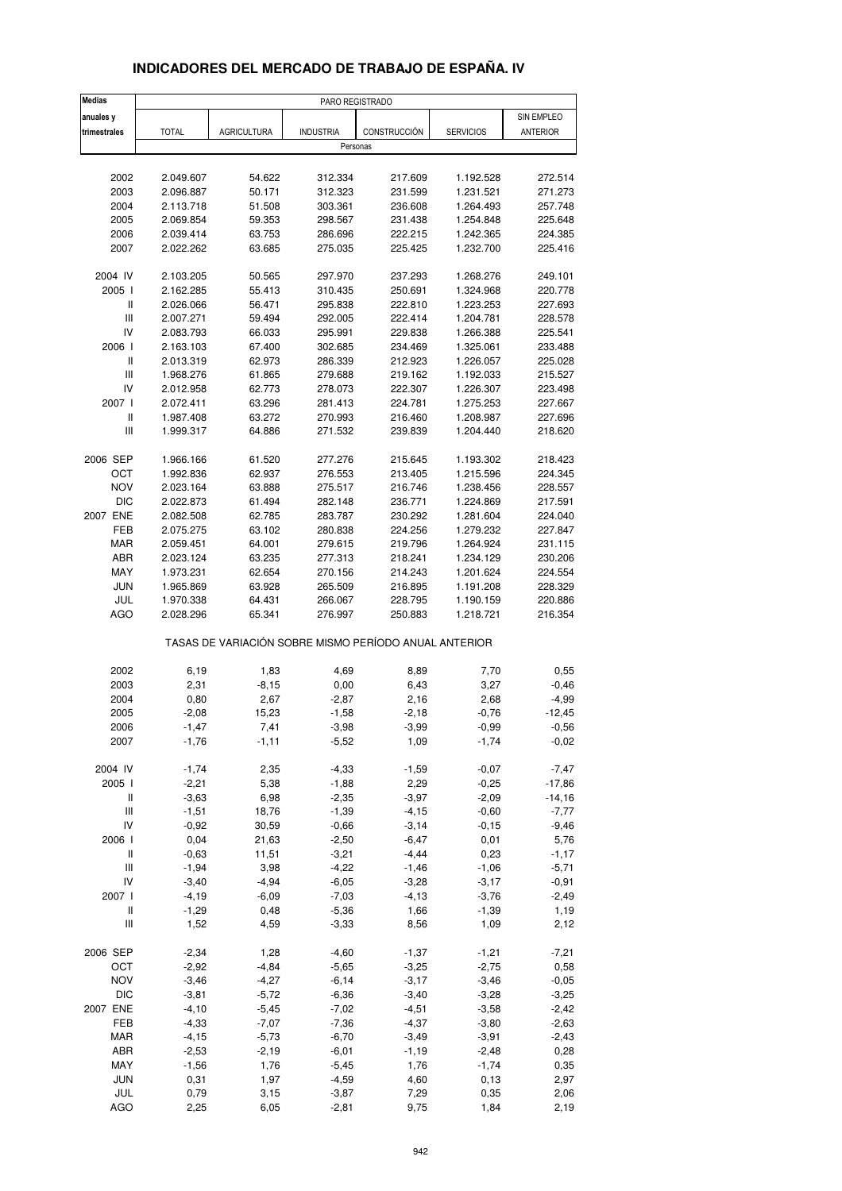## **INDICADORES DEL MERCADO DE TRABAJO DE ESPAÑA. IV**

| <b>Medias</b>                      |                    |                    | PARO REGISTRADO                                       |                    |                    |                 |
|------------------------------------|--------------------|--------------------|-------------------------------------------------------|--------------------|--------------------|-----------------|
| anuales y                          |                    |                    |                                                       |                    |                    | SIN EMPLEO      |
| trimestrales                       | <b>TOTAL</b>       | <b>AGRICULTURA</b> | <b>INDUSTRIA</b>                                      | CONSTRUCCIÓN       | <b>SERVICIOS</b>   | <b>ANTERIOR</b> |
|                                    |                    |                    | Personas                                              |                    |                    |                 |
|                                    |                    |                    |                                                       |                    |                    |                 |
| 2002                               | 2.049.607          | 54.622             | 312.334                                               | 217.609            | 1.192.528          | 272.514         |
| 2003                               | 2.096.887          | 50.171             | 312.323                                               | 231.599            | 1.231.521          | 271.273         |
| 2004                               | 2.113.718          | 51.508             | 303.361                                               | 236.608            | 1.264.493          | 257.748         |
| 2005                               | 2.069.854          | 59.353             | 298.567                                               | 231.438            | 1.254.848          | 225.648         |
| 2006                               | 2.039.414          | 63.753             | 286.696                                               | 222.215            | 1.242.365          | 224.385         |
| 2007                               | 2.022.262          | 63.685             | 275.035                                               | 225.425            | 1.232.700          | 225.416         |
|                                    |                    |                    |                                                       |                    |                    |                 |
| 2004 IV                            | 2.103.205          | 50.565             | 297.970                                               | 237.293            | 1.268.276          | 249.101         |
| 2005 l                             | 2.162.285          | 55.413             | 310.435                                               | 250.691            | 1.324.968          | 220.778         |
| Ш                                  | 2.026.066          | 56.471             | 295.838                                               | 222.810            | 1.223.253          | 227.693         |
| $\ensuremath{\mathsf{III}}\xspace$ | 2.007.271          | 59.494             | 292.005                                               | 222.414            | 1.204.781          | 228.578         |
| IV                                 | 2.083.793          | 66.033             | 295.991                                               | 229.838            | 1.266.388          | 225.541         |
| 2006                               | 2.163.103          | 67.400             | 302.685                                               | 234.469            | 1.325.061          | 233.488         |
| Ш                                  | 2.013.319          | 62.973             | 286.339                                               | 212.923            | 1.226.057          | 225.028         |
| Ш                                  | 1.968.276          | 61.865             | 279.688                                               | 219.162            | 1.192.033          | 215.527         |
| IV                                 | 2.012.958          | 62.773             | 278.073                                               | 222.307            | 1.226.307          | 223.498         |
| 2007 l                             | 2.072.411          | 63.296             | 281.413                                               | 224.781            | 1.275.253          | 227.667         |
| Ш                                  | 1.987.408          | 63.272             | 270.993                                               | 216.460            | 1.208.987          | 227.696         |
| Ш                                  | 1.999.317          | 64.886             | 271.532                                               | 239.839            | 1.204.440          | 218.620         |
|                                    |                    |                    |                                                       |                    |                    |                 |
| 2006 SEP                           | 1.966.166          | 61.520             | 277.276                                               | 215.645            | 1.193.302          | 218.423         |
| OCT                                | 1.992.836          | 62.937             | 276.553                                               | 213.405            | 1.215.596          | 224.345         |
| <b>NOV</b>                         | 2.023.164          | 63.888             | 275.517                                               | 216.746            | 1.238.456          | 228.557         |
| <b>DIC</b>                         | 2.022.873          | 61.494             | 282.148                                               | 236.771            | 1.224.869          | 217.591         |
| 2007 ENE                           | 2.082.508          | 62.785             | 283.787                                               | 230.292            | 1.281.604          | 224.040         |
| FEB                                | 2.075.275          | 63.102             | 280.838                                               | 224.256            | 1.279.232          | 227.847         |
| <b>MAR</b>                         | 2.059.451          | 64.001             | 279.615                                               | 219.796            | 1.264.924          | 231.115         |
| ABR                                | 2.023.124          | 63.235             | 277.313                                               | 218.241            | 1.234.129          | 230.206         |
| MAY                                | 1.973.231          | 62.654             | 270.156                                               | 214.243            | 1.201.624          | 224.554         |
| <b>JUN</b>                         | 1.965.869          | 63.928             | 265.509                                               | 216.895            | 1.191.208          | 228.329         |
| JUL                                | 1.970.338          | 64.431             | 266.067                                               | 228.795            | 1.190.159          | 220.886         |
| <b>AGO</b>                         | 2.028.296          | 65.341             | 276.997                                               | 250.883            | 1.218.721          | 216.354         |
|                                    |                    |                    | TASAS DE VARIACIÓN SOBRE MISMO PERÍODO ANUAL ANTERIOR |                    |                    |                 |
| 2002                               | 6, 19              | 1,83               | 4,69                                                  | 8,89               | 7,70               | 0,55            |
| 2003                               | 2,31               | $-8,15$            | 0,00                                                  | 6,43               | 3,27               | $-0,46$         |
| 2004                               | 0,80               | 2,67               | $-2,87$                                               | 2,16               | 2,68               | $-4,99$         |
| 2005                               | $-2,08$            | 15,23              | $-1,58$                                               | $-2,18$            | $-0,76$            | $-12,45$        |
| 2006                               | $-1,47$            | 7,41               | -3,98                                                 | -3,99              | -0,99              | -0,56           |
| 2007                               | $-1,76$            | $-1, 11$           | $-5,52$                                               | 1,09               | $-1,74$            | $-0,02$         |
|                                    |                    |                    |                                                       |                    |                    |                 |
| 2004 IV                            | $-1,74$            | 2,35               | $-4,33$                                               | $-1,59$            | $-0,07$            | $-7,47$         |
| 2005 l                             | $-2,21$            | 5,38               | $-1,88$                                               | 2,29               | $-0,25$            | $-17,86$        |
| Ш                                  | $-3,63$            | 6,98               | $-2,35$                                               | $-3,97$            | $-2,09$            | $-14,16$        |
| $\ensuremath{\mathsf{III}}\xspace$ | $-1,51$            | 18,76              | $-1,39$                                               | $-4, 15$           | $-0,60$            | $-7,77$         |
| IV                                 | $-0,92$            | 30,59              | $-0,66$                                               | $-3,14$            | $-0, 15$           | $-9,46$         |
| 2006                               | 0,04               | 21,63              | $-2,50$                                               | $-6,47$            | 0,01               | 5,76            |
| Ш                                  | $-0,63$            | 11,51              | $-3,21$                                               | $-4,44$            | 0,23               | $-1,17$         |
| $\ensuremath{\mathsf{III}}\xspace$ | $-1,94$            | 3,98               | $-4,22$                                               | $-1,46$            | $-1,06$            | $-5,71$         |
| IV                                 | $-3,40$            | $-4,94$            | $-6,05$                                               | $-3,28$            | $-3,17$            | $-0,91$         |
| 2007 l                             | $-4, 19$           | $-6,09$            | $-7,03$                                               | $-4, 13$           | $-3,76$            | $-2,49$         |
| Ш<br>Ш                             | $-1,29$<br>1,52    | 0,48<br>4,59       | $-5,36$<br>$-3,33$                                    | 1,66<br>8,56       | $-1,39$<br>1,09    | 1,19<br>2,12    |
|                                    |                    |                    |                                                       |                    |                    |                 |
| 2006 SEP<br>OCT                    | $-2,34$<br>$-2,92$ | 1,28<br>$-4,84$    | $-4,60$<br>$-5,65$                                    | $-1,37$<br>$-3,25$ | $-1,21$<br>$-2,75$ | $-7,21$<br>0,58 |
| <b>NOV</b>                         | $-3,46$            | $-4,27$            | $-6, 14$                                              | $-3,17$            | $-3,46$            | $-0,05$         |
| DIC                                | $-3,81$            | $-5,72$            | $-6,36$                                               | $-3,40$            | $-3,28$            | $-3,25$         |
| 2007 ENE                           | $-4, 10$           | $-5,45$            | $-7,02$                                               | $-4,51$            | $-3,58$            | $-2,42$         |
| FEB                                | $-4,33$            | $-7,07$            | $-7,36$                                               | $-4,37$            | $-3,80$            | $-2,63$         |
| MAR                                | $-4, 15$           | $-5,73$            | $-6,70$                                               | $-3,49$            | $-3,91$            | $-2,43$         |
| ABR                                | $-2,53$            | $-2,19$            | $-6,01$                                               | $-1,19$            | $-2,48$            | 0,28            |
| MAY                                | $-1,56$            | 1,76               | $-5,45$                                               | 1,76               | $-1,74$            |                 |
| <b>JUN</b>                         | 0,31               | 1,97               | $-4,59$                                               | 4,60               | 0, 13              | 0,35<br>2,97    |
| JUL                                | 0,79               | 3,15               | $-3,87$                                               | 7,29               | 0,35               | 2,06            |
|                                    |                    |                    |                                                       |                    |                    |                 |
| <b>AGO</b>                         | 2,25               | 6,05               | $-2,81$                                               | 9,75               | 1,84               | 2,19            |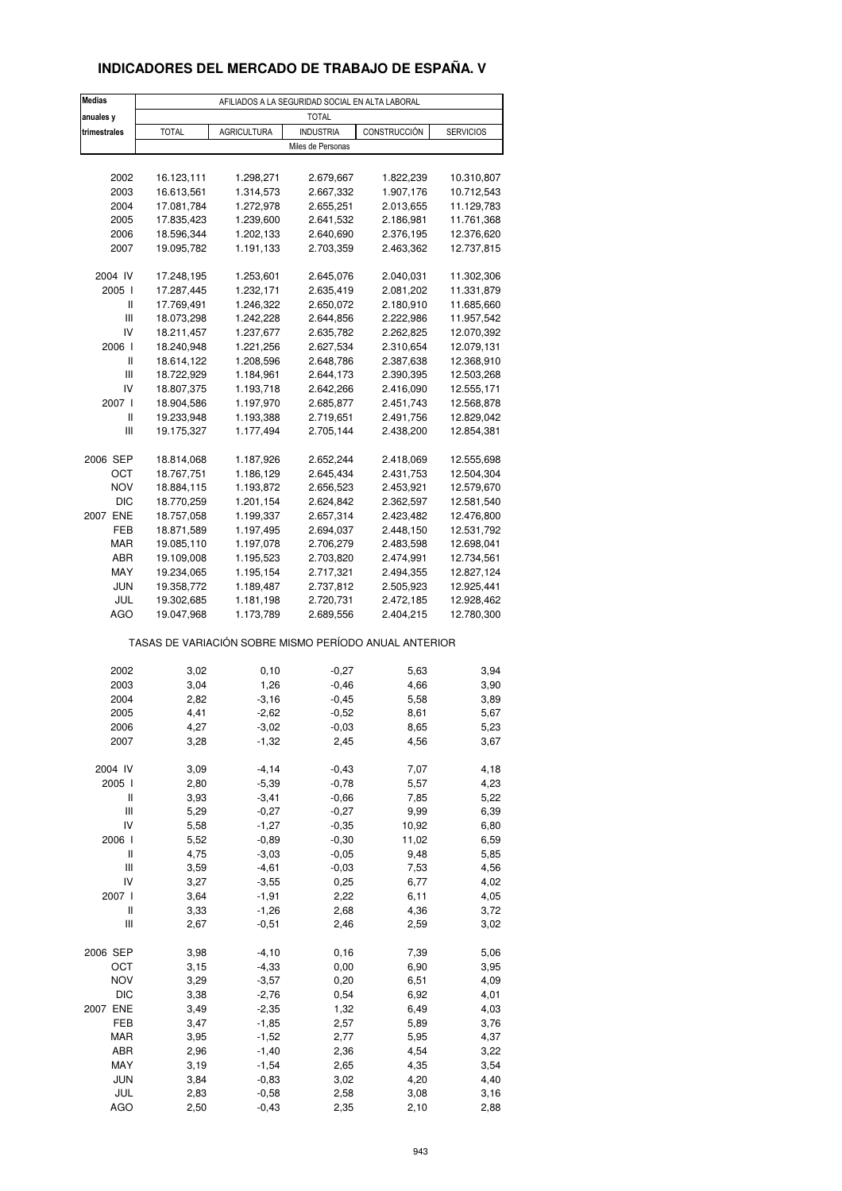## **INDICADORES DEL MERCADO DE TRABAJO DE ESPAÑA. V**

| <b>Medias</b>                      | AFILIADOS A LA SEGURIDAD SOCIAL EN ALTA LABORAL       |                    |                    |              |                  |  |  |
|------------------------------------|-------------------------------------------------------|--------------------|--------------------|--------------|------------------|--|--|
| anuales y                          |                                                       |                    | <b>TOTAL</b>       |              |                  |  |  |
| trimestrales                       | <b>TOTAL</b>                                          | <b>AGRICULTURA</b> | <b>INDUSTRIA</b>   | CONSTRUCCIÓN | <b>SERVICIOS</b> |  |  |
|                                    |                                                       |                    | Miles de Personas  |              |                  |  |  |
|                                    |                                                       |                    |                    |              |                  |  |  |
| 2002                               | 16.123,111                                            | 1.298,271          | 2.679,667          | 1.822,239    | 10.310,807       |  |  |
| 2003                               | 16.613,561                                            | 1.314,573          | 2.667,332          | 1.907,176    | 10.712,543       |  |  |
| 2004                               | 17.081,784                                            | 1.272,978          | 2.655,251          | 2.013,655    | 11.129,783       |  |  |
| 2005                               | 17.835,423                                            | 1.239,600          | 2.641,532          | 2.186,981    | 11.761,368       |  |  |
| 2006                               | 18.596,344                                            | 1.202,133          | 2.640,690          | 2.376,195    | 12.376,620       |  |  |
| 2007                               | 19.095,782                                            | 1.191,133          | 2.703,359          | 2.463,362    | 12.737,815       |  |  |
| 2004 IV                            | 17.248,195                                            | 1.253,601          | 2.645,076          | 2.040,031    | 11.302,306       |  |  |
| 2005 l                             | 17.287,445                                            | 1.232,171          | 2.635,419          | 2.081,202    | 11.331,879       |  |  |
| Ш                                  | 17.769,491                                            | 1.246,322          | 2.650,072          | 2.180,910    | 11.685,660       |  |  |
| Ш                                  | 18.073,298                                            | 1.242,228          | 2.644,856          | 2.222,986    | 11.957,542       |  |  |
| IV                                 | 18.211,457                                            | 1.237,677          | 2.635,782          | 2.262,825    | 12.070,392       |  |  |
| 2006                               | 18.240,948                                            | 1.221,256          | 2.627,534          | 2.310,654    | 12.079,131       |  |  |
| Ш                                  | 18.614,122                                            | 1.208,596          | 2.648,786          | 2.387,638    | 12.368,910       |  |  |
| Ш                                  | 18.722,929                                            | 1.184,961          | 2.644,173          | 2.390,395    | 12.503,268       |  |  |
| IV                                 | 18.807,375                                            | 1.193,718          | 2.642,266          | 2.416,090    | 12.555,171       |  |  |
| 2007 l                             | 18.904,586                                            | 1.197,970          | 2.685,877          | 2.451,743    | 12.568,878       |  |  |
| Ш                                  | 19.233,948                                            | 1.193,388          | 2.719,651          | 2.491,756    | 12.829,042       |  |  |
| Ш                                  | 19.175,327                                            | 1.177,494          | 2.705,144          | 2.438,200    | 12.854,381       |  |  |
| 2006 SEP                           | 18.814,068                                            | 1.187,926          | 2.652,244          | 2.418,069    | 12.555,698       |  |  |
| ост                                | 18.767,751                                            | 1.186,129          | 2.645,434          | 2.431,753    | 12.504,304       |  |  |
| <b>NOV</b>                         | 18.884,115                                            | 1.193,872          | 2.656,523          | 2.453,921    | 12.579,670       |  |  |
| <b>DIC</b>                         | 18.770,259                                            | 1.201,154          | 2.624,842          | 2.362,597    | 12.581,540       |  |  |
| 2007 ENE                           | 18.757,058                                            | 1.199,337          | 2.657,314          | 2.423,482    | 12.476,800       |  |  |
| FEB                                | 18.871,589                                            | 1.197,495          | 2.694,037          | 2.448,150    | 12.531,792       |  |  |
| MAR                                | 19.085,110                                            | 1.197,078          | 2.706,279          | 2.483,598    | 12.698,041       |  |  |
| ABR                                | 19.109,008                                            | 1.195,523          | 2.703,820          | 2.474,991    | 12.734,561       |  |  |
| MAY                                | 19.234,065                                            | 1.195,154          | 2.717,321          | 2.494,355    | 12.827,124       |  |  |
| <b>JUN</b>                         | 19.358,772                                            | 1.189,487          | 2.737,812          | 2.505,923    | 12.925,441       |  |  |
| JUL                                | 19.302,685                                            | 1.181,198          | 2.720,731          | 2.472,185    | 12.928,462       |  |  |
| AGO                                | 19.047,968                                            | 1.173,789          | 2.689,556          | 2.404,215    | 12.780,300       |  |  |
|                                    | TASAS DE VARIACIÓN SOBRE MISMO PERÍODO ANUAL ANTERIOR |                    |                    |              |                  |  |  |
| 2002                               | 3,02                                                  | 0,10               | $-0,27$            | 5,63         | 3,94             |  |  |
| 2003                               | 3,04                                                  | 1,26               | $-0,46$            | 4,66         | 3,90             |  |  |
| 2004                               | 2,82                                                  | $-3,16$            | $-0,45$            | 5,58         | 3,89             |  |  |
| 2005                               | 4,41                                                  | $-2,62$            | $-0,52$            | 8,61         | 5,67             |  |  |
| 2006                               | 4,27                                                  | -3,02              | -0,03              | 8,65         | 5,23             |  |  |
| 2007                               | 3,28                                                  | $-1,32$            | 2,45               | 4,56         | 3,67             |  |  |
|                                    |                                                       |                    |                    |              |                  |  |  |
| 2004 IV                            | 3,09                                                  | $-4, 14$           | $-0,43$            | 7,07         | 4,18             |  |  |
| 2005 l                             | 2,80                                                  | $-5,39$            | $-0,78$            | 5,57         | 4,23             |  |  |
| Ш<br>Ш                             | 3,93<br>5,29                                          | $-3,41$<br>$-0,27$ | $-0,66$<br>$-0,27$ | 7,85<br>9,99 | 5,22<br>6,39     |  |  |
| IV                                 | 5,58                                                  | $-1,27$            | $-0,35$            | 10,92        | 6,80             |  |  |
| 2006                               | 5,52                                                  | $-0,89$            | $-0,30$            | 11,02        | 6,59             |  |  |
| $\label{eq:1} \mathsf{II}$         | 4,75                                                  | $-3,03$            | $-0,05$            | 9,48         | 5,85             |  |  |
| $\ensuremath{\mathsf{III}}\xspace$ | 3,59                                                  | $-4,61$            | $-0,03$            | 7,53         | 4,56             |  |  |
| IV                                 | 3,27                                                  | $-3,55$            | 0,25               | 6,77         | 4,02             |  |  |
| 2007 l                             | 3,64                                                  | $-1,91$            | 2,22               | 6,11         | 4,05             |  |  |
| $\sf II$                           | 3,33                                                  | $-1,26$            | 2,68               | 4,36         | 3,72             |  |  |
| Ш                                  | 2,67                                                  | $-0,51$            | 2,46               | 2,59         | 3,02             |  |  |
|                                    |                                                       |                    |                    |              |                  |  |  |
| 2006 SEP                           | 3,98                                                  | $-4, 10$           | 0,16               | 7,39         | 5,06             |  |  |
| OCT                                | 3,15                                                  | $-4,33$            | 0,00               | 6,90         | 3,95             |  |  |
| <b>NOV</b><br><b>DIC</b>           | 3,29                                                  | $-3,57$            | 0,20               | 6,51         | 4,09             |  |  |
| 2007 ENE                           | 3,38<br>3,49                                          | $-2,76$<br>$-2,35$ | 0,54<br>1,32       | 6,92<br>6,49 | 4,01<br>4,03     |  |  |
| FEB                                | 3,47                                                  | $-1,85$            | 2,57               | 5,89         | 3,76             |  |  |
| MAR                                | 3,95                                                  | $-1,52$            | 2,77               | 5,95         | 4,37             |  |  |
| ABR                                | 2,96                                                  | $-1,40$            | 2,36               | 4,54         | 3,22             |  |  |
| MAY                                | 3,19                                                  | $-1,54$            | 2,65               | 4,35         | 3,54             |  |  |
| <b>JUN</b>                         | 3,84                                                  | $-0,83$            | 3,02               | 4,20         | 4,40             |  |  |
| JUL                                | 2,83                                                  | $-0,58$            | 2,58               | 3,08         | 3,16             |  |  |
| AGO                                | 2,50                                                  | $-0,43$            | 2,35               | 2,10         | 2,88             |  |  |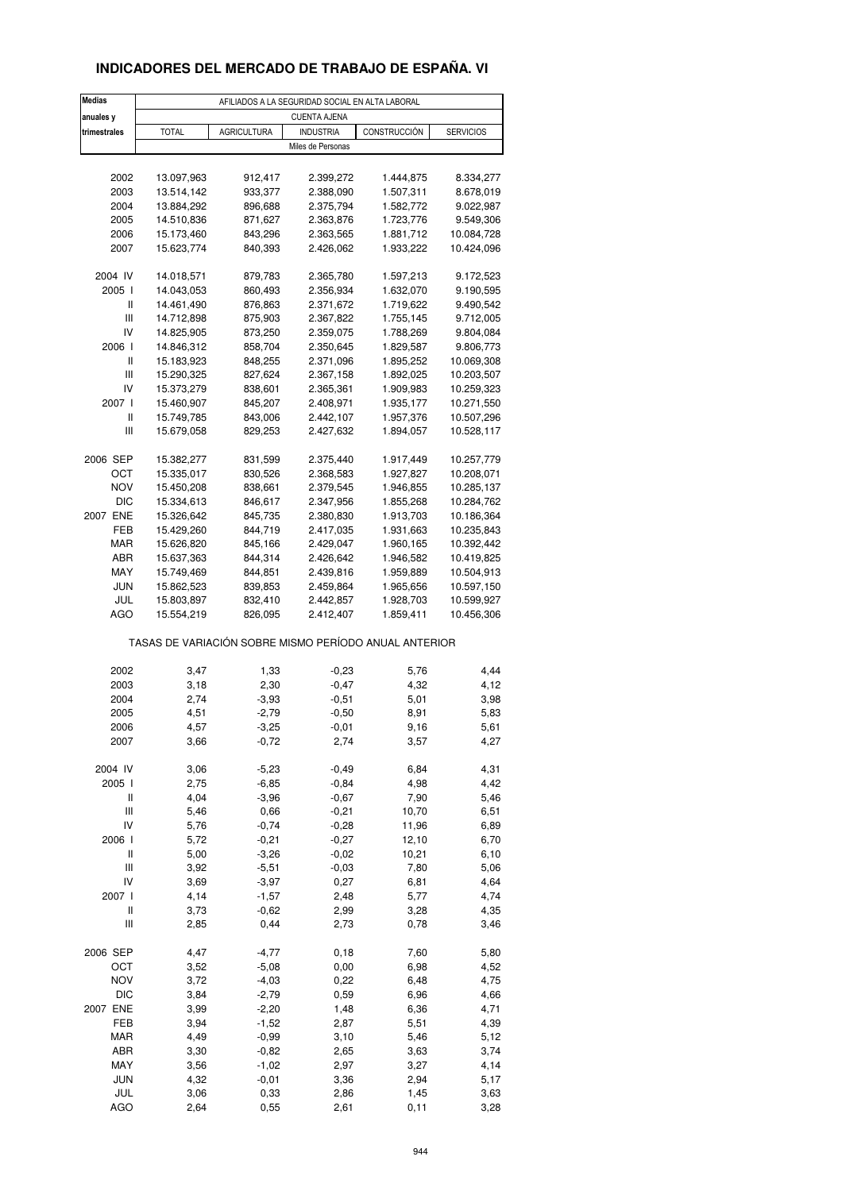## **INDICADORES DEL MERCADO DE TRABAJO DE ESPAÑA. VI**

| <b>Medias</b>  | AFILIADOS A LA SEGURIDAD SOCIAL EN ALTA LABORAL       |                    |                        |                        |                          |  |
|----------------|-------------------------------------------------------|--------------------|------------------------|------------------------|--------------------------|--|
| anuales y      |                                                       |                    | <b>CUENTA AJENA</b>    |                        |                          |  |
| trimestrales   | <b>TOTAL</b>                                          | <b>AGRICULTURA</b> | <b>INDUSTRIA</b>       | CONSTRUCCIÓN           | <b>SERVICIOS</b>         |  |
|                |                                                       |                    | Miles de Personas      |                        |                          |  |
|                |                                                       |                    |                        |                        |                          |  |
| 2002           | 13.097,963                                            | 912,417            | 2.399,272              | 1.444,875              | 8.334,277                |  |
| 2003           | 13.514,142                                            | 933,377            | 2.388,090              | 1.507,311              | 8.678,019                |  |
| 2004           | 13.884,292                                            | 896,688            | 2.375,794              | 1.582,772              | 9.022,987                |  |
| 2005           | 14.510,836                                            | 871,627            | 2.363,876              | 1.723,776              | 9.549,306                |  |
| 2006           | 15.173,460                                            | 843,296            | 2.363,565              | 1.881,712              | 10.084,728               |  |
| 2007           | 15.623,774                                            | 840,393            | 2.426,062              | 1.933,222              | 10.424,096               |  |
|                |                                                       |                    |                        |                        |                          |  |
| 2004 IV        | 14.018,571                                            | 879,783            | 2.365,780              | 1.597,213              | 9.172,523                |  |
| 2005 l         | 14.043,053                                            | 860,493            | 2.356,934              | 1.632,070              | 9.190,595                |  |
| Ш              | 14.461,490                                            | 876,863            | 2.371,672              | 1.719,622              | 9.490,542                |  |
| Ш              | 14.712,898                                            | 875,903            | 2.367,822              | 1.755,145              | 9.712,005                |  |
| IV             | 14.825,905                                            | 873,250            | 2.359,075              | 1.788,269              | 9.804,084                |  |
| 2006 l         | 14.846,312                                            | 858,704            | 2.350,645              | 1.829,587              | 9.806,773                |  |
| Ш<br>Ш         | 15.183,923<br>15.290,325                              | 848,255            | 2.371,096              | 1.895,252              | 10.069,308               |  |
| IV             |                                                       | 827,624            | 2.367,158              | 1.892,025              | 10.203,507               |  |
| 2007 l         | 15.373,279<br>15.460,907                              | 838,601<br>845,207 | 2.365,361<br>2.408,971 | 1.909,983<br>1.935,177 | 10.259,323<br>10.271,550 |  |
| Ш              | 15.749,785                                            | 843,006            | 2.442,107              | 1.957,376              | 10.507,296               |  |
| Ш              | 15.679,058                                            | 829,253            | 2.427,632              | 1.894,057              | 10.528,117               |  |
|                |                                                       |                    |                        |                        |                          |  |
| 2006 SEP       | 15.382,277                                            | 831,599            | 2.375,440              | 1.917,449              | 10.257,779               |  |
| OCT            | 15.335,017                                            | 830,526            | 2.368,583              | 1.927,827              | 10.208,071               |  |
| <b>NOV</b>     | 15.450,208                                            | 838,661            | 2.379,545              | 1.946,855              | 10.285,137               |  |
| <b>DIC</b>     | 15.334,613                                            | 846,617            | 2.347,956              | 1.855,268              | 10.284,762               |  |
| 2007 ENE       | 15.326,642                                            | 845,735            | 2.380,830              | 1.913,703              | 10.186,364               |  |
| FEB            | 15.429,260                                            | 844,719            | 2.417,035              | 1.931,663              | 10.235,843               |  |
| <b>MAR</b>     | 15.626,820                                            | 845,166            | 2.429,047              | 1.960,165              | 10.392,442               |  |
| ABR            | 15.637,363                                            | 844,314            | 2.426,642              | 1.946,582              | 10.419,825               |  |
| MAY            | 15.749,469                                            | 844,851            | 2.439,816              | 1.959,889              | 10.504,913               |  |
| <b>JUN</b>     | 15.862,523                                            | 839,853            | 2.459,864              | 1.965,656              | 10.597,150               |  |
| JUL            | 15.803,897                                            | 832,410            | 2.442,857              | 1.928,703              | 10.599,927               |  |
| AGO            | 15.554,219                                            | 826,095            | 2.412,407              | 1.859,411              | 10.456,306               |  |
|                | TASAS DE VARIACIÓN SOBRE MISMO PERÍODO ANUAL ANTERIOR |                    |                        |                        |                          |  |
| 2002           | 3,47                                                  | 1,33               | $-0,23$                | 5,76                   | 4,44                     |  |
| 2003           | 3,18                                                  | 2,30               | $-0,47$                | 4,32                   | 4,12                     |  |
| 2004           | 2,74                                                  | $-3,93$            | $-0,51$                | 5,01                   | 3,98                     |  |
| 2005           | 4,51                                                  | $-2,79$            | $-0,50$                | 8,91                   | 5,83                     |  |
| 2006           | 4,57                                                  | -3,25              | -0,01                  | 9,16                   | 5,61                     |  |
| 2007           | 3,66                                                  | $-0,72$            | 2,74                   | 3,57                   | 4,27                     |  |
|                |                                                       |                    |                        |                        |                          |  |
| 2004 IV        | 3,06                                                  | $-5,23$            | $-0,49$                | 6,84                   | 4,31                     |  |
| 2005 l         | 2,75                                                  | $-6,85$            | $-0,84$                | 4,98                   | 4,42                     |  |
| Ш              | 4,04                                                  | $-3,96$            | $-0,67$                | 7,90                   | 5,46                     |  |
| Ш              | 5,46                                                  | 0,66               | $-0,21$                | 10,70                  | 6,51                     |  |
| IV             | 5,76                                                  | $-0,74$            | $-0,28$                | 11,96                  | 6,89                     |  |
| 2006 l         | 5,72                                                  | $-0,21$            | $-0,27$                | 12,10                  | 6,70                     |  |
| Ш<br>Ш         | 5,00<br>3,92                                          | $-3,26$<br>$-5,51$ | $-0,02$<br>$-0,03$     | 10,21<br>7,80          | 6, 10<br>5,06            |  |
|                |                                                       |                    |                        |                        |                          |  |
| IV<br>2007 l   | 3,69<br>4,14                                          | $-3,97$<br>$-1,57$ | 0,27<br>2,48           | 6,81<br>5,77           | 4,64<br>4,74             |  |
| Ш              | 3,73                                                  | $-0,62$            | 2,99                   | 3,28                   | 4,35                     |  |
| Ш              | 2,85                                                  | 0,44               | 2,73                   | 0,78                   | 3,46                     |  |
|                |                                                       |                    |                        |                        |                          |  |
| 2006 SEP       | 4,47                                                  | $-4,77$            | 0,18                   | 7,60                   | 5,80                     |  |
| OCT            | 3,52                                                  | $-5,08$            | 0,00                   | 6,98                   | 4,52                     |  |
| <b>NOV</b>     | 3,72                                                  | $-4,03$            | 0,22                   | 6,48                   | 4,75                     |  |
| $\mathsf{DIC}$ | 3,84                                                  | $-2,79$            | 0,59                   | 6,96                   | 4,66                     |  |
| 2007 ENE       | 3,99                                                  | $-2,20$            | 1,48                   | 6,36                   | 4,71                     |  |
| FEB            | 3,94                                                  | $-1,52$            | 2,87                   | 5,51                   | 4,39                     |  |
| MAR            | 4,49                                                  | $-0,99$            | 3,10                   | 5,46                   | 5,12                     |  |
| ABR            | 3,30                                                  | $-0,82$            | 2,65                   | 3,63                   | 3,74                     |  |
| MAY            | 3,56                                                  | $-1,02$            | 2,97                   | 3,27                   | 4,14                     |  |
| <b>JUN</b>     | 4,32                                                  | $-0,01$            | 3,36                   | 2,94                   | 5,17                     |  |
| JUL            | 3,06                                                  | 0,33               | 2,86                   | 1,45                   | 3,63                     |  |
| AGO            | 2,64                                                  | 0,55               | 2,61                   | 0,11                   | 3,28                     |  |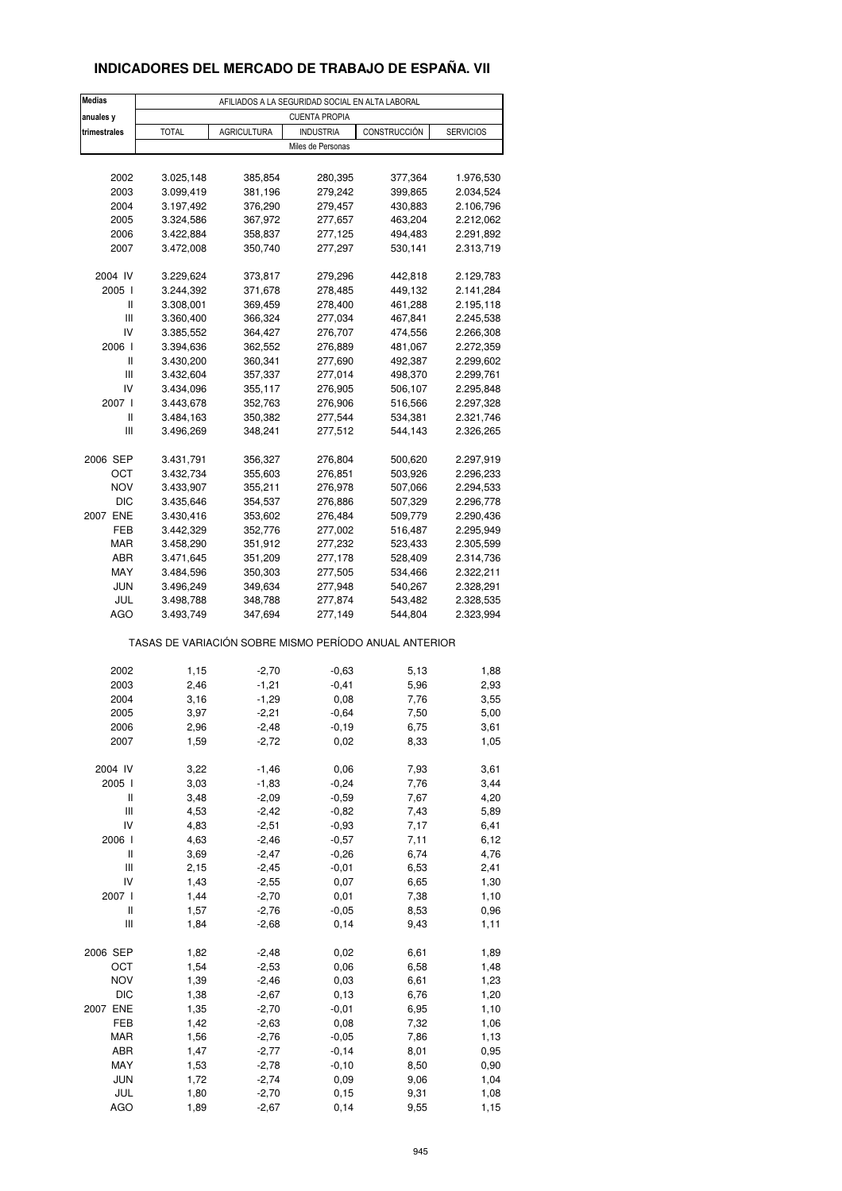### **INDICADORES DEL MERCADO DE TRABAJO DE ESPAÑA. VII**

| <b>Medias</b> | AFILIADOS A LA SEGURIDAD SOCIAL EN ALTA LABORAL       |                    |                      |                    |                        |  |  |
|---------------|-------------------------------------------------------|--------------------|----------------------|--------------------|------------------------|--|--|
| anuales y     |                                                       |                    | <b>CUENTA PROPIA</b> |                    |                        |  |  |
| trimestrales  | <b>TOTAL</b>                                          | <b>AGRICULTURA</b> | <b>INDUSTRIA</b>     | CONSTRUCCIÓN       | <b>SERVICIOS</b>       |  |  |
|               |                                                       |                    | Miles de Personas    |                    |                        |  |  |
|               |                                                       |                    |                      |                    |                        |  |  |
| 2002          | 3.025,148                                             | 385,854            | 280,395              | 377,364            | 1.976,530              |  |  |
| 2003          | 3.099,419                                             | 381,196            | 279,242              | 399,865            | 2.034,524              |  |  |
| 2004          | 3.197,492                                             | 376,290            | 279,457              | 430,883            | 2.106,796              |  |  |
| 2005          | 3.324,586                                             | 367,972            | 277,657              | 463,204            | 2.212,062              |  |  |
| 2006          | 3.422,884                                             | 358,837            | 277,125              | 494,483            | 2.291,892              |  |  |
| 2007          | 3.472,008                                             | 350,740            | 277,297              | 530,141            | 2.313,719              |  |  |
|               |                                                       |                    |                      |                    |                        |  |  |
| 2004 IV       | 3.229,624                                             | 373,817            | 279,296              | 442,818            | 2.129,783              |  |  |
| 2005 l<br>Ш   | 3.244,392                                             | 371,678<br>369,459 | 278,485<br>278,400   | 449,132<br>461,288 | 2.141,284<br>2.195,118 |  |  |
| Ш             | 3.308,001<br>3.360,400                                | 366,324            | 277,034              | 467,841            | 2.245,538              |  |  |
| IV            | 3.385,552                                             | 364,427            | 276,707              | 474,556            | 2.266,308              |  |  |
| 2006 l        | 3.394,636                                             | 362,552            | 276,889              | 481,067            | 2.272,359              |  |  |
| Ш             | 3.430,200                                             | 360,341            | 277,690              | 492,387            | 2.299,602              |  |  |
| Ш             | 3.432,604                                             | 357,337            | 277,014              | 498,370            | 2.299,761              |  |  |
| IV            | 3.434,096                                             | 355,117            | 276,905              | 506,107            | 2.295,848              |  |  |
| 2007 l        | 3.443,678                                             | 352,763            | 276,906              | 516,566            | 2.297,328              |  |  |
| Ш             | 3.484,163                                             | 350,382            | 277,544              | 534,381            | 2.321,746              |  |  |
| Ш             | 3.496,269                                             | 348,241            | 277,512              | 544,143            | 2.326,265              |  |  |
|               |                                                       |                    |                      |                    |                        |  |  |
| 2006 SEP      | 3.431,791                                             | 356,327            | 276,804              | 500,620            | 2.297,919              |  |  |
| OCT           | 3.432,734                                             | 355,603            | 276,851              | 503,926            | 2.296,233              |  |  |
| <b>NOV</b>    | 3.433,907                                             | 355,211            | 276,978              | 507,066            | 2.294,533              |  |  |
| <b>DIC</b>    | 3.435,646                                             | 354,537            | 276,886              | 507,329            | 2.296,778              |  |  |
| 2007 ENE      | 3.430,416                                             | 353,602            | 276,484              | 509,779            | 2.290,436              |  |  |
| FEB           | 3.442,329                                             | 352,776            | 277,002              | 516,487            | 2.295,949              |  |  |
| <b>MAR</b>    | 3.458,290                                             | 351,912            | 277,232              | 523,433            | 2.305,599              |  |  |
| ABR           | 3.471,645                                             | 351,209            | 277,178              | 528,409            | 2.314,736              |  |  |
| MAY           | 3.484,596                                             | 350,303            | 277,505              | 534,466            | 2.322,211              |  |  |
| <b>JUN</b>    | 3.496,249                                             | 349,634            | 277,948              | 540,267            | 2.328,291              |  |  |
| JUL           | 3.498,788                                             | 348,788            | 277,874              | 543,482            | 2.328,535              |  |  |
| AGO           | 3.493,749                                             | 347,694            | 277,149              | 544,804            | 2.323,994              |  |  |
|               | TASAS DE VARIACIÓN SOBRE MISMO PERÍODO ANUAL ANTERIOR |                    |                      |                    |                        |  |  |
| 2002          | 1,15                                                  | $-2,70$            | $-0.63$              | 5,13               | 1,88                   |  |  |
| 2003          | 2,46                                                  | $-1,21$            | $-0,41$              | 5,96               | 2,93                   |  |  |
| 2004          | 3,16                                                  | $-1,29$            | 0,08                 | 7,76               | 3,55                   |  |  |
| 2005          | 3,97                                                  | $-2,21$            | $-0,64$              | 7,50               | 5,00                   |  |  |
| 2006          | 2,96                                                  | -2,48              | -0,19                | 6,75               | 3,61                   |  |  |
| 2007          | 1,59                                                  | $-2,72$            | 0,02                 | 8,33               | 1,05                   |  |  |
|               |                                                       |                    |                      |                    |                        |  |  |
| 2004 IV       | 3,22                                                  | $-1,46$            | 0,06                 | 7,93               | 3,61                   |  |  |
| 2005 l        | 3,03                                                  | $-1,83$            | $-0,24$              | 7,76               | 3,44                   |  |  |
| Ш             | 3,48                                                  | $-2,09$            | $-0,59$              | 7,67               | 4,20                   |  |  |
| Ш             | 4,53                                                  | $-2,42$            | $-0,82$              | 7,43               | 5,89                   |  |  |
| IV            | 4,83                                                  | $-2,51$            | $-0,93$              | 7,17               | 6,41                   |  |  |
| 2006 l        | 4,63                                                  | $-2,46$            | $-0,57$              | 7,11               | 6,12                   |  |  |
| Ш             | 3,69                                                  | $-2,47$            | $-0,26$              | 6,74               | 4,76                   |  |  |
| Ш             | 2,15                                                  | $-2,45$            | $-0,01$              | 6,53               | 2,41                   |  |  |
| IV<br>2007 l  | 1,43<br>1,44                                          | $-2,55$<br>$-2,70$ | 0,07                 | 6,65<br>7,38       | 1,30                   |  |  |
| Ш             | 1,57                                                  | $-2,76$            | 0,01<br>$-0,05$      | 8,53               | 1,10                   |  |  |
| Ш             | 1,84                                                  | $-2,68$            | 0,14                 | 9,43               | 0,96<br>1,11           |  |  |
|               |                                                       |                    |                      |                    |                        |  |  |
| 2006 SEP      | 1,82                                                  | $-2,48$            | 0,02                 | 6,61               | 1,89                   |  |  |
| OCT           | 1,54                                                  | $-2,53$            | 0,06                 | 6,58               | 1,48                   |  |  |
| <b>NOV</b>    | 1,39                                                  | $-2,46$            | 0,03                 | 6,61               | 1,23                   |  |  |
| <b>DIC</b>    | 1,38                                                  | $-2,67$            | 0,13                 | 6,76               | 1,20                   |  |  |
| 2007 ENE      | 1,35                                                  | $-2,70$            | $-0,01$              | 6,95               | 1,10                   |  |  |
| FEB           | 1,42                                                  | $-2,63$            | 0,08                 | 7,32               | 1,06                   |  |  |
| MAR           | 1,56                                                  | $-2,76$            | $-0,05$              | 7,86               | 1,13                   |  |  |
| ABR           | 1,47                                                  | $-2,77$            | $-0,14$              | 8,01               | 0,95                   |  |  |
| MAY           | 1,53                                                  | $-2,78$            | $-0,10$              | 8,50               | 0,90                   |  |  |
| <b>JUN</b>    | 1,72                                                  | $-2,74$            | 0,09                 | 9,06               | 1,04                   |  |  |
| JUL           | 1,80                                                  | $-2,70$            | 0,15                 | 9,31               | 1,08                   |  |  |
| AGO           | 1,89                                                  | $-2,67$            | 0,14                 | 9,55               | 1,15                   |  |  |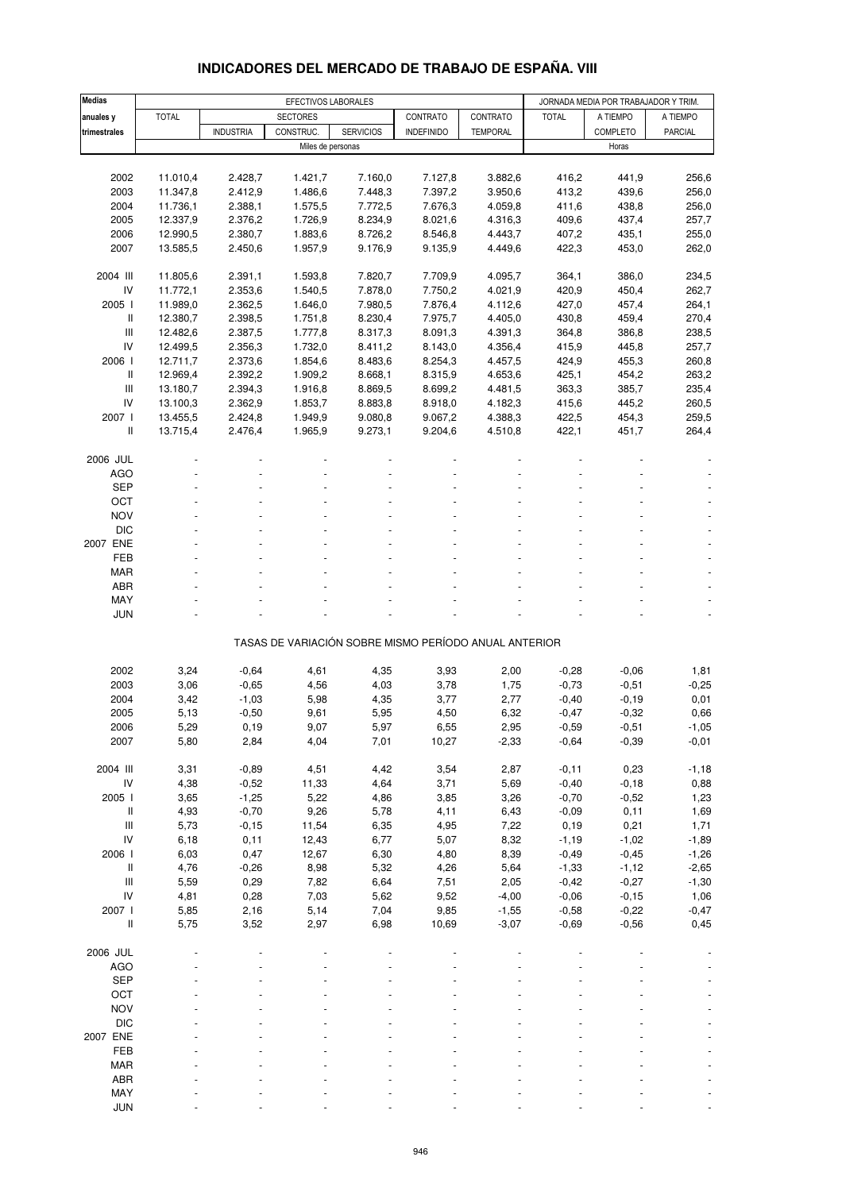#### Medias | EFECTIVOS LABORALES | JORNADA MEDIA POR TRABAJADOR Y TRIM. anuales y TOTAL SECTORES CONTRATO CONTRATO TOTAL A TIEMPO A TIEMPO trimestrales | | INDUSTRIA | CONSTRUC. | SERVICIOS | INDEFINIDO | TEMPORAL | COMPLETO | PARCIAL Miles de personas Horas Horas Horas Horas Horas Horas Horas Horas Horas Horas Horas Horas Horas Horas Horas Horas Horas Horas Horas Horas Horas Horas Horas Horas Horas Horas Horas Horas Horas Horas Horas Horas Horas Horas 2002 11.010,4 2.428,7 1.421,7 7.160,0 7.127,8 3.882,6 416,2 441,9 256,6 2003 11.347,8 2.412,9 1.486,6 7.448,3 7.397,2 3.950,6 413,2 439,6 256,0 2004 11.736,1 2.388,1 1.575,5 7.772,5 7.676,3 4.059,8 411,6 438,8 256,0 2005 12.337,9 2.376,2 1.726,9 8.234,9 8.021,6 4.316,3 409,6 437,4 257,7 2006 12.990,5 2.380,7 1.883,6 8.726,2 8.546,8 4.443,7 407,2 435,1 255,0 2007 13.585,5 2.450,6 1.957,9 9.176,9 9.135,9 4.449,6 422,3 453,0 262,0 2004 III 11.805,6 2.391,1 1.593,8 7.820,7 7.709,9 4.095,7 364,1 386,0 234,5 IV 11.772,1 2.353,6 1.540,5 7.878,0 7.750,2 4.021,9 420,9 450,4 262,7 2005 I 11.989,0 2.362,5 1.646,0 7.980,5 7.876,4 4.112,6 427,0 457,4 264,1 II 12.380,7 2.398,5 1.751,8 8.230,4 7.975,7 4.405,0 430,8 459,4 270,4 III 12.482,6 2.387,5 1.777,8 8.317,3 8.091,3 4.391,3 364,8 386,8 238,5 IV 12.499,5 2.356,3 1.732,0 8.411,2 8.143,0 4.356,4 415,9 445,8 257,7 2006 I 12.711,7 2.373,6 1.854,6 8.483,6 8.254,3 4.457,5 424,9 455,3 260,8 II 12.969,4 2.392,2 1.909,2 8.668,1 8.315,9 4.653,6 425,1 454,2 263,2 III 13.180,7 2.394,3 1.916,8 8.869,5 8.699,2 4.481,5 363,3 385,7 235,4 IV 13.100,3 2.362,9 1.853,7 8.883,8 8.918,0 4.182,3 415,6 445,2 260,5 2007 I 13.455,5 2.424,8 1.949,9 9.080,8 9.067,2 4.388,3 422,5 454,3 259,5 II 13.715,4 2.476,4 1.965,9 9.273,1 9.204,6 4.510,8 422,1 451,7 264,4 2006 JUL - - - - - - - - -  $\overline{A}\overline{G}O$  . The set of the set of the set of the set of the set of the set of the set of the set of the set of the set of the set of the set of the set of the set of the set of the set of the set of the set of the se  $\begin{array}{lllllllllllll} \text{SEP} & \text{~~} & \text{~~} & \text{~~} & \text{~~} & \text{~~} & \text{~~} & \text{~~} & \text{~~} & \text{~~} & \text{~~} & \text{~~} & \text{~~} & \text{~~} & \text{~~} & \text{~~} & \text{~~} & \text{~~} & \text{~~} & \text{~~} & \text{~~} & \text{~~} \end{array}$ OCT is a set of the set of the set of the set of the set of the set of the set of the set of the set of the set  $NOV$  , and the set of the set of the set of the set of the set of the set of the set of the set of the set of the set of the set of the set of the set of the set of the set of the set of the set of the set of the set of t DIC  $\qquad \qquad -$  -  $\qquad \qquad -$  -  $\qquad \qquad -$  -  $\qquad \qquad -$  -  $\qquad \qquad -$  -  $\qquad \qquad -$  -  $\qquad \qquad -$ 2007 ENE - - - - - - - - - FEB - - - - - - - - -  $\mathsf{MAR}$  . In the set of the set of the set of the set of the set of the set of the set of the set of the set of the set of the set of the set of the set of the set of the set of the set of the set of the set of the set  $ABR$  . The set of the set of the set of the set of the set of the set of the set of the set of the set of the set of the set of the set of the set of the set of the set of the set of the set of the set of the set of the s  $\text{MAY}$  , and the set of the set of the set of the set of the set of the set of the set of the set of the set of the set of the set of the set of the set of the set of the set of the set of the set of the set of the set JUN - - - - - - - - - TASAS DE VARIACIÓN SOBRE MISMO PERÍODO ANUAL ANTERIOR 2002 3,24 -0,64 4,61 4,35 3,93 2,00 -0,28 -0,06 1,81 2003 3,06 -0,65 4,56 4,03 3,78 1,75 -0,73 -0,51 -0,25 2004 3,42 -1,03 5,98 4,35 3,77 2,77 -0,40 -0,19 0,01 2005 5,13 -0,50 9,61 5,95 4,50 6,32 -0,47 -0,32 0,66 2006 5,29 0,19 9,07 5,97 6,55 2,95 -0,59 -0,51 -1,05 2007 5,80 2,84 4,04 7,01 10,27 -2,33 -0,64 -0,39 -0,01 2004 III 3,31 -0,89 4,51 4,42 3,54 2,87 -0,11 0,23 -1,18 IV 4,38 -0,52 11,33 4,64 3,71 5,69 -0,40 -0,18 0,88 2005 I 3,65 -1,25 5,22 4,86 3,85 3,26 -0,70 -0,52 1,23 II 4,93 -0,70 9,26 5,78 4,11 6,43 -0,09 0,11 1,69 III 5,73 -0,15 11,54 6,35 4,95 7,22 0,19 0,21 1,71 IV 6,18 0,11 12,43 6,77 5,07 8,32 -1,19 -1,02 -1,89 2006 I 6,03 0,47 12,67 6,30 4,80 8,39 -0,49 -0,45 -1,26 II 4,76 -0,26 8,98 5,32 4,26 5,64 -1,33 -1,12 -2,65 III 5,59 0,29 7,82 6,64 7,51 2,05 -0,42 -0,27 -1,30 IV 4,81 0,28 7,03 5,62 9,52 -4,00 -0,06 -0,15 1,06 2007 I 5,85 2,16 5,14 7,04 9,85 -1,55 -0,58 -0,22 -0,47 II 5,75 3,52 2,97 6,98 10,69 -3,07 -0,69 -0,56 0,45 2006 JUL - - - - - - - - -  $\overline{A}\overline{G}O$  . The set of the set of the set of the set of the set of the set of the set of the set of the set of the set of the set of the set of the set of the set of the set of the set of the set of the set of the se  $\begin{array}{lllllllllll} \text{SEP} & \text{~~} & \text{~~} & \text{~~} & \text{~~} & \text{~~} & \text{~~} & \text{~~} & \text{~~} & \text{~~} & \text{~~} & \text{~~} & \text{~~} & \text{~~} & \text{~~} & \text{~~} & \text{~~} & \text{~~} & \text{~~} & \text{~~} & \text{~~} & \text{~~} & \text{~~} \end{array}$ OCT is a set of the set of the set of the set of the set of the set of the set of the set of the set of the set  $NOV$  , and the set of the set of the set of the set of the set of the set of the set of the set of the set of the set of the set of the set of the set of the set of the set of the set of the set of the set of the set of t DIC  $\qquad \qquad -$  -  $\qquad \qquad -$  -  $\qquad \qquad -$  -  $\qquad \qquad -$  -  $\qquad \qquad -$  -  $\qquad \qquad -$  -  $\qquad \qquad -$ 2007 ENE - - - - - - - - - FEB - - - - - - - - -  $\mathsf{MAR}$  . In the set of the set of the set of the set of the set of the set of the set of the set of the set of the set of the set of the set of the set of the set of the set of the set of the set of the set of the set  $ABR$  . The set of the set of the set of the set of the set of the set of the set of the set of the set of the set of the set of the set of the set of the set of the set of the set of the set of the set of the set of the s

#### **INDICADORES DEL MERCADO DE TRABAJO DE ESPAÑA. VIII**

 $\text{MAY}$  , and the set of the set of the set of the set of the set of the set of the set of the set of the set of the set of the set of the set of the set of the set of the set of the set of the set of the set of the set JUN - - - - - - - - -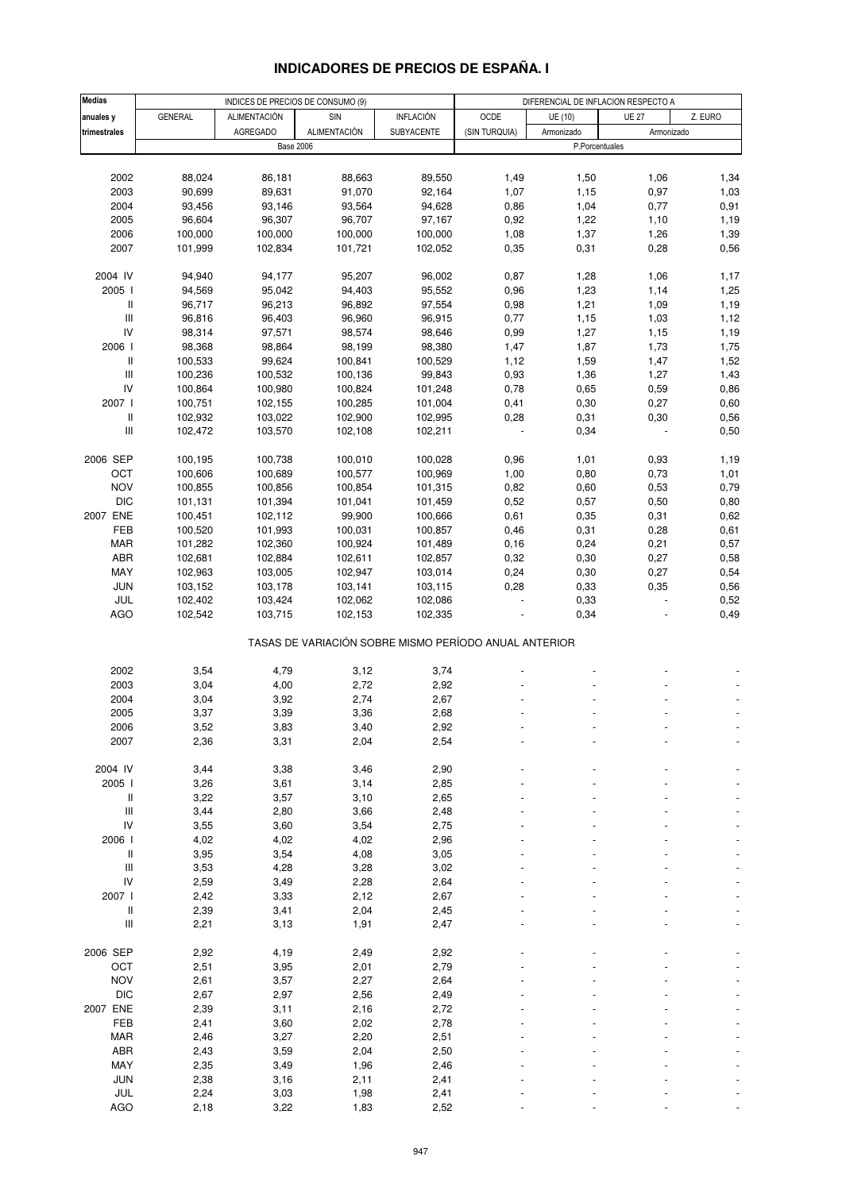#### Medias | INDICES DE PRECIOS DE CONSUMO (9) | DIFERENCIAL DE INFLACION RESPECTO A anuales y | GENERAL | ALIMENTACIÓN | SIN | INFLACIÓN | OCDE | UE $\,$ (10) | UE $\,$ 27 | Z.<code>EURO</code> tri**mestrales |** AGREGADO | ALIMENTACIÓN | SUBYACENTE | (SIN<code>TURQUIA</code>) | Armonizado | Armonizado Base 2006 P.Porcentuales 2002 88,024 86,181 88,663 89,550 1,49 1,50 1,06 1,34 2003 90,699 89,631 91,070 92,164 1,07 1,15 0,97 1,03 2004 93,456 93,146 93,564 94,628 0,86 1,04 0,77 0,91 2005 96,604 96,307 96,707 97,167 0,92 1,22 1,10 1,19 2006 100,000 100,000 100,000 100,000 1,08 1,37 1,26 1,39 2007 101,999 102,834 101,721 102,052 0,35 0,31 0,28 0,56 2004 IV 94,940 94,177 95,207 96,002 0,87 1,28 1,06 1,17 2005 I 94,569 95,042 94,403 95,552 0,96 1,23 1,14 1,25 II 96,717 96,213 96,892 97,554 0,98 1,21 1,09 1,19 III 96,816 96,403 96,960 96,915 0,77 1,15 1,03 1,12 IV 98,314 97,571 98,574 98,646 0,99 1,27 1,15 1,19 2006 I 98,368 98,864 98,199 98,380 1,47 1,87 1,73 1,75 II 100,533 99,624 100,841 100,529 1,12 1,59 1,47 1,52 III 100,236 100,532 100,136 99,843 0,93 1,36 1,27 1,43 IV 100,864 100,980 100,824 101,248 0,78 0,65 0,59 0,86 2007 I 100,751 102,155 100,285 101,004 0,41 0,30 0,27 0,60 II 102,932 103,022 102,900 102,995 0,28 0,31 0,30 0,56 III 102,472 103,570 102,108 102,211 - 0,34 - 0,50 2006 SEP 100,195 100,738 100,010 100,028 0,96 1,01 0,93 1,19 OCT 100,606 100,689 100,577 100,969 1,00 0,80 0,73 1,01 NOV 100,855 100,856 100,854 101,315 0,82 0,60 0,53 0,79 DIC 101,131 101,394 101,041 101,459 0,52 0,57 0,50 0,80 2007 ENE 100,451 102,112 99,900 100,666 0,61 0,35 0,31 0,62 FEB 100,520 101,993 100,031 100,857 0,46 0,31 0,28 0,61 MAR 101,282 102,360 100,924 101,489 0,16 0,24 0,21 0,57 ABR 102,681 102,884 102,611 102,857 0,32 0,30 0,27 0,58 MAY 102,963 103,005 102,947 103,014 0,24 0,30 0,27 0,54 JUN 103,152 103,178 103,141 103,115 0,28 0,33 0,35 0,56 JUL 102,402 103,424 102,062 102,086 - 0,33 - 0,52 AGO 102,542 103,715 102,153 102,335 - 0,34 - 0,49 TASAS DE VARIACIÓN SOBRE MISMO PERÍODO ANUAL ANTERIOR 2002 3,54 4,79 3,12 3,74 - - - - 2003 3,04 4,00 2,72 2,92 - - - - 2004 3,04 3,92 2,74 2,67 - - - - 2005 3,37 3,39 3,36 2,68 - - - - 2006 3,52 3,83 3,40 2,92 - - - - - - - - - -2007 2,36 3,31 2,04 2,54 - - - - - - - - - -2004 IV 3,44 3,38 3,46 2,90 - - - - 2005 I 3,26 3,61 3,14 2,85 - - - -  $\frac{11}{11}$  3,22 3,57 3,10 2,65 - - - - - - III 3,44 2,80 3,66 2,48 - - - - IV 3,55 3,60 3,54 2,75 - - - - 2006 I 4,02 4,02 4,02 2,96 - - - -  $\frac{11}{11}$  3,95 3,54 4,08 3,05 - - - - - - - III 3,53 4,28 3,28 3,02 - - - - IV 2,59 3,49 2,28 2,64 - - - - - - - -2007 I 2,42 3,33 2,12 2,67 - - - - II 2,39 3,41 2,04 2,45 - - - - - - - III 2,21 3,13 1,91 2,47 - - - - 2006 SEP 2,92 4,19 2,49 2,92 - - - - OCT 2,51 3,95 2,01 2,79 - - - - - - - - - NOV 2,61 3,57 2,27 2,64 - - - - DIC 2,67 2,97 2,56 2,49 - - - - - - -2007 ENE 2,39 3,11 2,16 2,72 - - - - FEB 2,41 3,60 2,02 2,78 - - - - - - - - MAR 2,46 3,27 2,20 2,51 - - - - ABR 2,43 3,59 2,04 2,50 - - - - - - - - - MAY 2,35 3,49 1,96 2,46 - - - - JUN 2,38 3,16 2,11 2,41 - - - - JUL 2,24 3,03 1,98 2,41 - - - -

## **INDICADORES DE PRECIOS DE ESPAÑA. I**

AGO 2,18 3,22 1,83 2,52 - - - - - - - -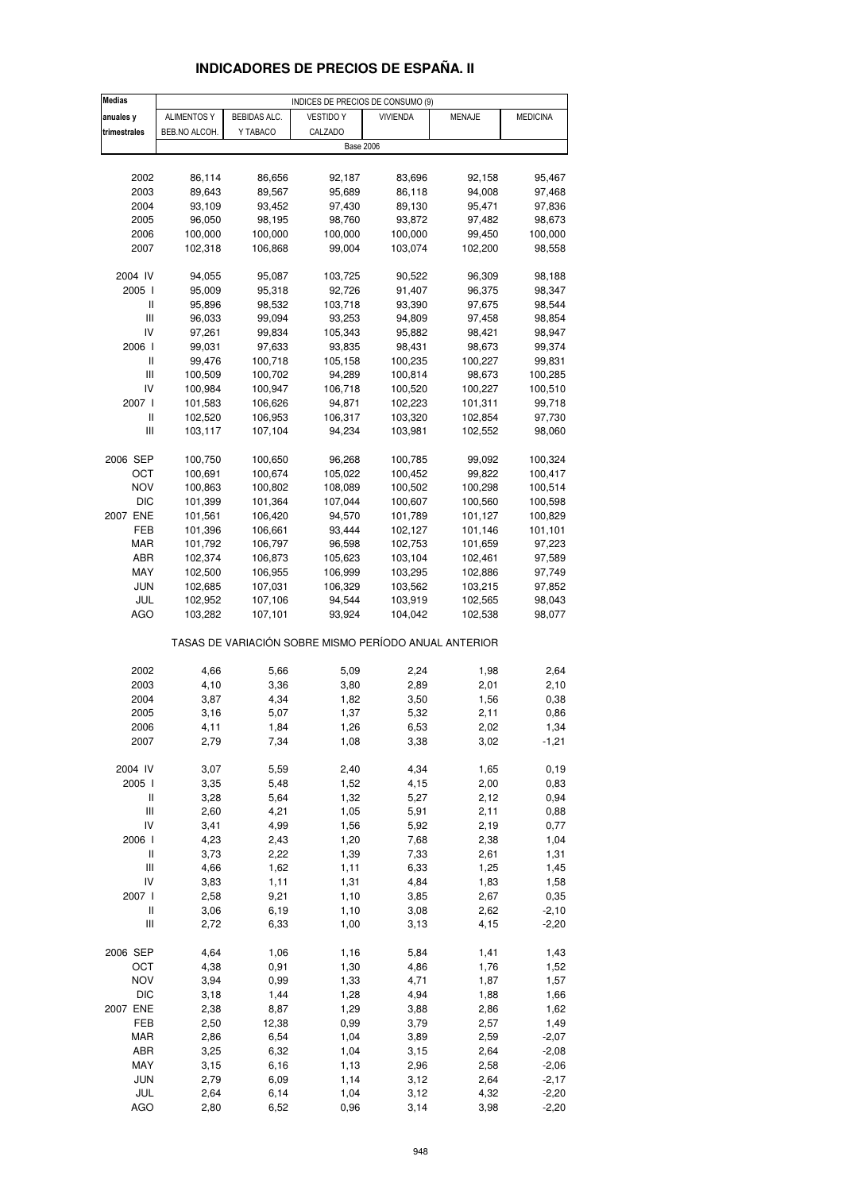| <b>Medias</b>                      |                    |                    | INDICES DE PRECIOS DE CONSUMO (9)                     |                    |                  |                    |
|------------------------------------|--------------------|--------------------|-------------------------------------------------------|--------------------|------------------|--------------------|
| anuales y                          | <b>ALIMENTOS Y</b> | BEBIDAS ALC.       | <b>VESTIDO Y</b>                                      | <b>VIVIENDA</b>    | MENAJE           | <b>MEDICINA</b>    |
| trimestrales                       | BEB.NO ALCOH.      | Y TABACO           | CALZADO                                               |                    |                  |                    |
|                                    |                    |                    | <b>Base 2006</b>                                      |                    |                  |                    |
|                                    |                    |                    |                                                       |                    |                  |                    |
| 2002                               | 86,114             | 86,656             | 92,187                                                | 83,696             | 92,158           | 95,467             |
| 2003                               | 89,643             | 89,567             | 95,689                                                | 86,118             | 94,008           | 97,468             |
| 2004                               | 93,109             | 93,452             | 97,430                                                | 89,130             | 95,471           | 97,836             |
| 2005                               | 96,050             | 98,195             | 98,760                                                | 93,872             | 97,482           | 98,673             |
| 2006                               | 100,000            | 100,000            | 100,000                                               | 100,000            | 99,450           | 100,000            |
| 2007                               | 102,318            | 106,868            | 99,004                                                | 103,074            | 102,200          | 98,558             |
|                                    |                    |                    |                                                       |                    |                  |                    |
| 2004 IV                            | 94,055             | 95,087             | 103,725                                               | 90,522             | 96,309           | 98,188             |
| 2005 l                             | 95,009             | 95,318             | 92,726                                                | 91,407             | 96,375           | 98,347             |
| II                                 | 95,896             | 98,532             | 103,718                                               | 93,390             | 97,675           | 98,544             |
| Ш                                  | 96,033             | 99,094             | 93,253                                                | 94,809             | 97,458           | 98,854             |
| IV                                 | 97,261             | 99,834             | 105,343                                               | 95,882             | 98,421           | 98,947             |
| 2006                               | 99,031             | 97,633             | 93,835                                                | 98,431             | 98,673           | 99,374             |
| $\mathsf{I}$                       | 99,476             | 100,718            | 105,158                                               | 100,235            | 100,227          | 99,831             |
| Ш                                  | 100,509            | 100,702            | 94,289                                                | 100,814            | 98,673           | 100,285            |
| IV                                 | 100,984            | 100,947            | 106,718                                               | 100,520            | 100,227          | 100,510            |
| 2007 l                             | 101,583            | 106,626            | 94,871                                                | 102,223            | 101,311          | 99,718             |
| Ш                                  | 102,520            | 106,953            | 106,317                                               | 103,320            | 102,854          | 97,730             |
| Ш                                  | 103,117            | 107,104            | 94,234                                                | 103,981            | 102,552          | 98,060             |
| 2006 SEP                           | 100,750            |                    | 96,268                                                |                    |                  | 100,324            |
| ОСТ                                | 100,691            | 100,650<br>100,674 | 105,022                                               | 100,785<br>100,452 | 99,092<br>99,822 | 100,417            |
| <b>NOV</b>                         | 100,863            | 100,802            | 108,089                                               | 100,502            | 100,298          | 100,514            |
| <b>DIC</b>                         | 101,399            | 101,364            | 107,044                                               | 100,607            | 100,560          | 100,598            |
| 2007 ENE                           | 101,561            | 106,420            | 94,570                                                | 101,789            | 101,127          | 100,829            |
| FEB                                | 101,396            | 106,661            | 93,444                                                | 102,127            | 101,146          | 101,101            |
| MAR                                | 101,792            | 106,797            | 96,598                                                | 102,753            | 101,659          | 97,223             |
| ABR                                | 102,374            | 106,873            | 105,623                                               | 103,104            | 102,461          | 97,589             |
| MAY                                | 102,500            | 106,955            | 106,999                                               | 103,295            | 102,886          | 97,749             |
| <b>JUN</b>                         | 102,685            | 107,031            | 106,329                                               | 103,562            | 103,215          | 97,852             |
| JUL                                | 102,952            | 107,106            | 94,544                                                | 103,919            | 102,565          | 98,043             |
| AGO                                | 103,282            | 107,101            | 93,924                                                | 104,042            | 102,538          | 98,077             |
|                                    |                    |                    | TASAS DE VARIACIÓN SOBRE MISMO PERÍODO ANUAL ANTERIOR |                    |                  |                    |
|                                    |                    |                    |                                                       |                    |                  |                    |
| 2002                               | 4,66               | 5,66               | 5,09                                                  | 2,24               | 1,98             | 2,64               |
| 2003<br>2004                       | 4,10<br>3,87       | 3,36<br>4,34       | 3,80<br>1,82                                          | 2,89<br>3,50       | 2,01<br>1,56     | 2,10<br>0,38       |
| 2005                               | 3,16               | 5,07               | 1,37                                                  | 5,32               | 2,11             | 0,86               |
| 2006                               | 4,11               | 1,84               | 1,26                                                  | 6,53               | 2,02             | 1,34               |
| 2007                               | 2,79               | 7,34               | 1,08                                                  | 3,38               | 3,02             | $-1,21$            |
|                                    |                    |                    |                                                       |                    |                  |                    |
| 2004 IV                            | 3,07               | 5,59               | 2,40                                                  | 4,34               | 1,65             | 0, 19              |
| 2005 l                             | 3,35               | 5,48               | 1,52                                                  | 4,15               | 2,00             | 0,83               |
| $\mathop{  }$                      | 3,28               | 5,64               | 1,32                                                  | 5,27               | 2,12             | 0,94               |
| Ш                                  | 2,60               | 4,21               | 1,05                                                  | 5,91               | 2,11             | 0,88               |
| IV                                 | 3,41               | 4,99               | 1,56                                                  | 5,92               | 2,19             | 0,77               |
| 2006                               | 4,23               | 2,43               | 1,20                                                  | 7,68               | 2,38             | 1,04               |
| $\,$ $\,$ $\,$ $\,$                | 3,73               | 2,22               | 1,39                                                  | 7,33               | 2,61             | 1,31               |
| $\ensuremath{\mathsf{III}}\xspace$ | 4,66               | 1,62               | 1,11                                                  | 6,33               | 1,25             | 1,45               |
| IV                                 | 3,83               | 1,11               | 1,31                                                  | 4,84               | 1,83             | 1,58               |
| 2007 l                             | 2,58               | 9,21               | 1,10                                                  | 3,85               | 2,67             | 0,35               |
| Ш                                  | 3,06               | 6,19               | 1,10                                                  | 3,08               | 2,62             | $-2,10$            |
| Ш                                  | 2,72               | 6,33               | 1,00                                                  | 3,13               | 4,15             | $-2,20$            |
| 2006 SEP                           | 4,64               | 1,06               | 1,16                                                  | 5,84               | 1,41             | 1,43               |
| OCT                                | 4,38               | 0,91               | 1,30                                                  | 4,86               | 1,76             | 1,52               |
| <b>NOV</b>                         | 3,94               | 0,99               | 1,33                                                  | 4,71               | 1,87             | 1,57               |
| <b>DIC</b>                         | 3,18               | 1,44               | 1,28                                                  | 4,94               | 1,88             | 1,66               |
| 2007 ENE                           | 2,38               | 8,87               | 1,29                                                  | 3,88               | 2,86             | 1,62               |
| FEB                                | 2,50               | 12,38              | 0,99                                                  | 3,79               | 2,57             | 1,49               |
| MAR<br>ABR                         | 2,86<br>3,25       | 6,54<br>6,32       | 1,04                                                  | 3,89<br>3,15       | 2,59<br>2,64     | $-2,07$            |
|                                    |                    |                    | 1,04                                                  |                    |                  | $-2,08$            |
| MAY<br><b>JUN</b>                  | 3,15<br>2,79       | 6,16<br>6,09       | 1,13<br>1,14                                          | 2,96<br>3,12       | 2,58<br>2,64     | $-2,06$<br>$-2,17$ |
| JUL                                | 2,64               | 6,14               | 1,04                                                  | 3,12               | 4,32             | $-2,20$            |
| <b>AGO</b>                         | 2,80               | 6,52               | 0,96                                                  | 3,14               | 3,98             | $-2,20$            |
|                                    |                    |                    |                                                       |                    |                  |                    |

## **INDICADORES DE PRECIOS DE ESPAÑA. II**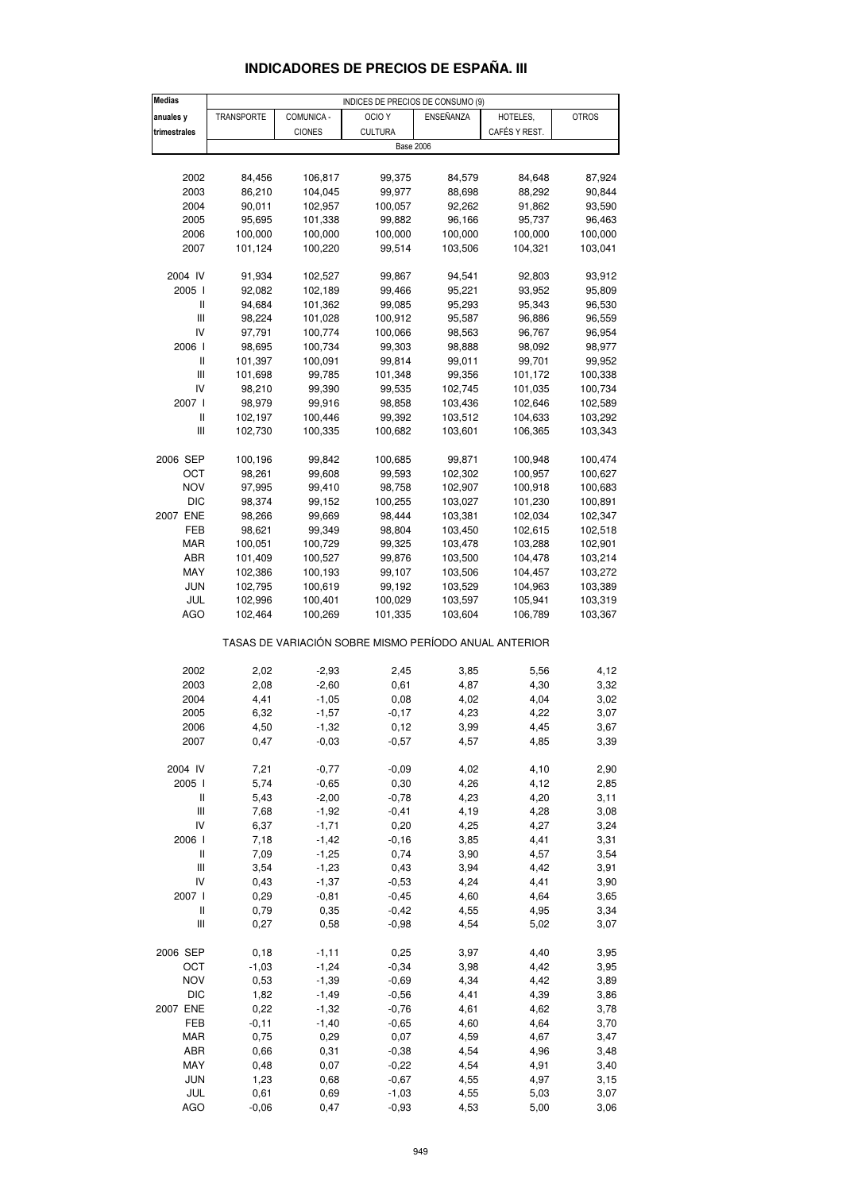| <b>Medias</b>                      | INDICES DE PRECIOS DE CONSUMO (9) |               |                                                       |           |               |              |  |
|------------------------------------|-----------------------------------|---------------|-------------------------------------------------------|-----------|---------------|--------------|--|
| anuales y                          | <b>TRANSPORTE</b>                 | COMUNICA -    | OCIO <sub>Y</sub>                                     | ENSEÑANZA | HOTELES,      | <b>OTROS</b> |  |
| trimestrales                       |                                   | <b>CIONES</b> | <b>CULTURA</b>                                        |           | CAFÉS Y REST. |              |  |
|                                    |                                   |               | <b>Base 2006</b>                                      |           |               |              |  |
|                                    |                                   |               |                                                       |           |               |              |  |
| 2002                               | 84,456                            | 106,817       | 99,375                                                | 84,579    | 84,648        | 87,924       |  |
| 2003                               | 86,210                            | 104,045       | 99,977                                                | 88,698    | 88,292        | 90,844       |  |
| 2004                               | 90,011                            | 102,957       | 100,057                                               | 92,262    | 91,862        | 93,590       |  |
| 2005                               | 95,695                            | 101,338       | 99,882                                                | 96,166    | 95,737        | 96,463       |  |
| 2006                               | 100,000                           | 100,000       | 100,000                                               | 100,000   | 100,000       | 100,000      |  |
|                                    |                                   |               |                                                       |           |               |              |  |
| 2007                               | 101,124                           | 100,220       | 99,514                                                | 103,506   | 104,321       | 103,041      |  |
| 2004 IV                            | 91,934                            | 102,527       | 99,867                                                | 94,541    | 92,803        | 93,912       |  |
| 2005 l                             | 92,082                            | 102,189       | 99,466                                                | 95,221    | 93,952        | 95,809       |  |
| Ш                                  | 94,684                            | 101,362       | 99,085                                                | 95,293    | 95,343        | 96,530       |  |
| $\ensuremath{\mathsf{III}}\xspace$ | 98,224                            | 101,028       | 100,912                                               | 95,587    | 96,886        | 96,559       |  |
| IV                                 | 97,791                            | 100,774       | 100,066                                               | 98,563    | 96,767        | 96,954       |  |
| 2006                               | 98,695                            | 100,734       | 99,303                                                | 98,888    | 98,092        | 98,977       |  |
| Ш                                  | 101,397                           | 100,091       | 99,814                                                | 99,011    | 99,701        | 99,952       |  |
| $\ensuremath{\mathsf{III}}\xspace$ | 101,698                           | 99,785        | 101,348                                               | 99,356    | 101,172       | 100,338      |  |
| IV                                 |                                   |               |                                                       |           |               |              |  |
|                                    | 98,210                            | 99,390        | 99,535                                                | 102,745   | 101,035       | 100,734      |  |
| 2007 l                             | 98,979                            | 99,916        | 98,858                                                | 103,436   | 102,646       | 102,589      |  |
| Ш                                  | 102,197                           | 100,446       | 99,392                                                | 103,512   | 104,633       | 103,292      |  |
| III                                | 102,730                           | 100,335       | 100,682                                               | 103,601   | 106,365       | 103,343      |  |
| 2006 SEP                           | 100,196                           | 99,842        | 100,685                                               | 99,871    | 100,948       | 100,474      |  |
| OCT                                | 98,261                            | 99,608        | 99,593                                                | 102,302   | 100,957       | 100,627      |  |
| <b>NOV</b>                         | 97,995                            | 99,410        | 98,758                                                | 102,907   | 100,918       | 100,683      |  |
| DIC                                | 98,374                            | 99,152        | 100,255                                               | 103,027   |               |              |  |
|                                    |                                   |               |                                                       |           | 101,230       | 100,891      |  |
| 2007 ENE                           | 98,266                            | 99,669        | 98,444                                                | 103,381   | 102,034       | 102,347      |  |
| FEB                                | 98,621                            | 99,349        | 98,804                                                | 103,450   | 102,615       | 102,518      |  |
| MAR                                | 100,051                           | 100,729       | 99,325                                                | 103,478   | 103,288       | 102,901      |  |
| ABR                                | 101,409                           | 100,527       | 99,876                                                | 103,500   | 104,478       | 103,214      |  |
| MAY                                | 102,386                           | 100,193       | 99,107                                                | 103,506   | 104,457       | 103,272      |  |
| <b>JUN</b>                         | 102,795                           | 100,619       | 99,192                                                | 103,529   | 104,963       | 103,389      |  |
| JUL                                | 102,996                           | 100,401       | 100,029                                               | 103,597   | 105,941       | 103,319      |  |
| <b>AGO</b>                         | 102,464                           | 100,269       | 101,335                                               | 103,604   | 106,789       | 103,367      |  |
|                                    |                                   |               | TASAS DE VARIACIÓN SOBRE MISMO PERÍODO ANUAL ANTERIOR |           |               |              |  |
| 2002                               | 2,02                              | $-2,93$       | 2,45                                                  | 3,85      | 5,56          | 4,12         |  |
| 2003                               |                                   | $-2,60$       |                                                       | 4,87      | 4,30          | 3,32         |  |
|                                    | 2,08                              |               | 0,61                                                  |           |               |              |  |
| 2004                               | 4,41                              | $-1,05$       | 0,08                                                  | 4,02      | 4,04          | 3,02         |  |
| 2005                               | 6,32                              | $-1,57$       | $-0,17$                                               | 4,23      | 4,22          | 3,07         |  |
| 2006                               | 4,50                              | $-1,32$       | 0,12                                                  | 3,99      | 4,45          | 3,67         |  |
| 2007                               | 0,47                              | $-0,03$       | $-0,57$                                               | 4,57      | 4,85          | 3,39         |  |
| 2004 IV                            | 7,21                              | $-0,77$       | $-0,09$                                               | 4,02      | 4,10          | 2,90         |  |
| 2005 l                             | 5,74                              | $-0,65$       | 0,30                                                  | 4,26      | 4,12          | 2,85         |  |
| Ш                                  | 5,43                              | $-2,00$       | $-0,78$                                               | 4,23      | 4,20          | 3,11         |  |
| Ш                                  | 7,68                              | $-1,92$       | $-0,41$                                               | 4,19      | 4,28          | 3,08         |  |
| IV                                 | 6,37                              | $-1,71$       | 0,20                                                  | 4,25      | 4,27          | 3,24         |  |
| 2006 l                             | 7,18                              | $-1,42$       | $-0, 16$                                              | 3,85      | 4,41          | 3,31         |  |
| Ш                                  | 7,09                              | $-1,25$       | 0,74                                                  | 3,90      | 4,57          | 3,54         |  |
|                                    |                                   |               |                                                       |           |               |              |  |
| $\ensuremath{\mathsf{III}}\xspace$ | 3,54                              | $-1,23$       | 0,43                                                  | 3,94      | 4,42          | 3,91         |  |
| IV                                 | 0,43                              | $-1,37$       | $-0,53$                                               | 4,24      | 4,41          | 3,90         |  |
| 2007 l                             | 0,29                              | $-0,81$       | $-0,45$                                               | 4,60      | 4,64          | 3,65         |  |
| $\sf II$                           | 0,79                              | 0,35          | $-0,42$                                               | 4,55      | 4,95          | 3,34         |  |
| Ш                                  | 0,27                              | 0,58          | $-0,98$                                               | 4,54      | 5,02          | 3,07         |  |
| 2006 SEP                           | 0,18                              | $-1,11$       | 0,25                                                  | 3,97      | 4,40          | 3,95         |  |
| OCT                                | $-1,03$                           | $-1,24$       | $-0,34$                                               | 3,98      | 4,42          | 3,95         |  |
| <b>NOV</b>                         | 0,53                              | $-1,39$       | $-0,69$                                               | 4,34      | 4,42          | 3,89         |  |
| <b>DIC</b>                         | 1,82                              | $-1,49$       | $-0,56$                                               | 4,41      | 4,39          | 3,86         |  |
| 2007 ENE                           | 0,22                              | $-1,32$       | $-0,76$                                               | 4,61      | 4,62          | 3,78         |  |
| FEB                                | $-0,11$                           | $-1,40$       | $-0,65$                                               | 4,60      | 4,64          | 3,70         |  |
|                                    |                                   |               |                                                       |           |               |              |  |
| MAR                                | 0,75                              | 0,29          | 0,07                                                  | 4,59      | 4,67          | 3,47         |  |
| ABR                                | 0,66                              | 0,31          | $-0,38$                                               | 4,54      | 4,96          | 3,48         |  |
| MAY                                | 0,48                              | 0,07          | $-0,22$                                               | 4,54      | 4,91          | 3,40         |  |
| <b>JUN</b>                         | 1,23                              | 0,68          | $-0,67$                                               | 4,55      | 4,97          | 3,15         |  |
| JUL                                | 0,61                              | 0,69          | $-1,03$                                               | 4,55      | 5,03          | 3,07         |  |

## **INDICADORES DE PRECIOS DE ESPAÑA. III**

AGO -0,06 0,47 -0,93 4,53 5,00 3,06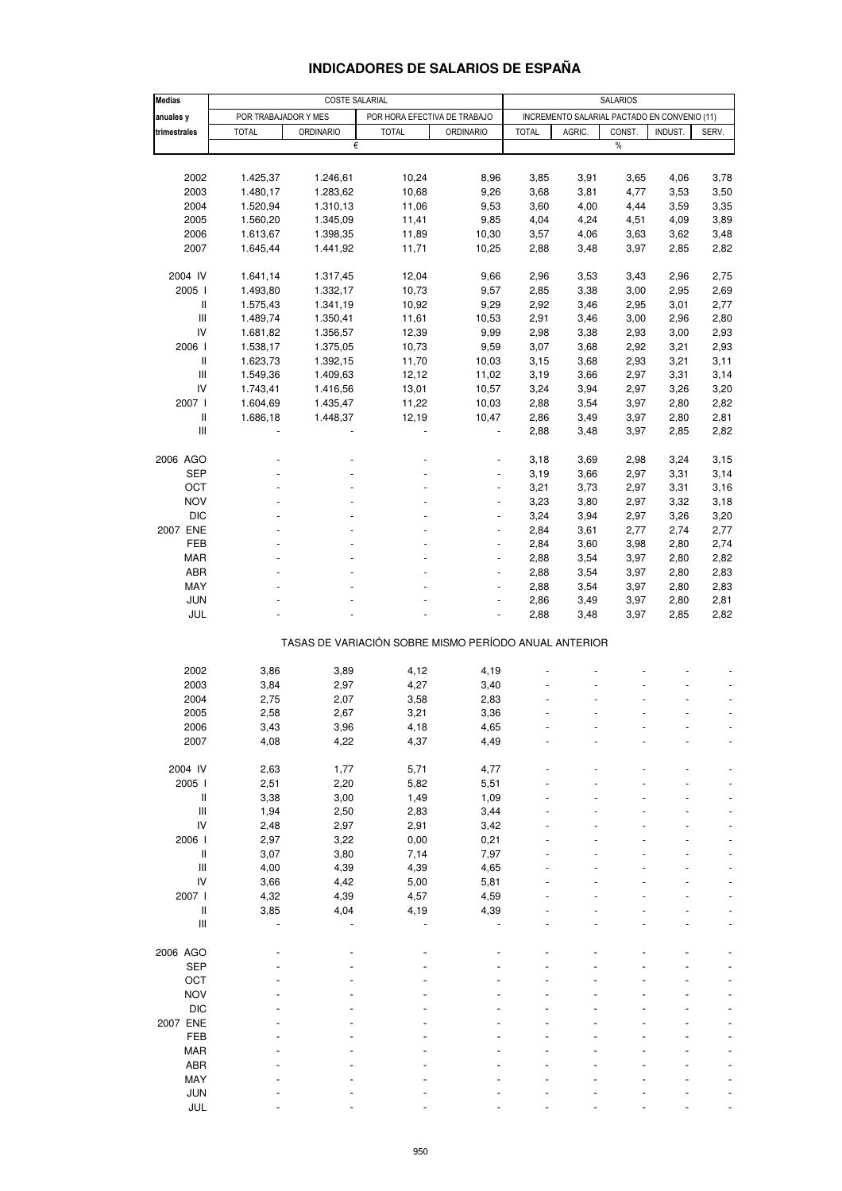| <b>INDICADORES DE SALARIOS DE ESPANA</b> |  |
|------------------------------------------|--|
|                                          |  |
|                                          |  |
|                                          |  |

| <b>Medias</b>                      | <b>COSTE SALARIAL</b> |                  |                                                       |                  | <b>SALARIOS</b> |                                              |        |         |       |
|------------------------------------|-----------------------|------------------|-------------------------------------------------------|------------------|-----------------|----------------------------------------------|--------|---------|-------|
| anuales y                          | POR TRABAJADOR Y MES  |                  | POR HORA EFECTIVA DE TRABAJO                          |                  |                 | INCREMENTO SALARIAL PACTADO EN CONVENIO (11) |        |         |       |
| trimestrales                       | <b>TOTAL</b>          | <b>ORDINARIO</b> | <b>TOTAL</b>                                          | <b>ORDINARIO</b> | <b>TOTAL</b>    | AGRIC.                                       | CONST. | INDUST. | SERV. |
|                                    |                       | €                |                                                       |                  |                 |                                              | $\%$   |         |       |
|                                    |                       |                  |                                                       |                  |                 |                                              |        |         |       |
| 2002                               | 1.425,37              | 1.246,61         | 10,24                                                 | 8,96             | 3,85            | 3,91                                         | 3,65   | 4,06    | 3,78  |
| 2003                               | 1.480,17              | 1.283,62         | 10,68                                                 | 9,26             | 3,68            | 3,81                                         | 4,77   | 3,53    | 3,50  |
| 2004                               | 1.520,94              | 1.310,13         | 11,06                                                 | 9,53             | 3,60            | 4,00                                         | 4,44   | 3,59    | 3,35  |
| 2005                               | 1.560,20              | 1.345,09         | 11,41                                                 | 9,85             | 4,04            | 4,24                                         | 4,51   | 4,09    | 3,89  |
| 2006                               | 1.613,67              | 1.398,35         | 11,89                                                 | 10,30            | 3,57            | 4,06                                         | 3,63   | 3,62    | 3,48  |
| 2007                               | 1.645,44              | 1.441,92         | 11,71                                                 | 10,25            | 2,88            | 3,48                                         | 3,97   | 2,85    | 2,82  |
|                                    |                       |                  |                                                       |                  |                 |                                              |        |         |       |
| 2004 IV                            | 1.641,14              | 1.317,45         | 12,04                                                 | 9,66             | 2,96            | 3,53                                         | 3,43   | 2,96    | 2,75  |
| 2005                               | 1.493,80              | 1.332,17         | 10,73                                                 | 9,57             | 2,85            | 3,38                                         | 3,00   | 2,95    | 2,69  |
| Ш                                  | 1.575,43              | 1.341,19         | 10,92                                                 | 9,29             | 2,92            | 3,46                                         | 2,95   | 3,01    | 2,77  |
| $\ensuremath{\mathsf{III}}\xspace$ | 1.489,74              | 1.350,41         | 11,61                                                 | 10,53            | 2,91            | 3,46                                         | 3,00   | 2,96    | 2,80  |
| IV                                 | 1.681,82              | 1.356,57         | 12,39                                                 | 9,99             | 2,98            | 3,38                                         | 2,93   | 3,00    | 2,93  |
| 2006                               | 1.538,17              | 1.375,05         | 10,73                                                 | 9,59             | 3,07            | 3,68                                         | 2,92   | 3,21    | 2,93  |
| $\sf II$                           | 1.623,73              | 1.392,15         | 11,70                                                 | 10,03            | 3,15            | 3,68                                         | 2,93   | 3,21    | 3,11  |
| Ш                                  | 1.549,36              | 1.409,63         | 12,12                                                 | 11,02            | 3,19            | 3,66                                         | 2,97   | 3,31    | 3,14  |
| IV                                 | 1.743,41              | 1.416,56         | 13,01                                                 | 10,57            | 3,24            | 3,94                                         | 2,97   | 3,26    | 3,20  |
| 2007                               | 1.604,69              | 1.435,47         | 11,22                                                 | 10,03            | 2,88            | 3,54                                         | 3,97   | 2,80    | 2,82  |
| $\sf II$                           | 1.686,18              | 1.448,37         | 12,19                                                 | 10,47            | 2,86            | 3,49                                         | 3,97   | 2,80    | 2,81  |
| Ш                                  |                       |                  |                                                       |                  | 2,88            | 3,48                                         | 3,97   | 2,85    | 2,82  |
|                                    |                       |                  |                                                       |                  |                 |                                              |        |         |       |
| 2006 AGO                           |                       |                  |                                                       |                  | 3,18            | 3,69                                         | 2,98   | 3,24    | 3,15  |
| SEP                                |                       |                  |                                                       | 4                | 3,19            | 3,66                                         | 2,97   | 3,31    | 3,14  |
| OCT                                |                       |                  |                                                       |                  | 3,21            | 3,73                                         | 2,97   | 3,31    | 3,16  |
| <b>NOV</b>                         |                       |                  |                                                       | ÷,               | 3,23            | 3,80                                         | 2,97   | 3,32    | 3,18  |
| <b>DIC</b>                         |                       |                  |                                                       | ÷,               | 3,24            | 3,94                                         | 2,97   | 3,26    | 3,20  |
| 2007 ENE                           |                       |                  |                                                       |                  | 2,84            | 3,61                                         | 2,77   | 2,74    | 2,77  |
| FEB                                |                       |                  |                                                       | ÷,               | 2,84            | 3,60                                         | 3,98   | 2,80    | 2,74  |
| <b>MAR</b>                         |                       |                  |                                                       | ÷,               | 2,88            | 3,54                                         | 3,97   | 2,80    | 2,82  |
| ABR                                |                       |                  |                                                       |                  | 2,88            | 3,54                                         | 3,97   | 2,80    | 2,83  |
| MAY                                |                       |                  |                                                       | ÷,               | 2,88            | 3,54                                         | 3,97   | 2,80    | 2,83  |
| JUN                                |                       |                  |                                                       |                  | 2,86            | 3,49                                         | 3,97   | 2,80    | 2,81  |
| JUL                                |                       |                  |                                                       |                  | 2,88            | 3,48                                         | 3,97   | 2,85    | 2,82  |
|                                    |                       |                  | TASAS DE VARIACIÓN SOBRE MISMO PERÍODO ANUAL ANTERIOR |                  |                 |                                              |        |         |       |
|                                    |                       |                  |                                                       |                  |                 |                                              |        |         |       |
| 2002                               | 3,86                  | 3,89             | 4,12                                                  | 4,19             |                 |                                              |        |         |       |
| 2003                               | 3,84                  | 2,97             | 4,27                                                  | 3,40             |                 |                                              |        |         |       |
| 2004                               | 2,75                  | 2,07             | 3,58                                                  | 2,83             |                 |                                              |        |         |       |
| 2005                               | 2,58                  | 2,67             | 3,21                                                  | 3,36             |                 |                                              |        |         |       |
| 2006                               | 3,43                  | 3,96             | 4,18                                                  | 4,65             |                 |                                              |        |         |       |
| 2007                               | 4,08                  | 4,22             | 4,37                                                  | 4,49             |                 |                                              |        |         |       |
|                                    |                       |                  |                                                       |                  |                 |                                              |        |         |       |
| 2004 IV                            | 2,63                  | 1,77             | 5,71                                                  | 4,77             |                 |                                              |        |         |       |
| 2005  <br>$\sf II$                 | 2,51                  | 2,20             | 5,82                                                  | 5,51             |                 |                                              |        |         |       |
| Ш                                  | 3,38                  | 3,00             | 1,49                                                  | 1,09             |                 |                                              |        |         |       |
| IV                                 | 1,94<br>2,48          | 2,50             | 2,83                                                  | 3,44<br>3,42     |                 |                                              |        |         |       |
| 2006                               | 2,97                  | 2,97<br>3,22     | 2,91<br>0,00                                          | 0,21             |                 |                                              |        |         |       |
| $\sf II$                           | 3,07                  | 3,80             | 7,14                                                  | 7,97             |                 |                                              |        |         |       |
| $\mathbf{III}$                     | 4,00                  | 4,39             | 4,39                                                  | 4,65             |                 |                                              |        |         |       |
| IV                                 | 3,66                  | 4,42             | 5,00                                                  | 5,81             |                 |                                              |        |         |       |
| 2007 l                             |                       | 4,39             | 4,57                                                  | 4,59             |                 |                                              |        |         |       |
| Ш                                  | 4,32<br>3,85          | 4,04             | 4,19                                                  | 4,39             |                 |                                              |        |         |       |
| Ш                                  |                       |                  |                                                       |                  |                 |                                              |        |         |       |
|                                    |                       |                  |                                                       |                  |                 |                                              |        |         |       |
| 2006 AGO                           |                       |                  |                                                       |                  |                 |                                              |        |         |       |
| <b>SEP</b>                         |                       |                  |                                                       |                  |                 |                                              |        |         |       |
| OCT                                |                       |                  |                                                       |                  |                 |                                              |        |         |       |
| <b>NOV</b>                         |                       |                  |                                                       |                  |                 |                                              |        |         |       |
| <b>DIC</b>                         |                       |                  |                                                       |                  |                 |                                              |        |         |       |
| 2007 ENE                           |                       |                  |                                                       |                  |                 |                                              |        |         |       |
| FEB                                |                       |                  |                                                       |                  |                 |                                              |        |         |       |
| <b>MAR</b>                         |                       |                  |                                                       |                  |                 |                                              |        |         |       |
| ABR                                |                       |                  |                                                       |                  |                 |                                              |        |         |       |
| MAY                                |                       |                  |                                                       |                  |                 |                                              |        |         |       |
| <b>JUN</b>                         |                       |                  |                                                       |                  |                 |                                              |        |         |       |
| JUL                                |                       |                  |                                                       |                  |                 |                                              |        |         |       |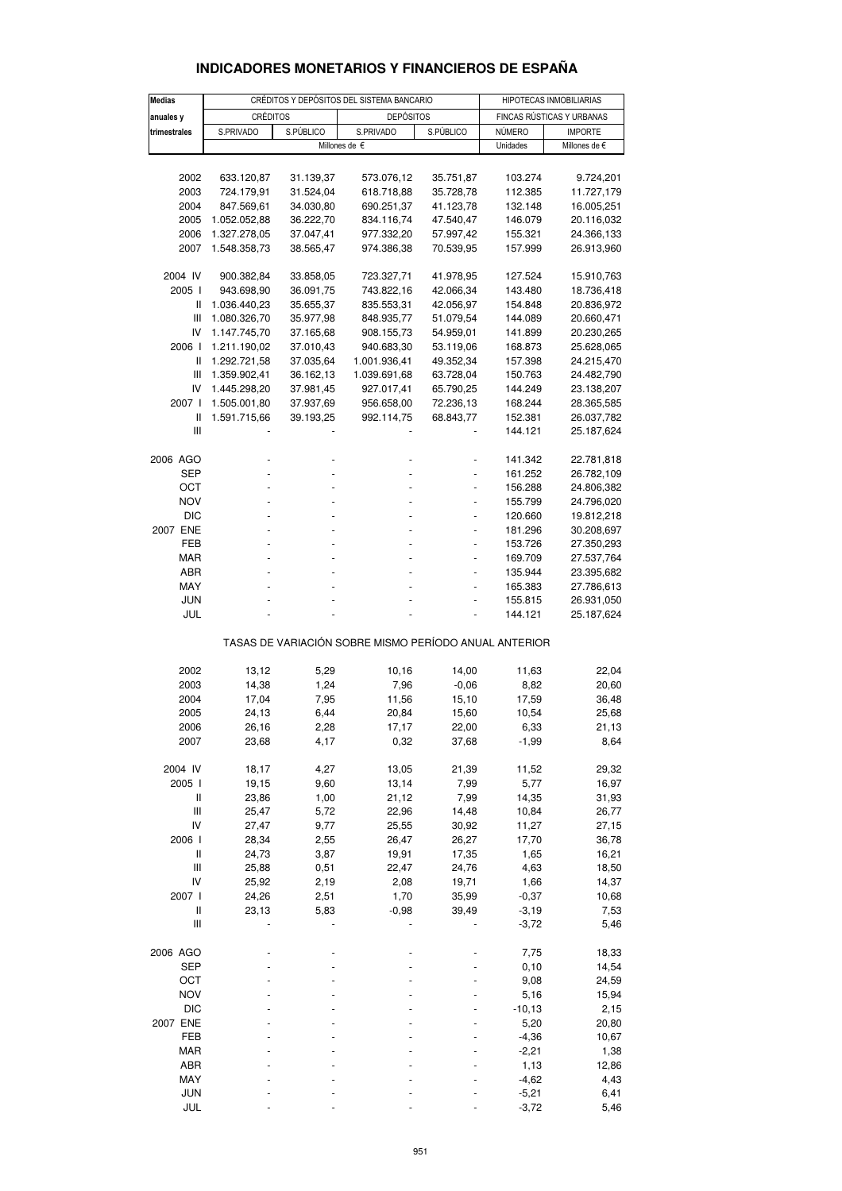| <b>Medias</b>                             |                          | CRÉDITOS Y DEPÓSITOS DEL SISTEMA BANCARIO | HIPOTECAS INMOBILIARIAS                               |                        |                           |                          |  |  |  |  |  |  |
|-------------------------------------------|--------------------------|-------------------------------------------|-------------------------------------------------------|------------------------|---------------------------|--------------------------|--|--|--|--|--|--|
| anuales y                                 | <b>CRÉDITOS</b>          |                                           | <b>DEPÓSITOS</b>                                      |                        | FINCAS RÚSTICAS Y URBANAS |                          |  |  |  |  |  |  |
| trimestrales                              | S.PÚBLICO<br>S.PRIVADO   |                                           | S.PRIVADO                                             | S.PÚBLICO              | NÚMERO                    | <b>IMPORTE</b>           |  |  |  |  |  |  |
|                                           |                          |                                           | Millones de €                                         |                        | Unidades                  | Millones de €            |  |  |  |  |  |  |
|                                           |                          |                                           |                                                       |                        |                           |                          |  |  |  |  |  |  |
| 2002                                      | 633.120,87               | 31.139,37                                 | 573.076,12                                            | 35.751,87              | 103.274                   | 9.724,201                |  |  |  |  |  |  |
| 2003                                      | 724.179,91               | 31.524,04                                 | 618.718,88                                            | 35.728,78              | 112.385                   | 11.727,179               |  |  |  |  |  |  |
| 2004                                      | 847.569,61               | 34.030,80                                 | 690.251,37                                            | 41.123,78              | 132.148                   | 16.005,251               |  |  |  |  |  |  |
| 2005                                      | 1.052.052,88             | 36.222,70                                 | 834.116,74                                            | 47.540,47              | 146.079                   | 20.116,032               |  |  |  |  |  |  |
| 2006                                      | 1.327.278,05             | 37.047,41                                 | 977.332,20                                            | 57.997,42              | 155.321                   | 24.366,133               |  |  |  |  |  |  |
| 2007                                      | 1.548.358,73             | 38.565,47                                 | 974.386,38                                            | 70.539,95              | 157.999                   | 26.913,960               |  |  |  |  |  |  |
| 2004 IV                                   |                          |                                           |                                                       |                        |                           |                          |  |  |  |  |  |  |
| 2005 l                                    | 900.382,84<br>943.698,90 | 33.858,05<br>36.091,75                    | 723.327,71<br>743.822,16                              | 41.978,95<br>42.066,34 | 127.524<br>143.480        | 15.910,763<br>18.736,418 |  |  |  |  |  |  |
| Ш                                         | 1.036.440,23             | 35.655,37                                 | 835.553,31                                            | 42.056,97              | 154.848                   | 20.836,972               |  |  |  |  |  |  |
| $\mathbf{III}$                            | 1.080.326,70             | 35.977,98                                 | 848.935,77                                            | 51.079,54              | 144.089                   | 20.660,471               |  |  |  |  |  |  |
| IV                                        | 1.147.745,70             | 37.165,68                                 | 908.155,73                                            | 54.959,01              | 141.899                   | 20.230,265               |  |  |  |  |  |  |
| 2006 l                                    | 1.211.190,02             | 37.010,43                                 | 940.683,30                                            | 53.119,06              | 168.873                   | 25.628,065               |  |  |  |  |  |  |
| Ш                                         | 1.292.721,58             | 37.035,64                                 | 1.001.936,41                                          | 49.352,34              | 157.398                   | 24.215,470               |  |  |  |  |  |  |
| Ш                                         | 1.359.902,41             | 36.162,13                                 | 1.039.691,68                                          | 63.728,04              | 150.763                   | 24.482,790               |  |  |  |  |  |  |
| IV                                        | 1.445.298,20             | 37.981,45                                 | 927.017,41                                            | 65.790,25              | 144.249                   | 23.138,207               |  |  |  |  |  |  |
| 2007 l                                    | 1.505.001,80             | 37.937,69                                 | 956.658,00                                            | 72.236,13              | 168.244                   | 28.365,585               |  |  |  |  |  |  |
| Ш                                         | 1.591.715,66             | 39.193,25                                 | 992.114,75                                            | 68.843,77              | 152.381                   | 26.037,782               |  |  |  |  |  |  |
| III                                       |                          |                                           |                                                       |                        | 144.121                   | 25.187,624               |  |  |  |  |  |  |
|                                           |                          |                                           |                                                       |                        |                           |                          |  |  |  |  |  |  |
| 2006 AGO<br>SEP                           |                          |                                           |                                                       |                        | 141.342<br>161.252        | 22.781,818<br>26.782,109 |  |  |  |  |  |  |
| ОСТ                                       |                          |                                           |                                                       |                        | 156.288                   | 24.806,382               |  |  |  |  |  |  |
| <b>NOV</b>                                |                          |                                           |                                                       | ÷,                     | 155.799                   | 24.796,020               |  |  |  |  |  |  |
| DIC                                       |                          |                                           |                                                       |                        | 120.660                   | 19.812,218               |  |  |  |  |  |  |
| 2007 ENE                                  |                          |                                           |                                                       |                        | 181.296                   | 30.208,697               |  |  |  |  |  |  |
| FEB                                       |                          |                                           |                                                       | ÷,                     | 153.726                   | 27.350,293               |  |  |  |  |  |  |
| <b>MAR</b>                                |                          |                                           |                                                       |                        | 169.709                   | 27.537,764               |  |  |  |  |  |  |
| ABR                                       |                          |                                           |                                                       |                        | 135.944                   | 23.395,682               |  |  |  |  |  |  |
| MAY                                       |                          |                                           |                                                       |                        | 165.383                   | 27.786,613               |  |  |  |  |  |  |
| <b>JUN</b>                                |                          |                                           |                                                       |                        | 155.815                   | 26.931,050               |  |  |  |  |  |  |
| JUL                                       |                          |                                           |                                                       |                        | 144.121                   | 25.187,624               |  |  |  |  |  |  |
|                                           |                          |                                           | TASAS DE VARIACIÓN SOBRE MISMO PERÍODO ANUAL ANTERIOR |                        |                           |                          |  |  |  |  |  |  |
| 2002                                      | 13,12                    | 5,29                                      | 10,16                                                 | 14,00                  | 11,63                     | 22,04                    |  |  |  |  |  |  |
| 2003                                      | 14,38                    | 1,24                                      | 7,96                                                  | $-0,06$                | 8,82                      | 20,60                    |  |  |  |  |  |  |
| 2004                                      | 17,04                    | 7,95                                      | 11,56                                                 | 15,10                  | 17,59                     | 36,48                    |  |  |  |  |  |  |
| 2005                                      | 24,13                    | 6,44                                      | 20,84                                                 | 15,60                  | 10,54                     | 25,68                    |  |  |  |  |  |  |
| 2006                                      | 26,16                    | 2,28                                      | 17,17                                                 | 22,00                  | 6,33                      | 21,13                    |  |  |  |  |  |  |
| 2007                                      | 23,68                    | 4,17                                      | 0,32                                                  | 37,68                  | $-1,99$                   | 8,64                     |  |  |  |  |  |  |
| 2004 IV                                   |                          | 4,27                                      | 13,05                                                 |                        |                           | 29,32                    |  |  |  |  |  |  |
| 2005 l                                    | 18,17<br>19,15           | 9,60                                      | 13,14                                                 | 21,39<br>7,99          | 11,52<br>5,77             | 16,97                    |  |  |  |  |  |  |
| Ш                                         | 23,86                    | 1,00                                      | 21,12                                                 | 7,99                   | 14,35                     | 31,93                    |  |  |  |  |  |  |
| $\mathbf{III}$                            | 25,47                    | 5,72                                      | 22,96                                                 | 14,48                  | 10,84                     | 26,77                    |  |  |  |  |  |  |
| IV                                        | 27,47                    | 9,77                                      | 25,55                                                 | 30,92                  | 11,27                     | 27,15                    |  |  |  |  |  |  |
| 2006 l                                    | 28,34                    | 2,55                                      | 26,47                                                 | 26,27                  | 17,70                     | 36,78                    |  |  |  |  |  |  |
| $\label{eq:1} \prod_{i=1}^n \mathbb{I}_i$ | 24,73                    | 3,87                                      | 19,91                                                 | 17,35                  | 1,65                      | 16,21                    |  |  |  |  |  |  |
| $\mathbf{III}$                            | 25,88                    | 0,51                                      | 22,47                                                 | 24,76                  | 4,63                      | 18,50                    |  |  |  |  |  |  |
| IV                                        | 25,92                    | 2,19                                      | 2,08                                                  | 19,71                  | 1,66                      | 14,37                    |  |  |  |  |  |  |
| 2007 l                                    | 24,26                    | 2,51                                      | 1,70                                                  | 35,99                  | $-0,37$                   | 10,68                    |  |  |  |  |  |  |
| Ш                                         | 23,13                    | 5,83                                      | $-0,98$                                               | 39,49                  | $-3,19$                   | 7,53                     |  |  |  |  |  |  |
| $\mathsf{III}$                            |                          |                                           |                                                       |                        | $-3,72$                   | 5,46                     |  |  |  |  |  |  |
| 2006 AGO                                  |                          |                                           |                                                       |                        | 7,75                      | 18,33                    |  |  |  |  |  |  |
| <b>SEP</b>                                |                          |                                           |                                                       |                        | 0, 10                     | 14,54                    |  |  |  |  |  |  |
| ОСТ                                       |                          |                                           |                                                       |                        | 9,08                      | 24,59                    |  |  |  |  |  |  |
| <b>NOV</b>                                |                          |                                           |                                                       |                        | 5,16                      | 15,94                    |  |  |  |  |  |  |
| <b>DIC</b>                                |                          |                                           |                                                       |                        | $-10, 13$                 | 2,15                     |  |  |  |  |  |  |
| 2007 ENE                                  |                          |                                           |                                                       |                        | 5,20                      | 20,80                    |  |  |  |  |  |  |
| FEB                                       |                          |                                           |                                                       |                        | $-4,36$                   | 10,67                    |  |  |  |  |  |  |
| <b>MAR</b><br>ABR                         |                          |                                           |                                                       |                        | $-2,21$<br>1,13           | 1,38                     |  |  |  |  |  |  |
| MAY                                       |                          |                                           |                                                       |                        | $-4,62$                   | 12,86<br>4,43            |  |  |  |  |  |  |
| <b>JUN</b>                                |                          |                                           |                                                       |                        | $-5,21$                   | 6,41                     |  |  |  |  |  |  |
| JUL                                       |                          |                                           |                                                       |                        | $-3,72$                   | 5,46                     |  |  |  |  |  |  |